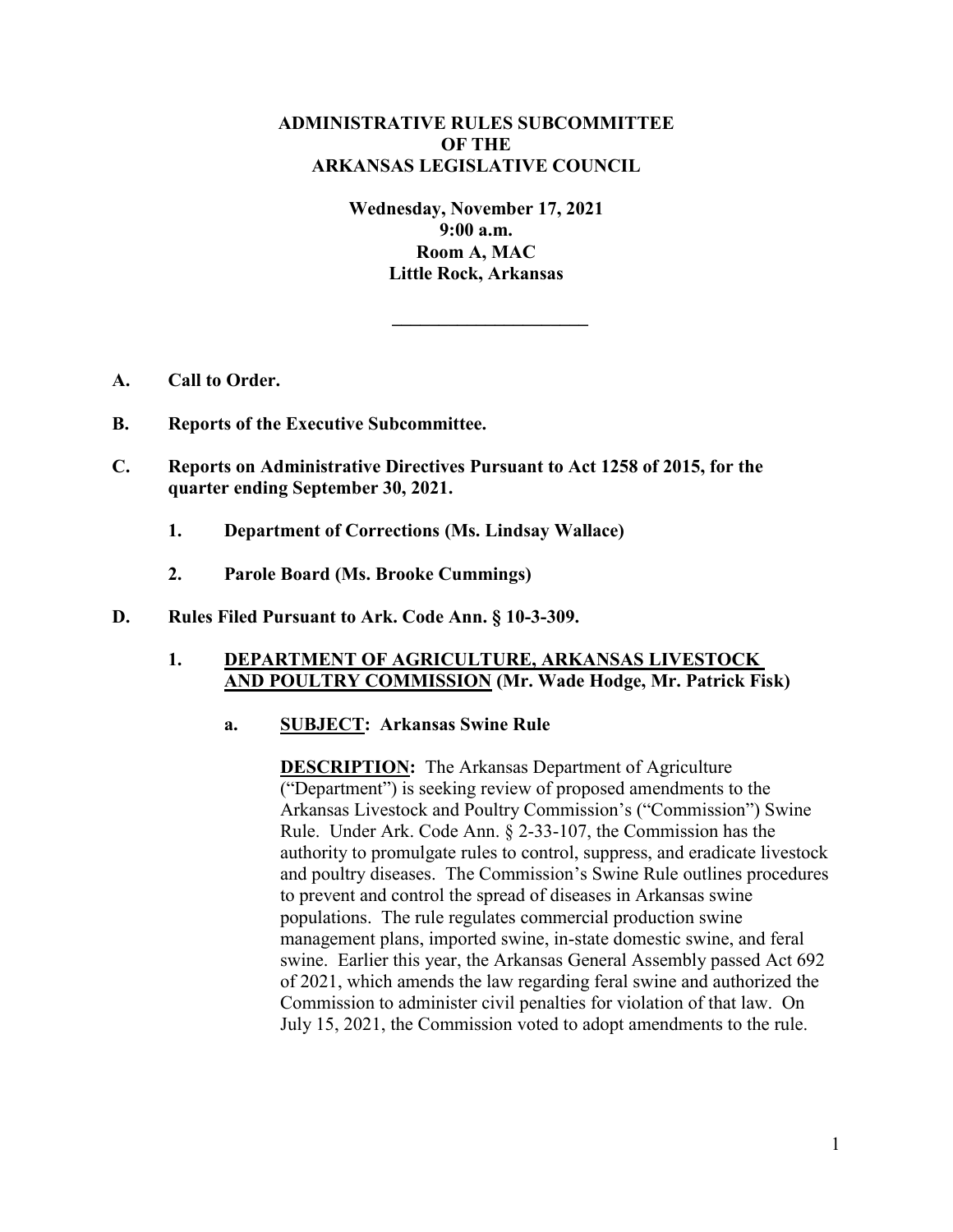# **ADMINISTRATIVE RULES SUBCOMMITTEE OF THE ARKANSAS LEGISLATIVE COUNCIL**

**Wednesday, November 17, 2021 9:00 a.m. Room A, MAC Little Rock, Arkansas**

**\_\_\_\_\_\_\_\_\_\_\_\_\_\_\_\_\_\_\_\_\_**

- **A. Call to Order.**
- **B. Reports of the Executive Subcommittee.**
- **C. Reports on Administrative Directives Pursuant to Act 1258 of 2015, for the quarter ending September 30, 2021.**
	- **1. Department of Corrections (Ms. Lindsay Wallace)**
	- **2. Parole Board (Ms. Brooke Cummings)**
- **D. Rules Filed Pursuant to Ark. Code Ann. § 10-3-309.**

## **1. DEPARTMENT OF AGRICULTURE, ARKANSAS LIVESTOCK AND POULTRY COMMISSION (Mr. Wade Hodge, Mr. Patrick Fisk)**

## **a. SUBJECT: Arkansas Swine Rule**

**DESCRIPTION:** The Arkansas Department of Agriculture ("Department") is seeking review of proposed amendments to the Arkansas Livestock and Poultry Commission's ("Commission") Swine Rule. Under Ark. Code Ann. § 2-33-107, the Commission has the authority to promulgate rules to control, suppress, and eradicate livestock and poultry diseases. The Commission's Swine Rule outlines procedures to prevent and control the spread of diseases in Arkansas swine populations. The rule regulates commercial production swine management plans, imported swine, in-state domestic swine, and feral swine. Earlier this year, the Arkansas General Assembly passed Act 692 of 2021, which amends the law regarding feral swine and authorized the Commission to administer civil penalties for violation of that law. On July 15, 2021, the Commission voted to adopt amendments to the rule.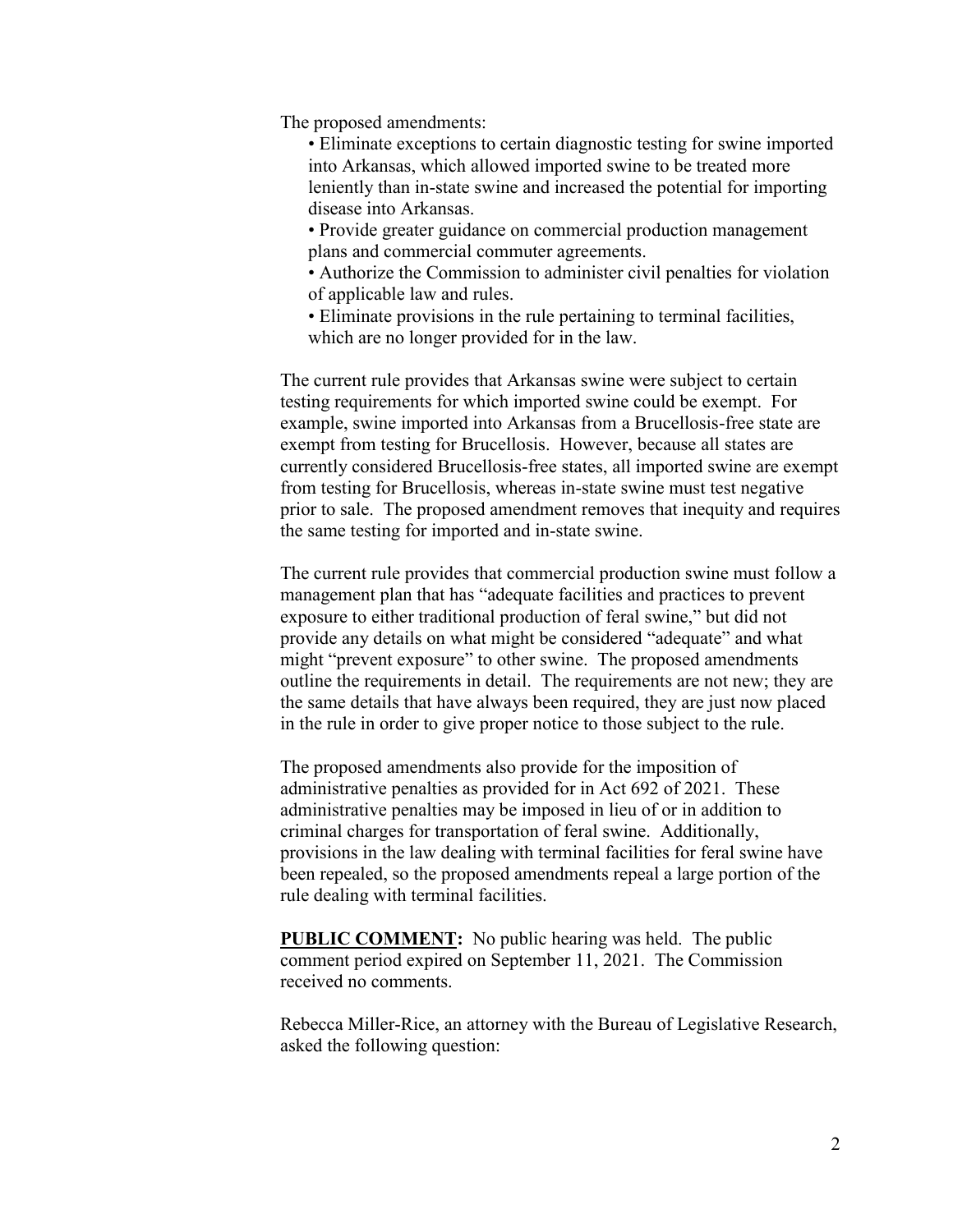The proposed amendments:

• Eliminate exceptions to certain diagnostic testing for swine imported into Arkansas, which allowed imported swine to be treated more leniently than in-state swine and increased the potential for importing disease into Arkansas.

• Provide greater guidance on commercial production management plans and commercial commuter agreements.

• Authorize the Commission to administer civil penalties for violation of applicable law and rules.

• Eliminate provisions in the rule pertaining to terminal facilities, which are no longer provided for in the law.

The current rule provides that Arkansas swine were subject to certain testing requirements for which imported swine could be exempt. For example, swine imported into Arkansas from a Brucellosis-free state are exempt from testing for Brucellosis. However, because all states are currently considered Brucellosis-free states, all imported swine are exempt from testing for Brucellosis, whereas in-state swine must test negative prior to sale. The proposed amendment removes that inequity and requires the same testing for imported and in-state swine.

The current rule provides that commercial production swine must follow a management plan that has "adequate facilities and practices to prevent exposure to either traditional production of feral swine," but did not provide any details on what might be considered "adequate" and what might "prevent exposure" to other swine. The proposed amendments outline the requirements in detail. The requirements are not new; they are the same details that have always been required, they are just now placed in the rule in order to give proper notice to those subject to the rule.

The proposed amendments also provide for the imposition of administrative penalties as provided for in Act 692 of 2021. These administrative penalties may be imposed in lieu of or in addition to criminal charges for transportation of feral swine. Additionally, provisions in the law dealing with terminal facilities for feral swine have been repealed, so the proposed amendments repeal a large portion of the rule dealing with terminal facilities.

**PUBLIC COMMENT:** No public hearing was held. The public comment period expired on September 11, 2021. The Commission received no comments.

Rebecca Miller-Rice, an attorney with the Bureau of Legislative Research, asked the following question: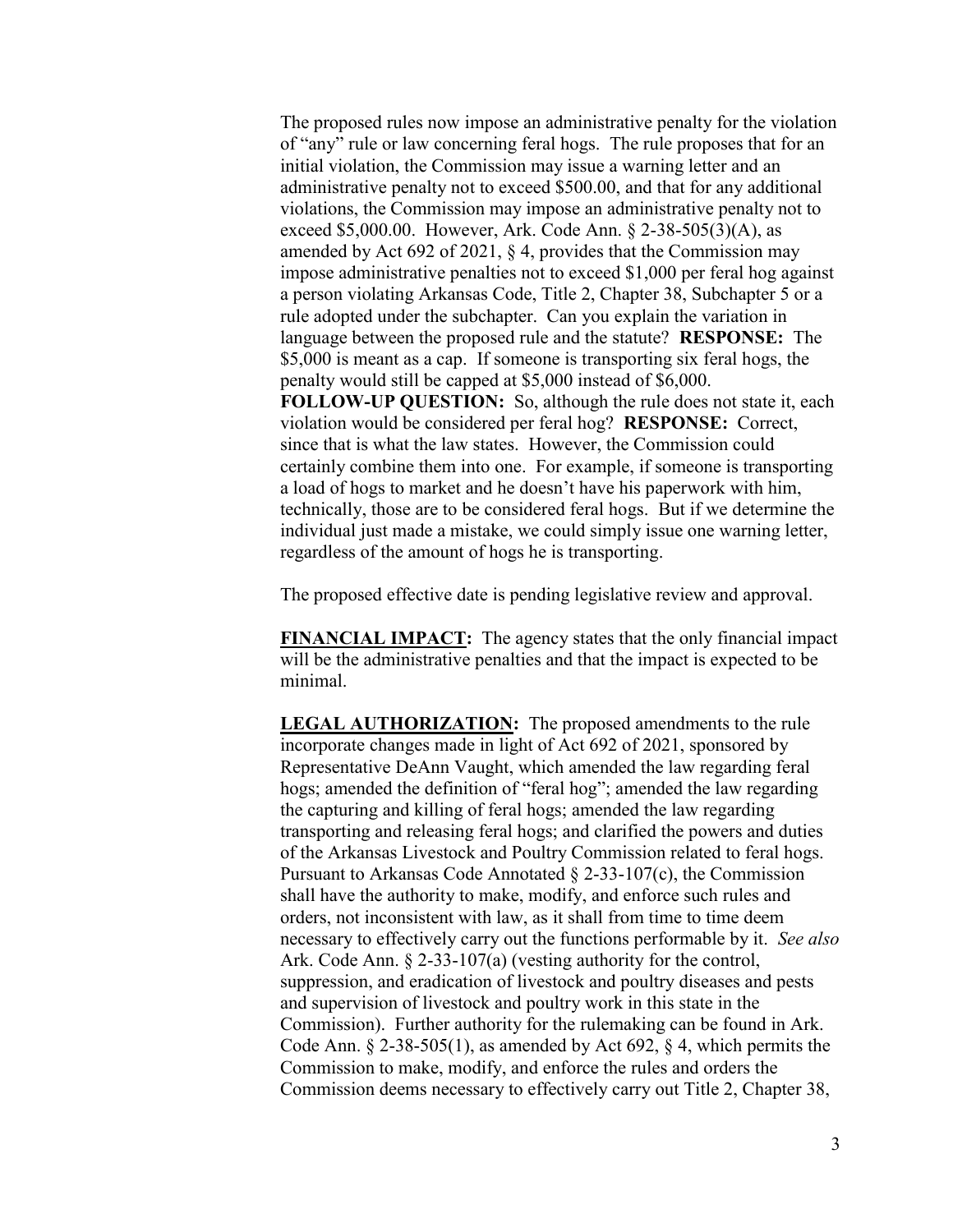The proposed rules now impose an administrative penalty for the violation of "any" rule or law concerning feral hogs. The rule proposes that for an initial violation, the Commission may issue a warning letter and an administrative penalty not to exceed \$500.00, and that for any additional violations, the Commission may impose an administrative penalty not to exceed \$5,000.00. However, Ark. Code Ann. § 2-38-505(3)(A), as amended by Act 692 of 2021, § 4, provides that the Commission may impose administrative penalties not to exceed \$1,000 per feral hog against a person violating Arkansas Code, Title 2, Chapter 38, Subchapter 5 or a rule adopted under the subchapter. Can you explain the variation in language between the proposed rule and the statute? **RESPONSE:** The \$5,000 is meant as a cap. If someone is transporting six feral hogs, the penalty would still be capped at \$5,000 instead of \$6,000. **FOLLOW-UP QUESTION:** So, although the rule does not state it, each violation would be considered per feral hog? **RESPONSE:** Correct, since that is what the law states. However, the Commission could certainly combine them into one. For example, if someone is transporting a load of hogs to market and he doesn't have his paperwork with him, technically, those are to be considered feral hogs. But if we determine the individual just made a mistake, we could simply issue one warning letter, regardless of the amount of hogs he is transporting.

The proposed effective date is pending legislative review and approval.

**FINANCIAL IMPACT:** The agency states that the only financial impact will be the administrative penalties and that the impact is expected to be minimal.

**LEGAL AUTHORIZATION:** The proposed amendments to the rule incorporate changes made in light of Act 692 of 2021, sponsored by Representative DeAnn Vaught, which amended the law regarding feral hogs; amended the definition of "feral hog"; amended the law regarding the capturing and killing of feral hogs; amended the law regarding transporting and releasing feral hogs; and clarified the powers and duties of the Arkansas Livestock and Poultry Commission related to feral hogs. Pursuant to Arkansas Code Annotated § 2-33-107(c), the Commission shall have the authority to make, modify, and enforce such rules and orders, not inconsistent with law, as it shall from time to time deem necessary to effectively carry out the functions performable by it. *See also* Ark. Code Ann. § 2-33-107(a) (vesting authority for the control, suppression, and eradication of livestock and poultry diseases and pests and supervision of livestock and poultry work in this state in the Commission). Further authority for the rulemaking can be found in Ark. Code Ann.  $\S$  2-38-505(1), as amended by Act 692,  $\S$  4, which permits the Commission to make, modify, and enforce the rules and orders the Commission deems necessary to effectively carry out Title 2, Chapter 38,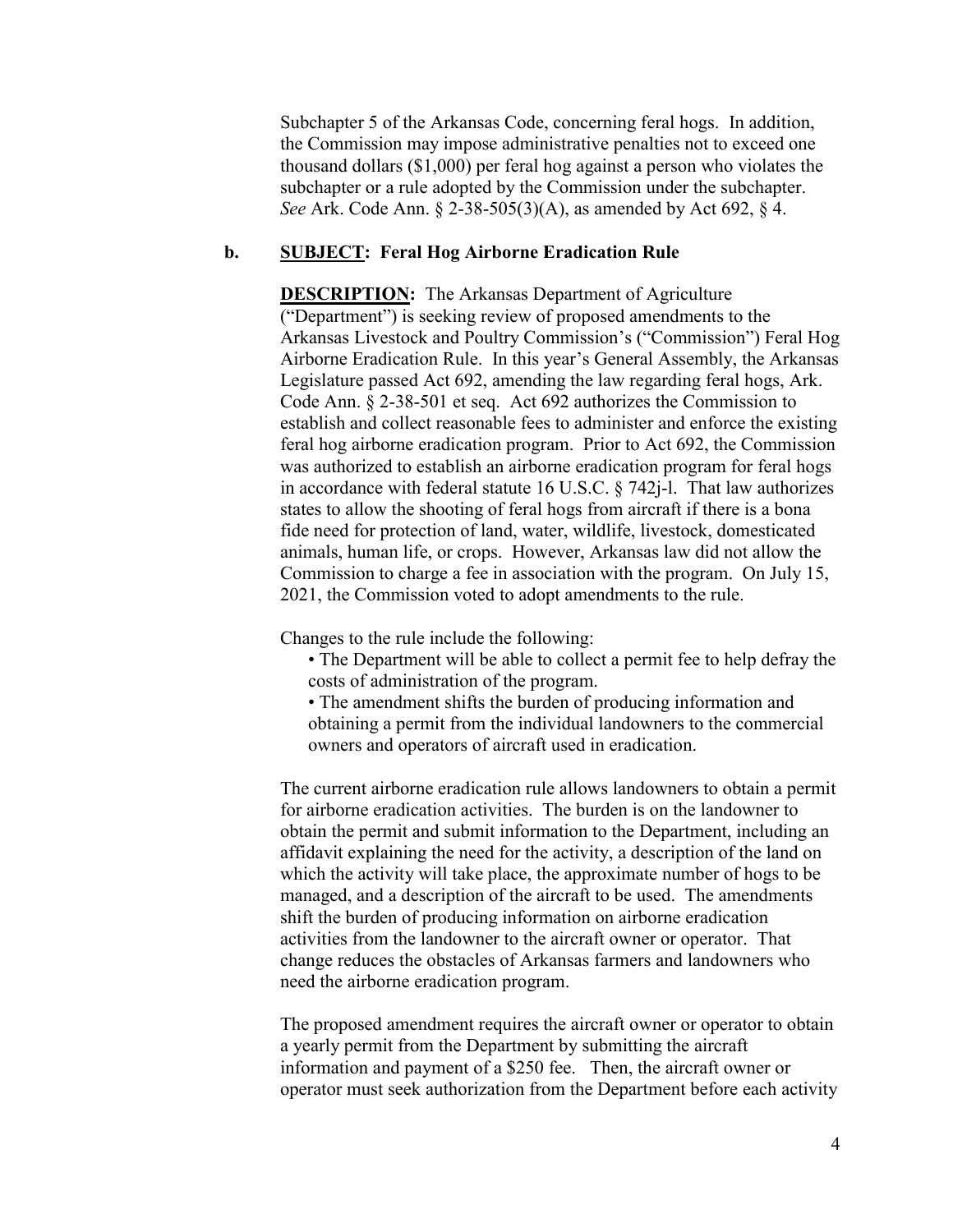Subchapter 5 of the Arkansas Code, concerning feral hogs. In addition, the Commission may impose administrative penalties not to exceed one thousand dollars (\$1,000) per feral hog against a person who violates the subchapter or a rule adopted by the Commission under the subchapter. *See* Ark. Code Ann. § 2-38-505(3)(A), as amended by Act 692, § 4.

### **b. SUBJECT: Feral Hog Airborne Eradication Rule**

**DESCRIPTION:** The Arkansas Department of Agriculture ("Department") is seeking review of proposed amendments to the Arkansas Livestock and Poultry Commission's ("Commission") Feral Hog Airborne Eradication Rule. In this year's General Assembly, the Arkansas Legislature passed Act 692, amending the law regarding feral hogs, Ark. Code Ann. § 2-38-501 et seq. Act 692 authorizes the Commission to establish and collect reasonable fees to administer and enforce the existing feral hog airborne eradication program. Prior to Act 692, the Commission was authorized to establish an airborne eradication program for feral hogs in accordance with federal statute 16 U.S.C. § 742j-l. That law authorizes states to allow the shooting of feral hogs from aircraft if there is a bona fide need for protection of land, water, wildlife, livestock, domesticated animals, human life, or crops. However, Arkansas law did not allow the Commission to charge a fee in association with the program. On July 15, 2021, the Commission voted to adopt amendments to the rule.

Changes to the rule include the following:

- The Department will be able to collect a permit fee to help defray the costs of administration of the program.
- The amendment shifts the burden of producing information and obtaining a permit from the individual landowners to the commercial owners and operators of aircraft used in eradication.

The current airborne eradication rule allows landowners to obtain a permit for airborne eradication activities. The burden is on the landowner to obtain the permit and submit information to the Department, including an affidavit explaining the need for the activity, a description of the land on which the activity will take place, the approximate number of hogs to be managed, and a description of the aircraft to be used. The amendments shift the burden of producing information on airborne eradication activities from the landowner to the aircraft owner or operator. That change reduces the obstacles of Arkansas farmers and landowners who need the airborne eradication program.

The proposed amendment requires the aircraft owner or operator to obtain a yearly permit from the Department by submitting the aircraft information and payment of a \$250 fee. Then, the aircraft owner or operator must seek authorization from the Department before each activity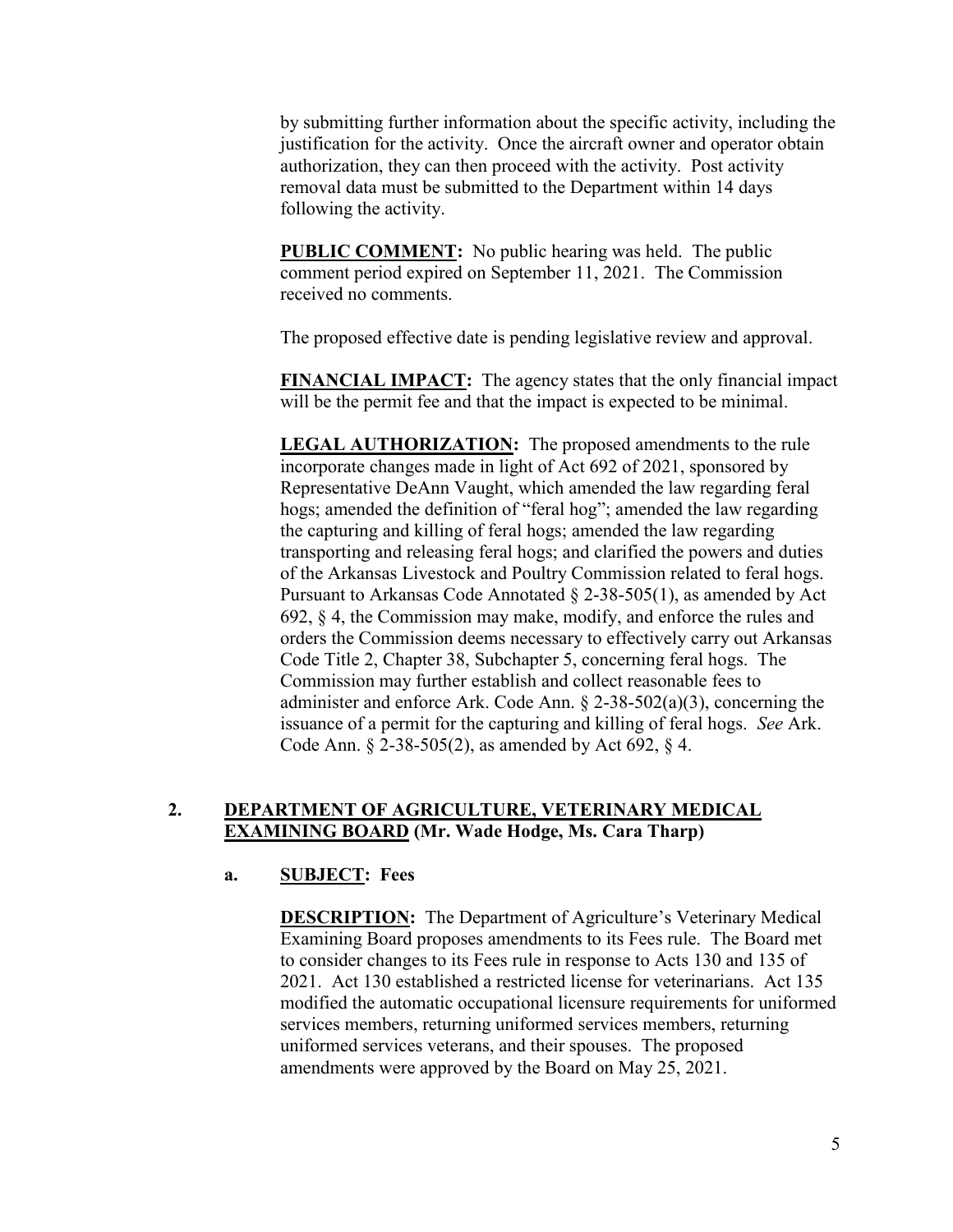by submitting further information about the specific activity, including the justification for the activity. Once the aircraft owner and operator obtain authorization, they can then proceed with the activity. Post activity removal data must be submitted to the Department within 14 days following the activity.

**PUBLIC COMMENT:** No public hearing was held. The public comment period expired on September 11, 2021. The Commission received no comments.

The proposed effective date is pending legislative review and approval.

**FINANCIAL IMPACT:** The agency states that the only financial impact will be the permit fee and that the impact is expected to be minimal.

**LEGAL AUTHORIZATION:** The proposed amendments to the rule incorporate changes made in light of Act 692 of 2021, sponsored by Representative DeAnn Vaught, which amended the law regarding feral hogs; amended the definition of "feral hog"; amended the law regarding the capturing and killing of feral hogs; amended the law regarding transporting and releasing feral hogs; and clarified the powers and duties of the Arkansas Livestock and Poultry Commission related to feral hogs. Pursuant to Arkansas Code Annotated § 2-38-505(1), as amended by Act 692, § 4, the Commission may make, modify, and enforce the rules and orders the Commission deems necessary to effectively carry out Arkansas Code Title 2, Chapter 38, Subchapter 5, concerning feral hogs. The Commission may further establish and collect reasonable fees to administer and enforce Ark. Code Ann.  $\S$  2-38-502(a)(3), concerning the issuance of a permit for the capturing and killing of feral hogs. *See* Ark. Code Ann. § 2-38-505(2), as amended by Act 692, § 4.

# **2. DEPARTMENT OF AGRICULTURE, VETERINARY MEDICAL EXAMINING BOARD (Mr. Wade Hodge, Ms. Cara Tharp)**

## **a. SUBJECT: Fees**

**DESCRIPTION:** The Department of Agriculture's Veterinary Medical Examining Board proposes amendments to its Fees rule. The Board met to consider changes to its Fees rule in response to Acts 130 and 135 of 2021. Act 130 established a restricted license for veterinarians. Act 135 modified the automatic occupational licensure requirements for uniformed services members, returning uniformed services members, returning uniformed services veterans, and their spouses. The proposed amendments were approved by the Board on May 25, 2021.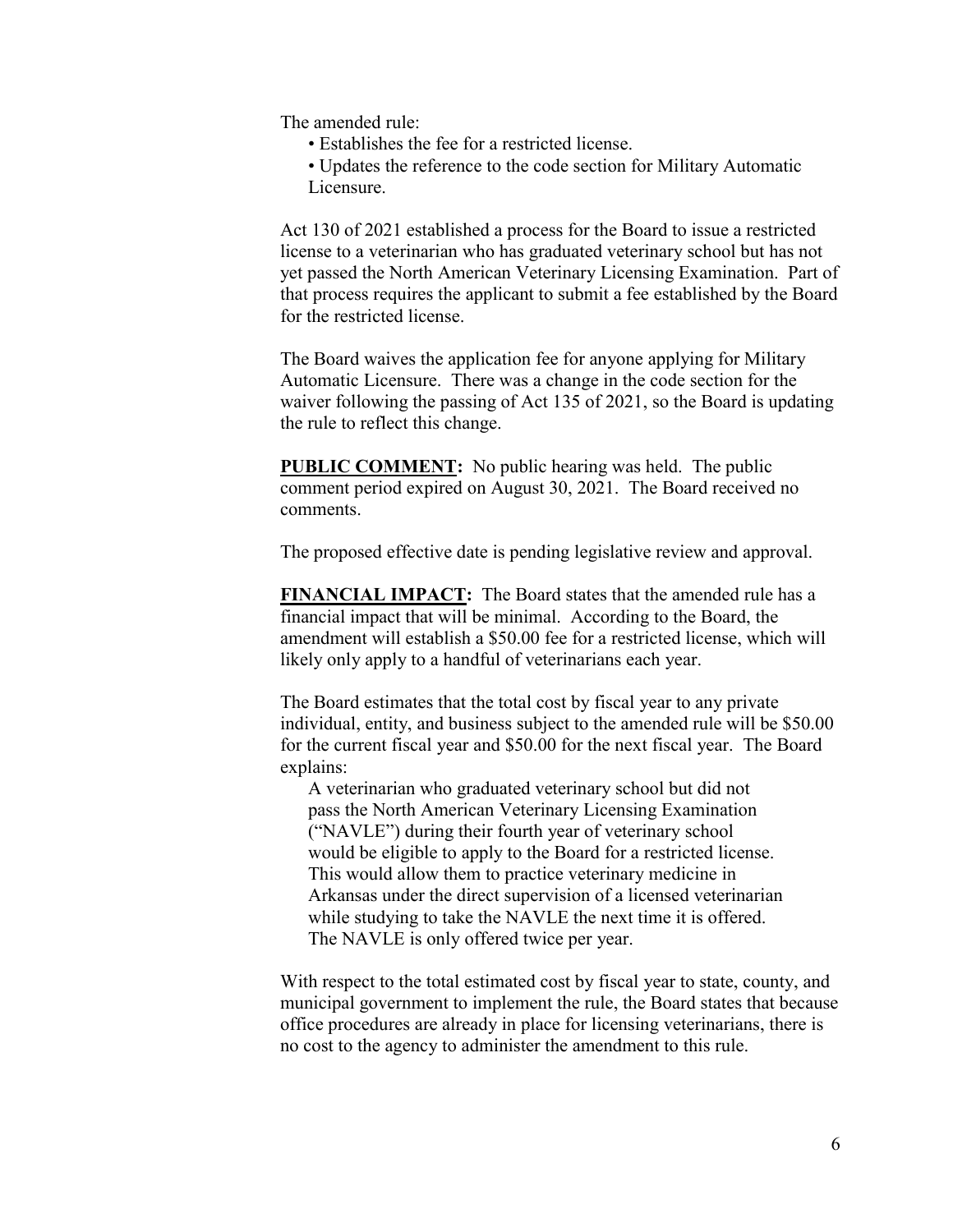The amended rule:

- Establishes the fee for a restricted license.
- Updates the reference to the code section for Military Automatic Licensure.

Act 130 of 2021 established a process for the Board to issue a restricted license to a veterinarian who has graduated veterinary school but has not yet passed the North American Veterinary Licensing Examination. Part of that process requires the applicant to submit a fee established by the Board for the restricted license.

The Board waives the application fee for anyone applying for Military Automatic Licensure. There was a change in the code section for the waiver following the passing of Act 135 of 2021, so the Board is updating the rule to reflect this change.

**PUBLIC COMMENT:** No public hearing was held. The public comment period expired on August 30, 2021. The Board received no comments.

The proposed effective date is pending legislative review and approval.

**FINANCIAL IMPACT:** The Board states that the amended rule has a financial impact that will be minimal. According to the Board, the amendment will establish a \$50.00 fee for a restricted license, which will likely only apply to a handful of veterinarians each year.

The Board estimates that the total cost by fiscal year to any private individual, entity, and business subject to the amended rule will be \$50.00 for the current fiscal year and \$50.00 for the next fiscal year. The Board explains:

A veterinarian who graduated veterinary school but did not pass the North American Veterinary Licensing Examination ("NAVLE") during their fourth year of veterinary school would be eligible to apply to the Board for a restricted license. This would allow them to practice veterinary medicine in Arkansas under the direct supervision of a licensed veterinarian while studying to take the NAVLE the next time it is offered. The NAVLE is only offered twice per year.

With respect to the total estimated cost by fiscal year to state, county, and municipal government to implement the rule, the Board states that because office procedures are already in place for licensing veterinarians, there is no cost to the agency to administer the amendment to this rule.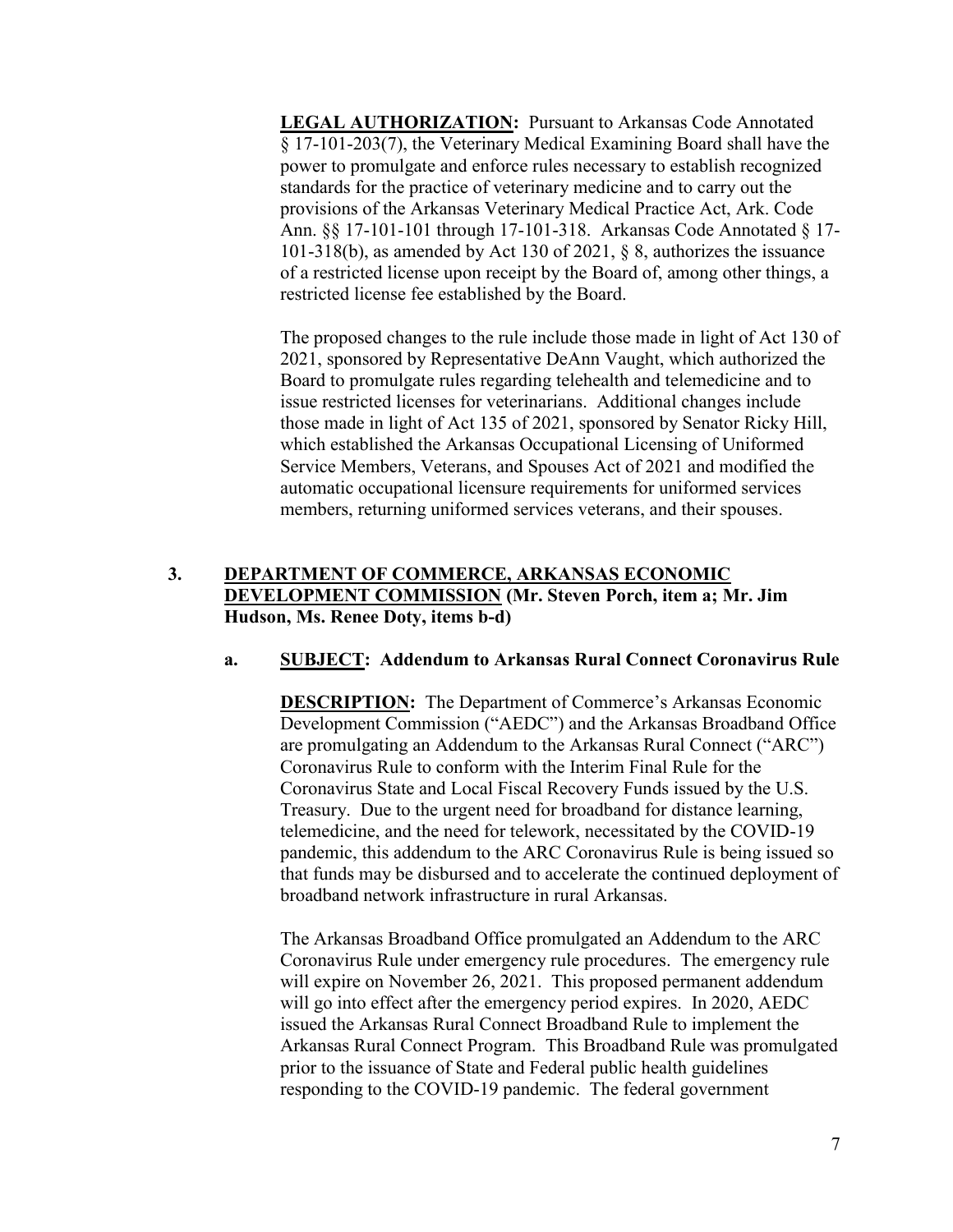**LEGAL AUTHORIZATION:** Pursuant to Arkansas Code Annotated § 17-101-203(7), the Veterinary Medical Examining Board shall have the power to promulgate and enforce rules necessary to establish recognized standards for the practice of veterinary medicine and to carry out the provisions of the Arkansas Veterinary Medical Practice Act, Ark. Code Ann. §§ 17-101-101 through 17-101-318. Arkansas Code Annotated § 17- 101-318(b), as amended by Act 130 of 2021, § 8, authorizes the issuance of a restricted license upon receipt by the Board of, among other things, a restricted license fee established by the Board.

The proposed changes to the rule include those made in light of Act 130 of 2021, sponsored by Representative DeAnn Vaught, which authorized the Board to promulgate rules regarding telehealth and telemedicine and to issue restricted licenses for veterinarians. Additional changes include those made in light of Act 135 of 2021, sponsored by Senator Ricky Hill, which established the Arkansas Occupational Licensing of Uniformed Service Members, Veterans, and Spouses Act of 2021 and modified the automatic occupational licensure requirements for uniformed services members, returning uniformed services veterans, and their spouses.

# **3. DEPARTMENT OF COMMERCE, ARKANSAS ECONOMIC DEVELOPMENT COMMISSION (Mr. Steven Porch, item a; Mr. Jim Hudson, Ms. Renee Doty, items b-d)**

## **a. SUBJECT: Addendum to Arkansas Rural Connect Coronavirus Rule**

**DESCRIPTION:** The Department of Commerce's Arkansas Economic Development Commission ("AEDC") and the Arkansas Broadband Office are promulgating an Addendum to the Arkansas Rural Connect ("ARC") Coronavirus Rule to conform with the Interim Final Rule for the Coronavirus State and Local Fiscal Recovery Funds issued by the U.S. Treasury. Due to the urgent need for broadband for distance learning, telemedicine, and the need for telework, necessitated by the COVID-19 pandemic, this addendum to the ARC Coronavirus Rule is being issued so that funds may be disbursed and to accelerate the continued deployment of broadband network infrastructure in rural Arkansas.

The Arkansas Broadband Office promulgated an Addendum to the ARC Coronavirus Rule under emergency rule procedures. The emergency rule will expire on November 26, 2021. This proposed permanent addendum will go into effect after the emergency period expires. In 2020, AEDC issued the Arkansas Rural Connect Broadband Rule to implement the Arkansas Rural Connect Program. This Broadband Rule was promulgated prior to the issuance of State and Federal public health guidelines responding to the COVID-19 pandemic. The federal government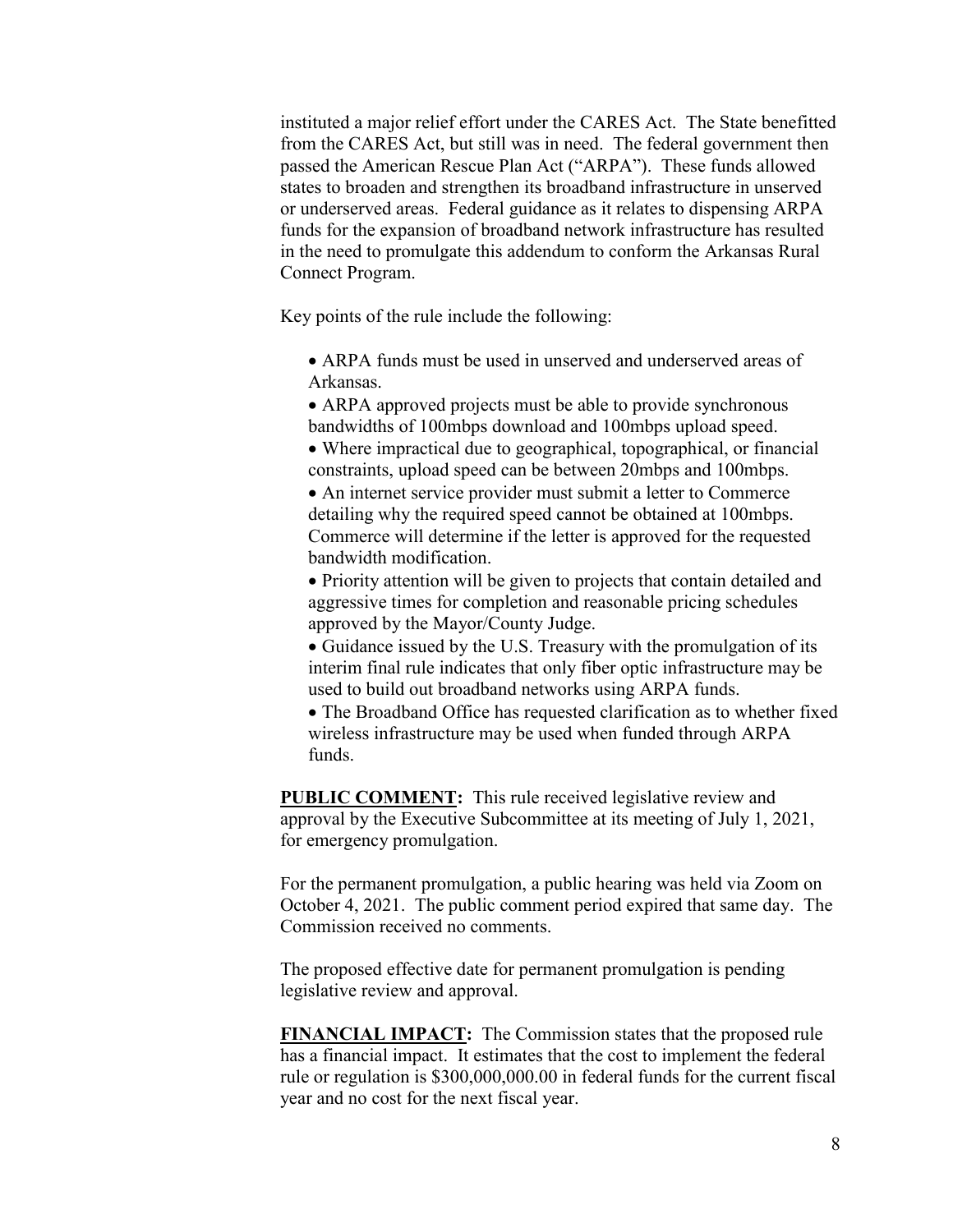instituted a major relief effort under the CARES Act. The State benefitted from the CARES Act, but still was in need. The federal government then passed the American Rescue Plan Act ("ARPA"). These funds allowed states to broaden and strengthen its broadband infrastructure in unserved or underserved areas. Federal guidance as it relates to dispensing ARPA funds for the expansion of broadband network infrastructure has resulted in the need to promulgate this addendum to conform the Arkansas Rural Connect Program.

Key points of the rule include the following:

 ARPA funds must be used in unserved and underserved areas of Arkansas.

 ARPA approved projects must be able to provide synchronous bandwidths of 100mbps download and 100mbps upload speed.

 Where impractical due to geographical, topographical, or financial constraints, upload speed can be between 20mbps and 100mbps.

 An internet service provider must submit a letter to Commerce detailing why the required speed cannot be obtained at 100mbps. Commerce will determine if the letter is approved for the requested bandwidth modification.

 Priority attention will be given to projects that contain detailed and aggressive times for completion and reasonable pricing schedules approved by the Mayor/County Judge.

 Guidance issued by the U.S. Treasury with the promulgation of its interim final rule indicates that only fiber optic infrastructure may be used to build out broadband networks using ARPA funds.

 The Broadband Office has requested clarification as to whether fixed wireless infrastructure may be used when funded through ARPA funds.

**PUBLIC COMMENT:** This rule received legislative review and approval by the Executive Subcommittee at its meeting of July 1, 2021, for emergency promulgation.

For the permanent promulgation, a public hearing was held via Zoom on October 4, 2021. The public comment period expired that same day. The Commission received no comments.

The proposed effective date for permanent promulgation is pending legislative review and approval.

**FINANCIAL IMPACT:** The Commission states that the proposed rule has a financial impact. It estimates that the cost to implement the federal rule or regulation is \$300,000,000.00 in federal funds for the current fiscal year and no cost for the next fiscal year.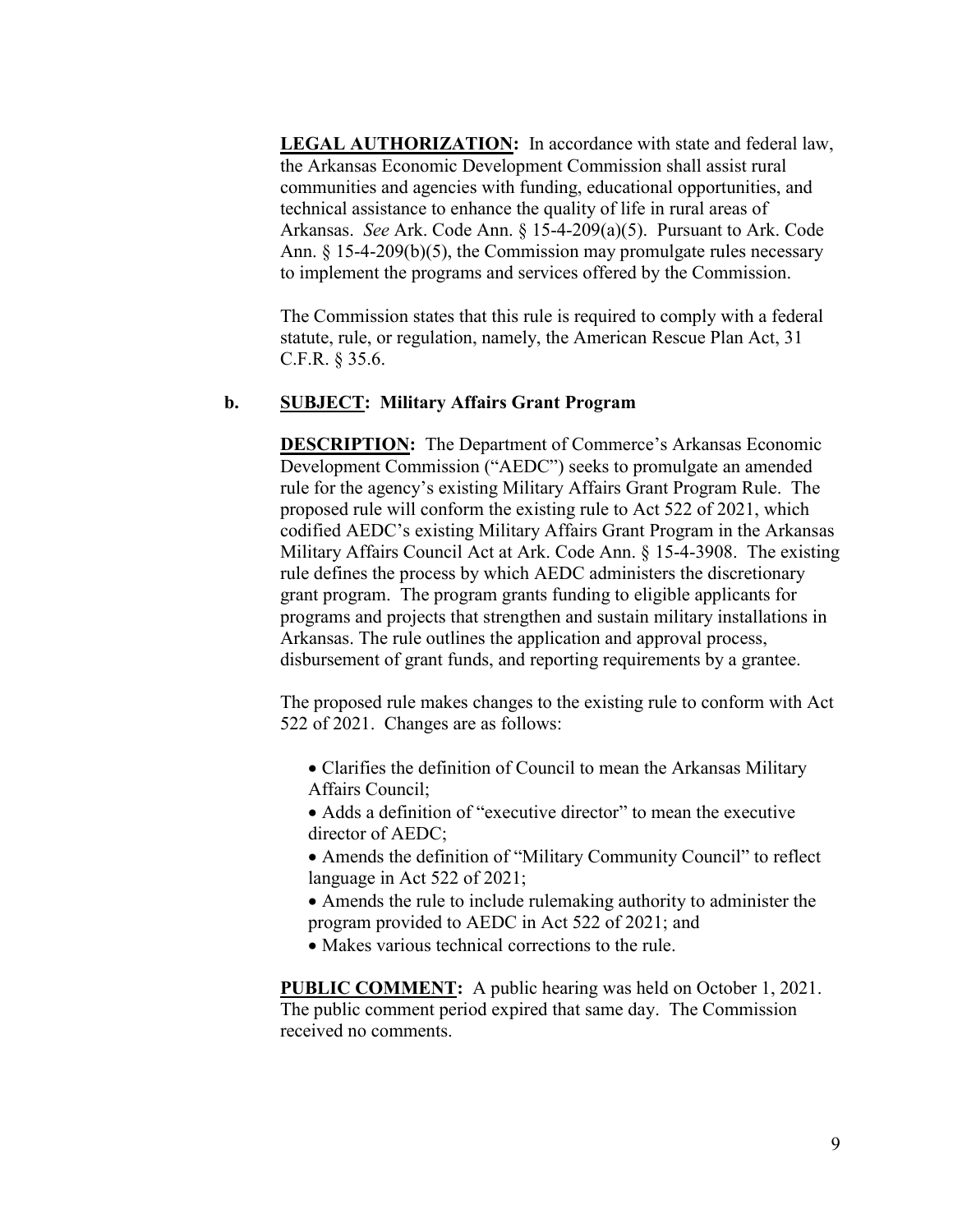**LEGAL AUTHORIZATION:** In accordance with state and federal law, the Arkansas Economic Development Commission shall assist rural communities and agencies with funding, educational opportunities, and technical assistance to enhance the quality of life in rural areas of Arkansas. *See* Ark. Code Ann. § 15-4-209(a)(5). Pursuant to Ark. Code Ann.  $\S$  15-4-209(b)(5), the Commission may promulgate rules necessary to implement the programs and services offered by the Commission.

The Commission states that this rule is required to comply with a federal statute, rule, or regulation, namely, the American Rescue Plan Act, 31 C.F.R. § 35.6.

### **b. SUBJECT: Military Affairs Grant Program**

**DESCRIPTION:** The Department of Commerce's Arkansas Economic Development Commission ("AEDC") seeks to promulgate an amended rule for the agency's existing Military Affairs Grant Program Rule. The proposed rule will conform the existing rule to Act 522 of 2021, which codified AEDC's existing Military Affairs Grant Program in the Arkansas Military Affairs Council Act at Ark. Code Ann. § 15-4-3908. The existing rule defines the process by which AEDC administers the discretionary grant program. The program grants funding to eligible applicants for programs and projects that strengthen and sustain military installations in Arkansas. The rule outlines the application and approval process, disbursement of grant funds, and reporting requirements by a grantee.

The proposed rule makes changes to the existing rule to conform with Act 522 of 2021. Changes are as follows:

- Clarifies the definition of Council to mean the Arkansas Military Affairs Council;
- Adds a definition of "executive director" to mean the executive director of AEDC;
- Amends the definition of "Military Community Council" to reflect language in Act 522 of 2021;
- Amends the rule to include rulemaking authority to administer the program provided to AEDC in Act 522 of 2021; and
- Makes various technical corrections to the rule.

**PUBLIC COMMENT:** A public hearing was held on October 1, 2021. The public comment period expired that same day. The Commission received no comments.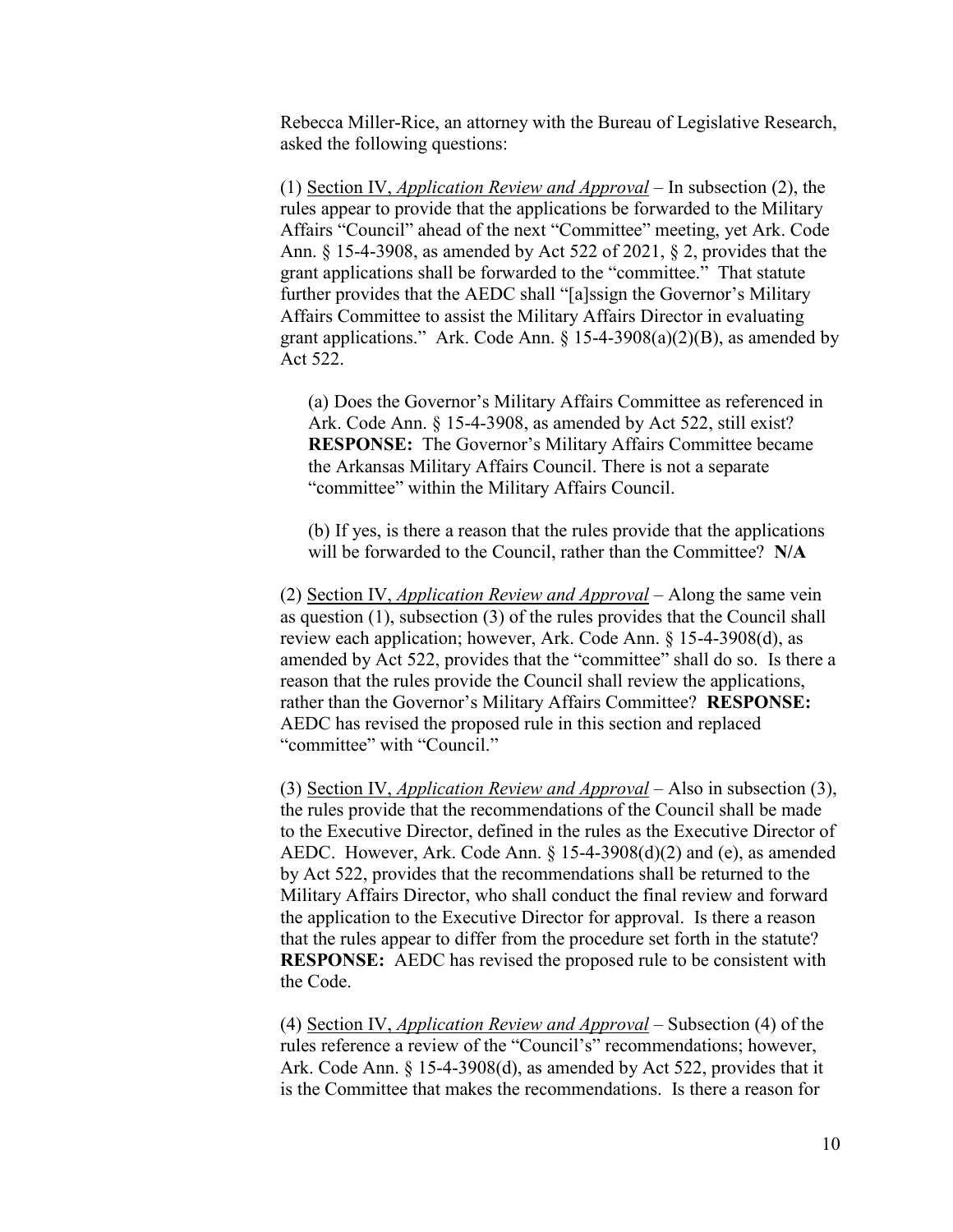Rebecca Miller-Rice, an attorney with the Bureau of Legislative Research, asked the following questions:

(1) Section IV, *Application Review and Approval* – In subsection (2), the rules appear to provide that the applications be forwarded to the Military Affairs "Council" ahead of the next "Committee" meeting, yet Ark. Code Ann. § 15-4-3908, as amended by Act 522 of 2021, § 2, provides that the grant applications shall be forwarded to the "committee." That statute further provides that the AEDC shall "[a]ssign the Governor's Military Affairs Committee to assist the Military Affairs Director in evaluating grant applications." Ark. Code Ann.  $\S$  15-4-3908(a)(2)(B), as amended by Act 522.

(a) Does the Governor's Military Affairs Committee as referenced in Ark. Code Ann. § 15-4-3908, as amended by Act 522, still exist? **RESPONSE:** The Governor's Military Affairs Committee became the Arkansas Military Affairs Council. There is not a separate "committee" within the Military Affairs Council.

(b) If yes, is there a reason that the rules provide that the applications will be forwarded to the Council, rather than the Committee? **N/A**

(2) Section IV, *Application Review and Approval* – Along the same vein as question (1), subsection (3) of the rules provides that the Council shall review each application; however, Ark. Code Ann. § 15-4-3908(d), as amended by Act 522, provides that the "committee" shall do so. Is there a reason that the rules provide the Council shall review the applications, rather than the Governor's Military Affairs Committee? **RESPONSE:** AEDC has revised the proposed rule in this section and replaced "committee" with "Council."

(3) Section IV, *Application Review and Approval* – Also in subsection (3), the rules provide that the recommendations of the Council shall be made to the Executive Director, defined in the rules as the Executive Director of AEDC. However, Ark. Code Ann. § 15-4-3908(d)(2) and (e), as amended by Act 522, provides that the recommendations shall be returned to the Military Affairs Director, who shall conduct the final review and forward the application to the Executive Director for approval. Is there a reason that the rules appear to differ from the procedure set forth in the statute? **RESPONSE:** AEDC has revised the proposed rule to be consistent with the Code.

(4) Section IV, *Application Review and Approval* – Subsection (4) of the rules reference a review of the "Council's" recommendations; however, Ark. Code Ann. § 15-4-3908(d), as amended by Act 522, provides that it is the Committee that makes the recommendations. Is there a reason for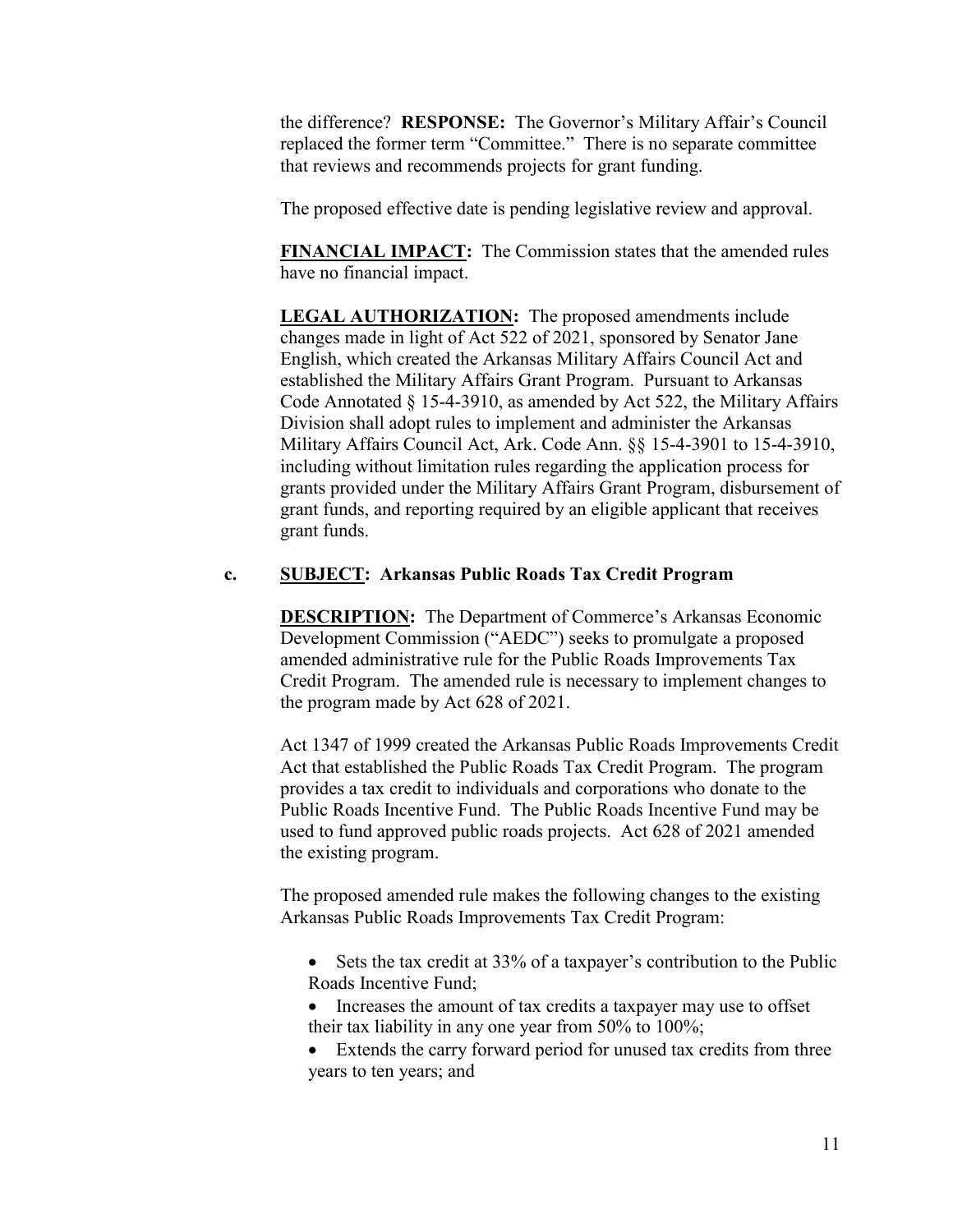the difference? **RESPONSE:** The Governor's Military Affair's Council replaced the former term "Committee." There is no separate committee that reviews and recommends projects for grant funding.

The proposed effective date is pending legislative review and approval.

**FINANCIAL IMPACT:** The Commission states that the amended rules have no financial impact.

LEGAL AUTHORIZATION: The proposed amendments include changes made in light of Act 522 of 2021, sponsored by Senator Jane English, which created the Arkansas Military Affairs Council Act and established the Military Affairs Grant Program. Pursuant to Arkansas Code Annotated § 15-4-3910, as amended by Act 522, the Military Affairs Division shall adopt rules to implement and administer the Arkansas Military Affairs Council Act, Ark. Code Ann. §§ 15-4-3901 to 15-4-3910, including without limitation rules regarding the application process for grants provided under the Military Affairs Grant Program, disbursement of grant funds, and reporting required by an eligible applicant that receives grant funds.

# **c. SUBJECT: Arkansas Public Roads Tax Credit Program**

**DESCRIPTION:** The Department of Commerce's Arkansas Economic Development Commission ("AEDC") seeks to promulgate a proposed amended administrative rule for the Public Roads Improvements Tax Credit Program. The amended rule is necessary to implement changes to the program made by Act 628 of 2021.

Act 1347 of 1999 created the Arkansas Public Roads Improvements Credit Act that established the Public Roads Tax Credit Program. The program provides a tax credit to individuals and corporations who donate to the Public Roads Incentive Fund. The Public Roads Incentive Fund may be used to fund approved public roads projects. Act 628 of 2021 amended the existing program.

The proposed amended rule makes the following changes to the existing Arkansas Public Roads Improvements Tax Credit Program:

- Sets the tax credit at 33% of a taxpayer's contribution to the Public Roads Incentive Fund;
- Increases the amount of tax credits a taxpayer may use to offset their tax liability in any one year from 50% to 100%;
- Extends the carry forward period for unused tax credits from three years to ten years; and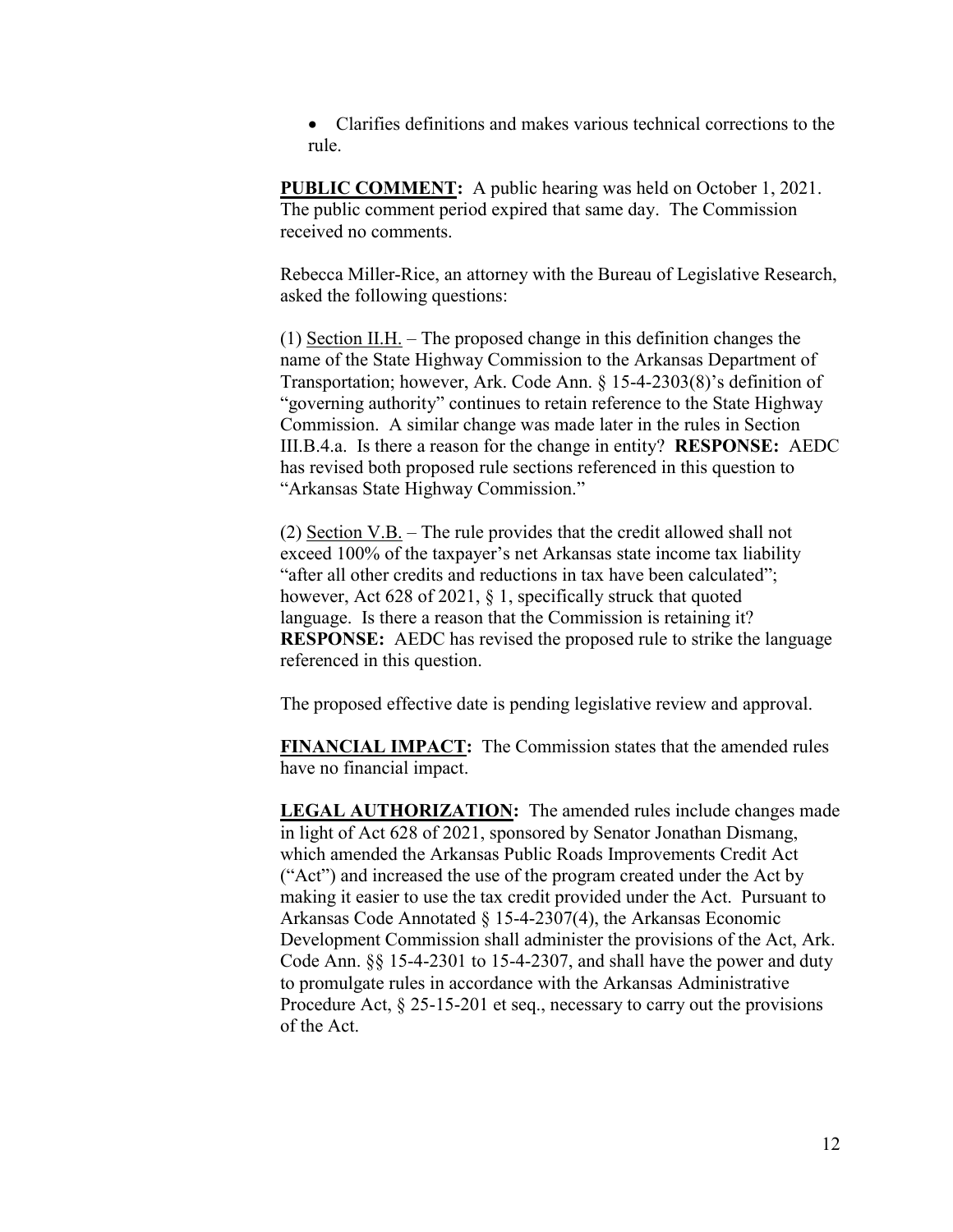Clarifies definitions and makes various technical corrections to the rule.

**PUBLIC COMMENT:** A public hearing was held on October 1, 2021. The public comment period expired that same day. The Commission received no comments.

Rebecca Miller-Rice, an attorney with the Bureau of Legislative Research, asked the following questions:

(1) Section II.H. – The proposed change in this definition changes the name of the State Highway Commission to the Arkansas Department of Transportation; however, Ark. Code Ann. § 15-4-2303(8)'s definition of "governing authority" continues to retain reference to the State Highway Commission. A similar change was made later in the rules in Section III.B.4.a. Is there a reason for the change in entity? **RESPONSE:** AEDC has revised both proposed rule sections referenced in this question to "Arkansas State Highway Commission."

(2) Section V.B. – The rule provides that the credit allowed shall not exceed 100% of the taxpayer's net Arkansas state income tax liability "after all other credits and reductions in tax have been calculated"; however, Act 628 of 2021, § 1, specifically struck that quoted language. Is there a reason that the Commission is retaining it? **RESPONSE:** AEDC has revised the proposed rule to strike the language referenced in this question.

The proposed effective date is pending legislative review and approval.

**FINANCIAL IMPACT:** The Commission states that the amended rules have no financial impact.

**LEGAL AUTHORIZATION:** The amended rules include changes made in light of Act 628 of 2021, sponsored by Senator Jonathan Dismang, which amended the Arkansas Public Roads Improvements Credit Act ("Act") and increased the use of the program created under the Act by making it easier to use the tax credit provided under the Act. Pursuant to Arkansas Code Annotated § 15-4-2307(4), the Arkansas Economic Development Commission shall administer the provisions of the Act, Ark. Code Ann. §§ 15-4-2301 to 15-4-2307, and shall have the power and duty to promulgate rules in accordance with the Arkansas Administrative Procedure Act,  $\S 25$ -15-201 et seq., necessary to carry out the provisions of the Act.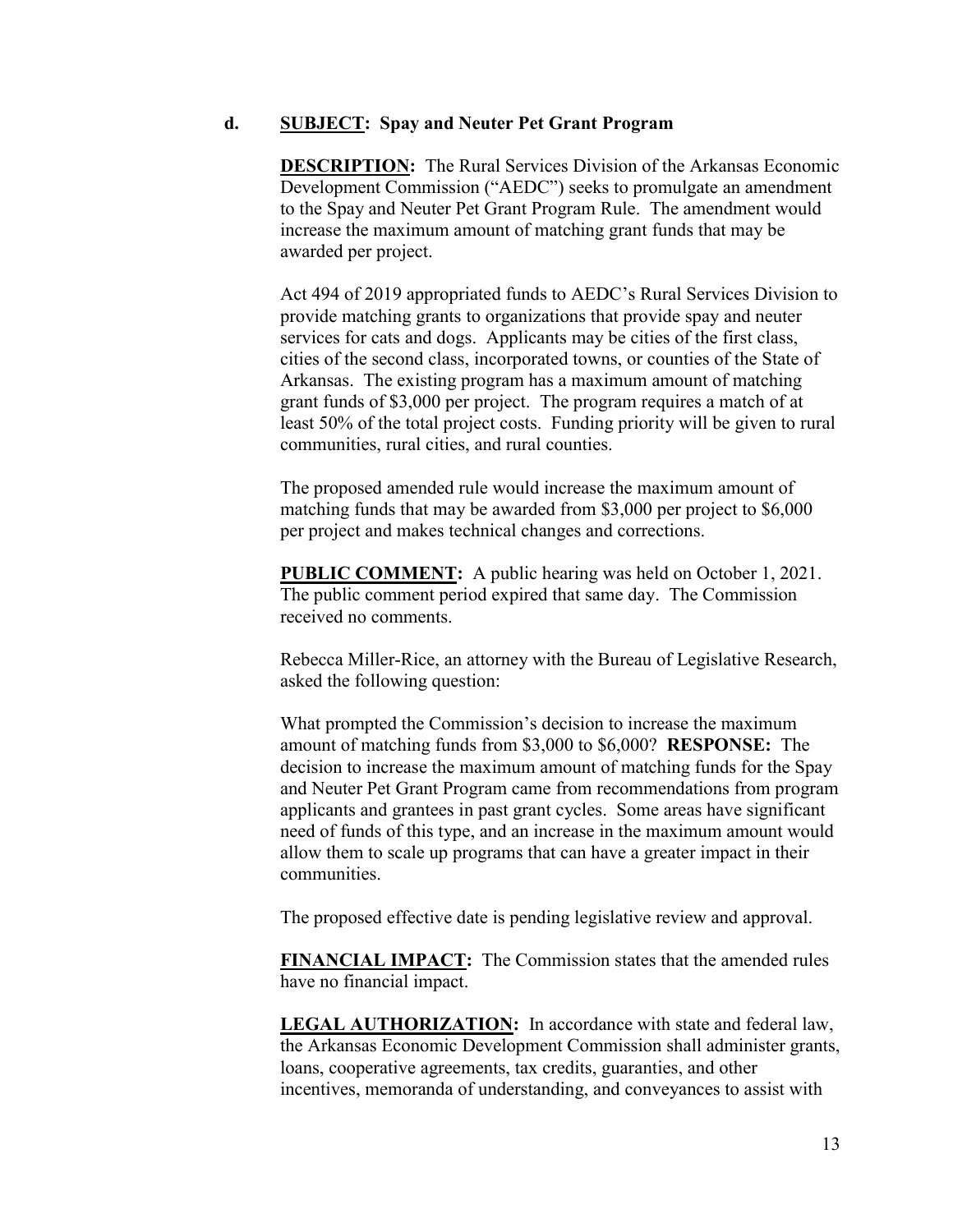### **d. SUBJECT: Spay and Neuter Pet Grant Program**

**DESCRIPTION:** The Rural Services Division of the Arkansas Economic Development Commission ("AEDC") seeks to promulgate an amendment to the Spay and Neuter Pet Grant Program Rule. The amendment would increase the maximum amount of matching grant funds that may be awarded per project.

Act 494 of 2019 appropriated funds to AEDC's Rural Services Division to provide matching grants to organizations that provide spay and neuter services for cats and dogs. Applicants may be cities of the first class, cities of the second class, incorporated towns, or counties of the State of Arkansas. The existing program has a maximum amount of matching grant funds of \$3,000 per project. The program requires a match of at least 50% of the total project costs. Funding priority will be given to rural communities, rural cities, and rural counties.

The proposed amended rule would increase the maximum amount of matching funds that may be awarded from \$3,000 per project to \$6,000 per project and makes technical changes and corrections.

**PUBLIC COMMENT:** A public hearing was held on October 1, 2021. The public comment period expired that same day. The Commission received no comments.

Rebecca Miller-Rice, an attorney with the Bureau of Legislative Research, asked the following question:

What prompted the Commission's decision to increase the maximum amount of matching funds from \$3,000 to \$6,000? **RESPONSE:** The decision to increase the maximum amount of matching funds for the Spay and Neuter Pet Grant Program came from recommendations from program applicants and grantees in past grant cycles. Some areas have significant need of funds of this type, and an increase in the maximum amount would allow them to scale up programs that can have a greater impact in their communities.

The proposed effective date is pending legislative review and approval.

**FINANCIAL IMPACT:** The Commission states that the amended rules have no financial impact.

**LEGAL AUTHORIZATION:** In accordance with state and federal law, the Arkansas Economic Development Commission shall administer grants, loans, cooperative agreements, tax credits, guaranties, and other incentives, memoranda of understanding, and conveyances to assist with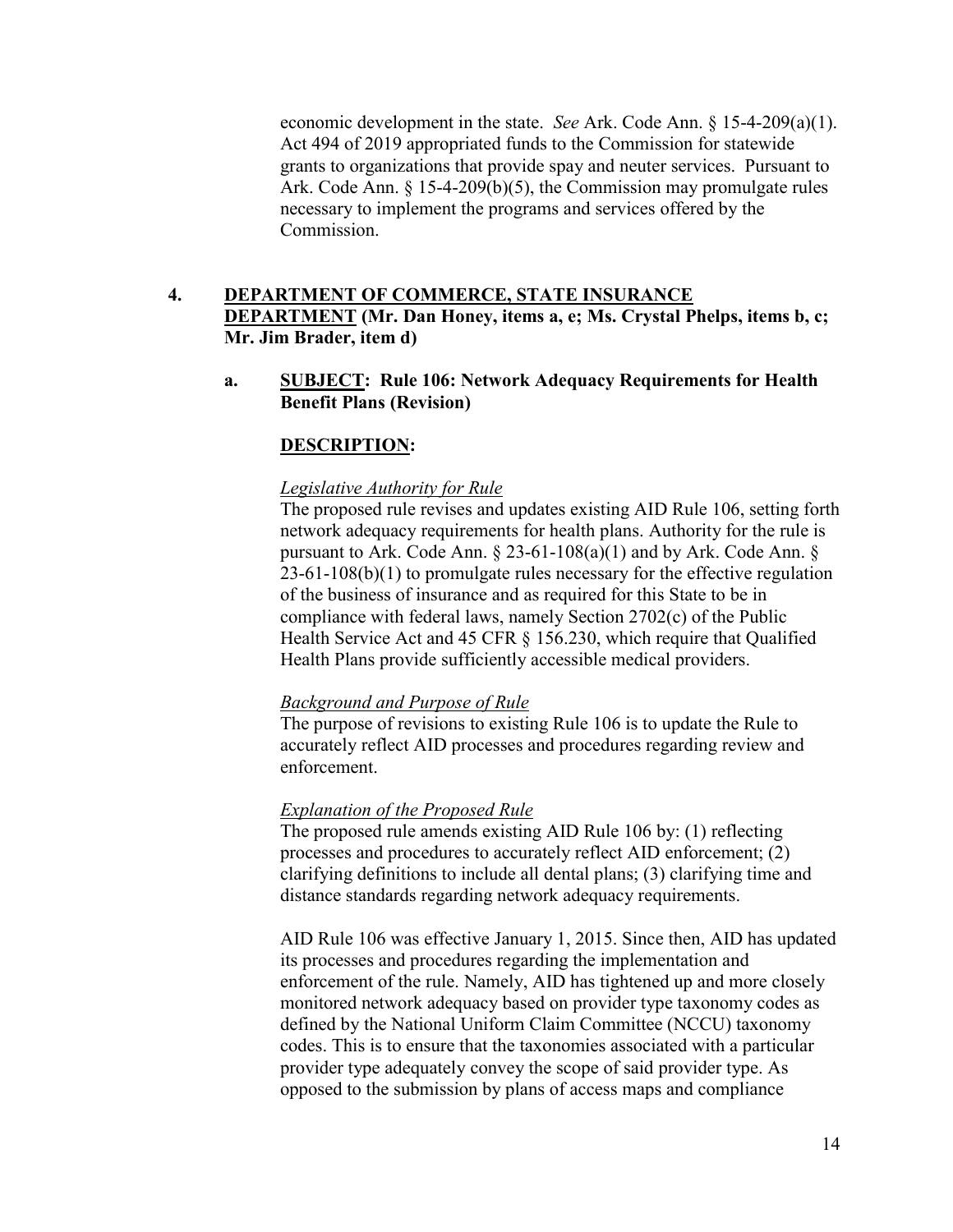economic development in the state. *See* Ark. Code Ann. § 15-4-209(a)(1). Act 494 of 2019 appropriated funds to the Commission for statewide grants to organizations that provide spay and neuter services. Pursuant to Ark. Code Ann. § 15-4-209(b)(5), the Commission may promulgate rules necessary to implement the programs and services offered by the Commission.

# **4. DEPARTMENT OF COMMERCE, STATE INSURANCE DEPARTMENT (Mr. Dan Honey, items a, e; Ms. Crystal Phelps, items b, c; Mr. Jim Brader, item d)**

**a. SUBJECT: Rule 106: Network Adequacy Requirements for Health Benefit Plans (Revision)**

# **DESCRIPTION:**

### *Legislative Authority for Rule*

The proposed rule revises and updates existing AID Rule 106, setting forth network adequacy requirements for health plans. Authority for the rule is pursuant to Ark. Code Ann.  $\S$  23-61-108(a)(1) and by Ark. Code Ann.  $\S$ 23-61-108(b)(1) to promulgate rules necessary for the effective regulation of the business of insurance and as required for this State to be in compliance with federal laws, namely Section 2702(c) of the Public Health Service Act and 45 CFR § 156.230, which require that Qualified Health Plans provide sufficiently accessible medical providers.

### *Background and Purpose of Rule*

The purpose of revisions to existing Rule 106 is to update the Rule to accurately reflect AID processes and procedures regarding review and enforcement.

## *Explanation of the Proposed Rule*

The proposed rule amends existing AID Rule 106 by: (1) reflecting processes and procedures to accurately reflect AID enforcement; (2) clarifying definitions to include all dental plans; (3) clarifying time and distance standards regarding network adequacy requirements.

AID Rule 106 was effective January 1, 2015. Since then, AID has updated its processes and procedures regarding the implementation and enforcement of the rule. Namely, AID has tightened up and more closely monitored network adequacy based on provider type taxonomy codes as defined by the National Uniform Claim Committee (NCCU) taxonomy codes. This is to ensure that the taxonomies associated with a particular provider type adequately convey the scope of said provider type. As opposed to the submission by plans of access maps and compliance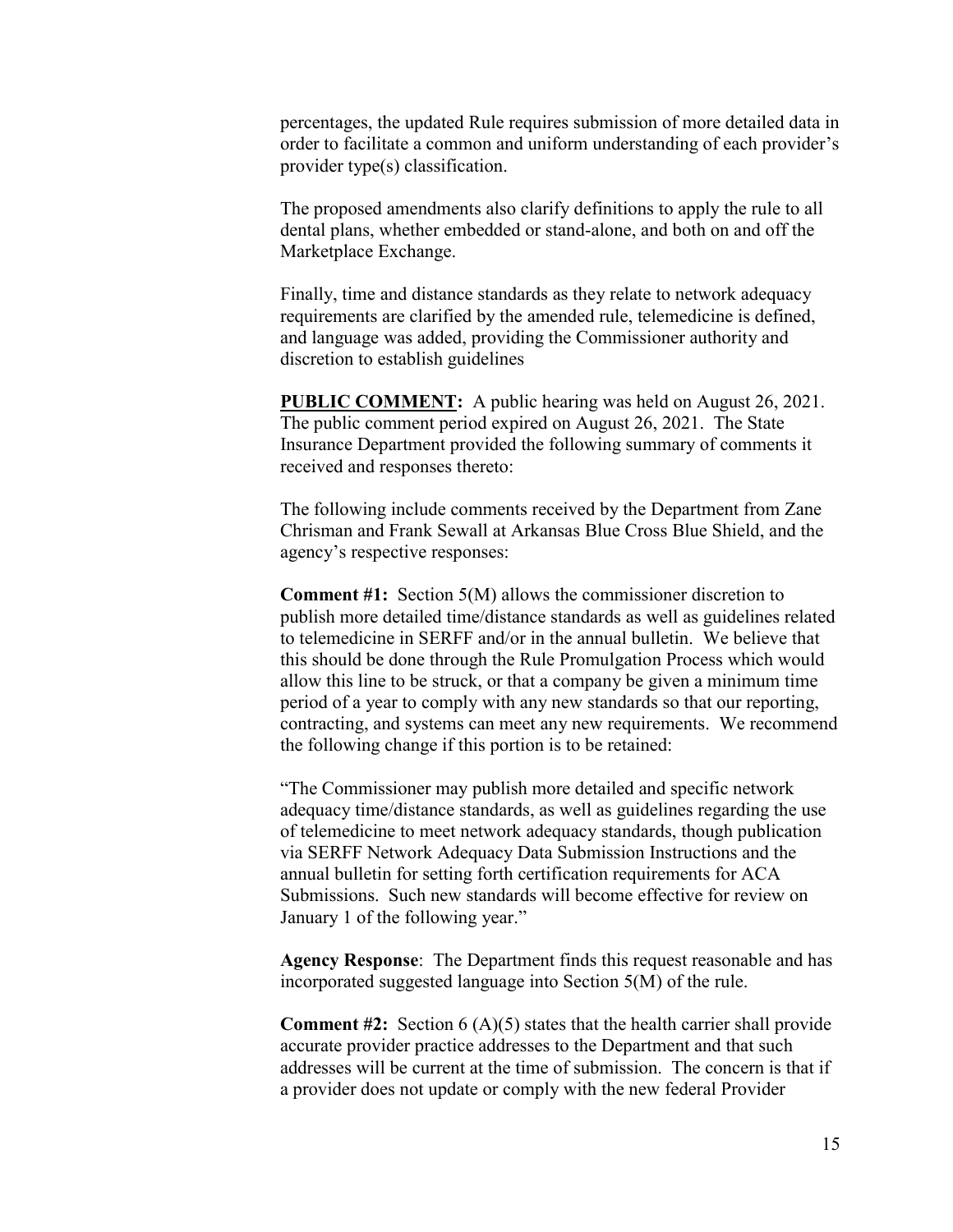percentages, the updated Rule requires submission of more detailed data in order to facilitate a common and uniform understanding of each provider's provider type(s) classification.

The proposed amendments also clarify definitions to apply the rule to all dental plans, whether embedded or stand-alone, and both on and off the Marketplace Exchange.

Finally, time and distance standards as they relate to network adequacy requirements are clarified by the amended rule, telemedicine is defined, and language was added, providing the Commissioner authority and discretion to establish guidelines

**PUBLIC COMMENT:** A public hearing was held on August 26, 2021. The public comment period expired on August 26, 2021. The State Insurance Department provided the following summary of comments it received and responses thereto:

The following include comments received by the Department from Zane Chrisman and Frank Sewall at Arkansas Blue Cross Blue Shield, and the agency's respective responses:

**Comment #1:** Section 5(M) allows the commissioner discretion to publish more detailed time/distance standards as well as guidelines related to telemedicine in SERFF and/or in the annual bulletin. We believe that this should be done through the Rule Promulgation Process which would allow this line to be struck, or that a company be given a minimum time period of a year to comply with any new standards so that our reporting, contracting, and systems can meet any new requirements. We recommend the following change if this portion is to be retained:

"The Commissioner may publish more detailed and specific network adequacy time/distance standards, as well as guidelines regarding the use of telemedicine to meet network adequacy standards, though publication via SERFF Network Adequacy Data Submission Instructions and the annual bulletin for setting forth certification requirements for ACA Submissions. Such new standards will become effective for review on January 1 of the following year."

**Agency Response**: The Department finds this request reasonable and has incorporated suggested language into Section 5(M) of the rule.

**Comment #2:** Section 6 (A)(5) states that the health carrier shall provide accurate provider practice addresses to the Department and that such addresses will be current at the time of submission. The concern is that if a provider does not update or comply with the new federal Provider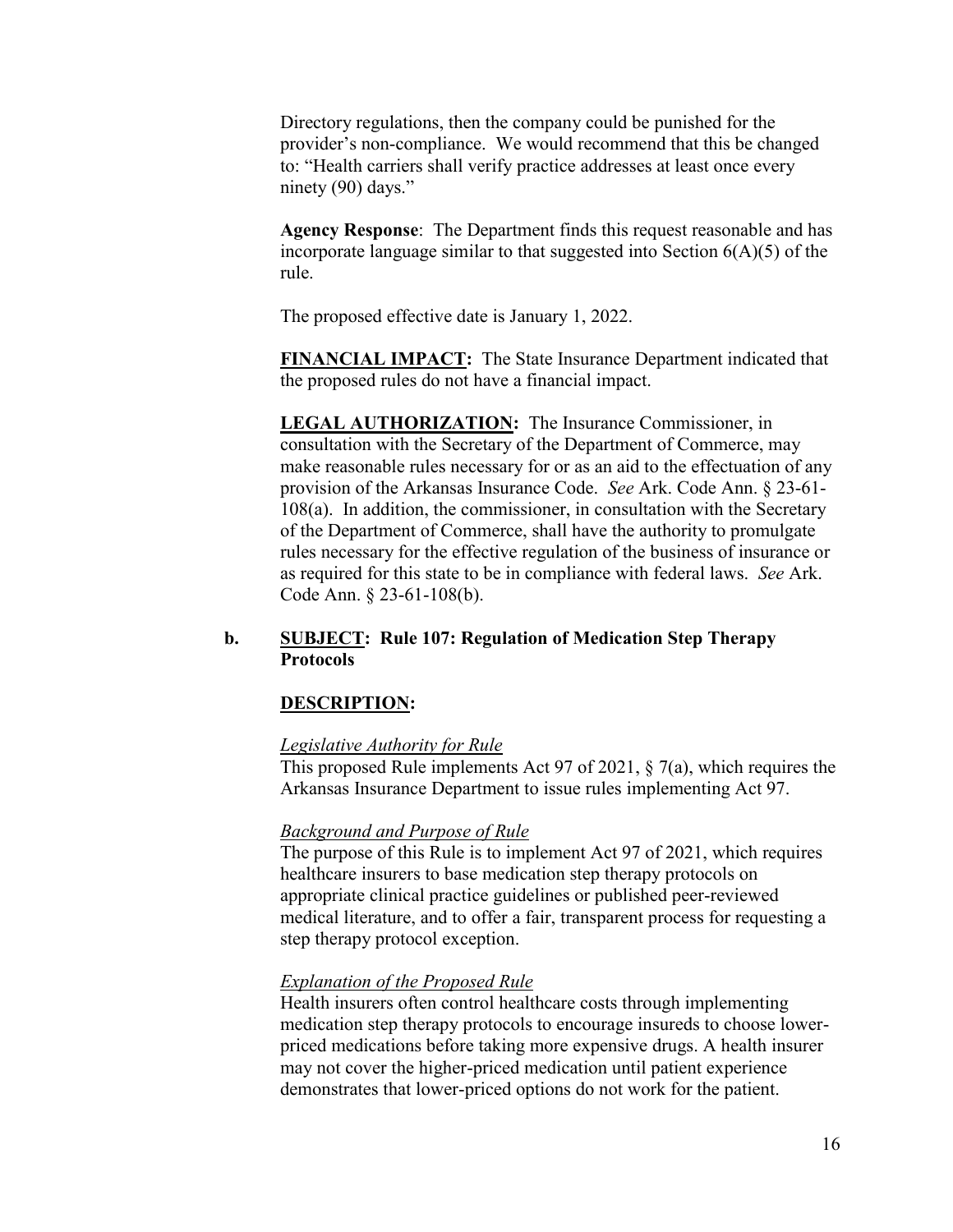Directory regulations, then the company could be punished for the provider's non-compliance. We would recommend that this be changed to: "Health carriers shall verify practice addresses at least once every ninety (90) days."

**Agency Response**: The Department finds this request reasonable and has incorporate language similar to that suggested into Section  $6(A)(5)$  of the rule.

The proposed effective date is January 1, 2022.

**FINANCIAL IMPACT:** The State Insurance Department indicated that the proposed rules do not have a financial impact.

**LEGAL AUTHORIZATION:** The Insurance Commissioner, in consultation with the Secretary of the Department of Commerce, may make reasonable rules necessary for or as an aid to the effectuation of any provision of the Arkansas Insurance Code. *See* Ark. Code Ann. § 23-61- 108(a). In addition, the commissioner, in consultation with the Secretary of the Department of Commerce, shall have the authority to promulgate rules necessary for the effective regulation of the business of insurance or as required for this state to be in compliance with federal laws. *See* Ark. Code Ann. § 23-61-108(b).

## **b. SUBJECT: Rule 107: Regulation of Medication Step Therapy Protocols**

### **DESCRIPTION:**

### *Legislative Authority for Rule*

This proposed Rule implements Act 97 of 2021, § 7(a), which requires the Arkansas Insurance Department to issue rules implementing Act 97.

#### *Background and Purpose of Rule*

The purpose of this Rule is to implement Act 97 of 2021, which requires healthcare insurers to base medication step therapy protocols on appropriate clinical practice guidelines or published peer-reviewed medical literature, and to offer a fair, transparent process for requesting a step therapy protocol exception.

#### *Explanation of the Proposed Rule*

Health insurers often control healthcare costs through implementing medication step therapy protocols to encourage insureds to choose lowerpriced medications before taking more expensive drugs. A health insurer may not cover the higher-priced medication until patient experience demonstrates that lower-priced options do not work for the patient.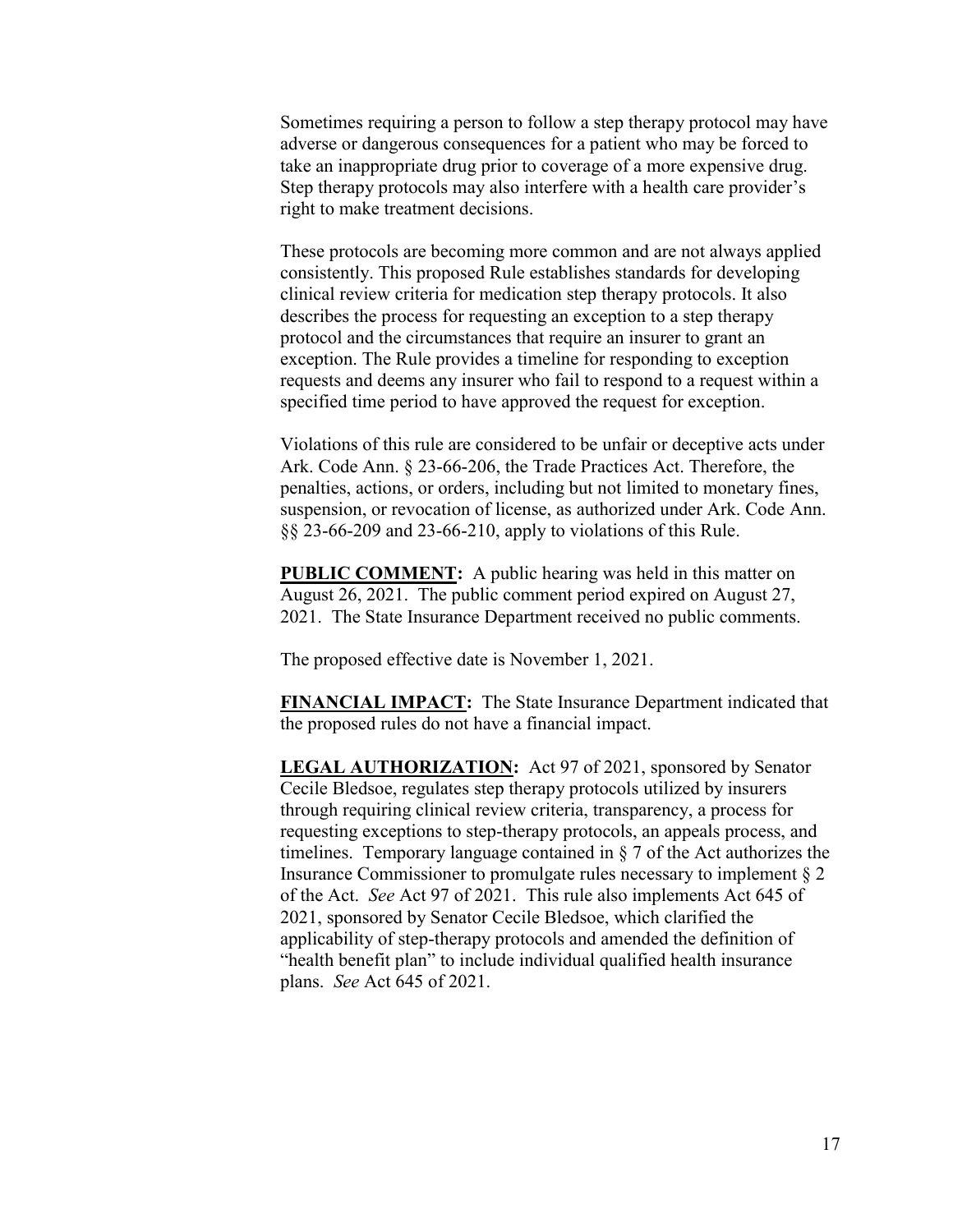Sometimes requiring a person to follow a step therapy protocol may have adverse or dangerous consequences for a patient who may be forced to take an inappropriate drug prior to coverage of a more expensive drug. Step therapy protocols may also interfere with a health care provider's right to make treatment decisions.

These protocols are becoming more common and are not always applied consistently. This proposed Rule establishes standards for developing clinical review criteria for medication step therapy protocols. It also describes the process for requesting an exception to a step therapy protocol and the circumstances that require an insurer to grant an exception. The Rule provides a timeline for responding to exception requests and deems any insurer who fail to respond to a request within a specified time period to have approved the request for exception.

Violations of this rule are considered to be unfair or deceptive acts under Ark. Code Ann. § 23-66-206, the Trade Practices Act. Therefore, the penalties, actions, or orders, including but not limited to monetary fines, suspension, or revocation of license, as authorized under Ark. Code Ann. §§ 23-66-209 and 23-66-210, apply to violations of this Rule.

**PUBLIC COMMENT:** A public hearing was held in this matter on August 26, 2021. The public comment period expired on August 27, 2021. The State Insurance Department received no public comments.

The proposed effective date is November 1, 2021.

**FINANCIAL IMPACT:** The State Insurance Department indicated that the proposed rules do not have a financial impact.

**LEGAL AUTHORIZATION:** Act 97 of 2021, sponsored by Senator Cecile Bledsoe, regulates step therapy protocols utilized by insurers through requiring clinical review criteria, transparency, a process for requesting exceptions to step-therapy protocols, an appeals process, and timelines. Temporary language contained in § 7 of the Act authorizes the Insurance Commissioner to promulgate rules necessary to implement § 2 of the Act. *See* Act 97 of 2021. This rule also implements Act 645 of 2021, sponsored by Senator Cecile Bledsoe, which clarified the applicability of step-therapy protocols and amended the definition of "health benefit plan" to include individual qualified health insurance plans. *See* Act 645 of 2021.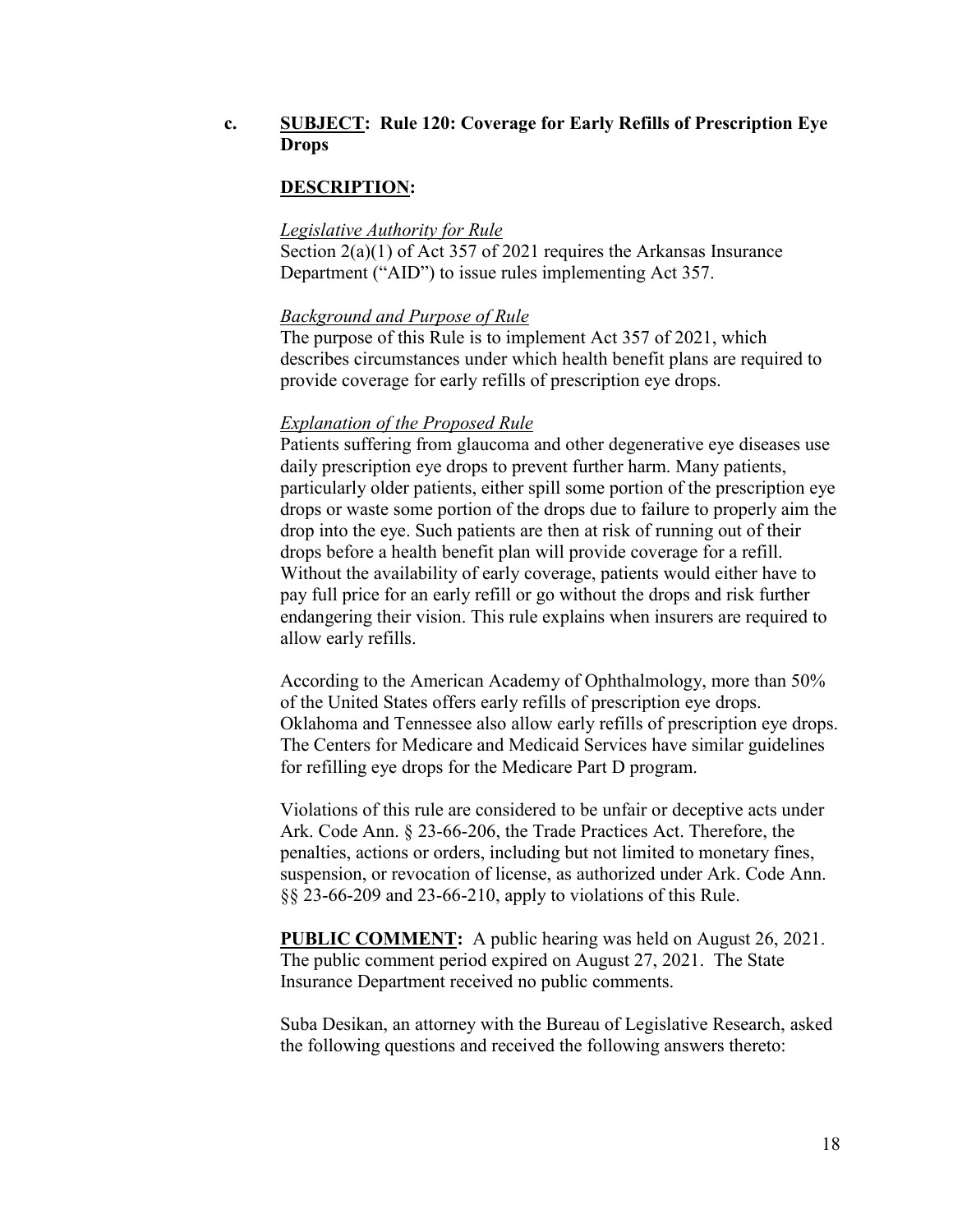## **c. SUBJECT: Rule 120: Coverage for Early Refills of Prescription Eye Drops**

### **DESCRIPTION:**

### *Legislative Authority for Rule*

Section 2(a)(1) of Act 357 of 2021 requires the Arkansas Insurance Department ("AID") to issue rules implementing Act 357.

#### *Background and Purpose of Rule*

The purpose of this Rule is to implement Act 357 of 2021, which describes circumstances under which health benefit plans are required to provide coverage for early refills of prescription eye drops.

#### *Explanation of the Proposed Rule*

Patients suffering from glaucoma and other degenerative eye diseases use daily prescription eye drops to prevent further harm. Many patients, particularly older patients, either spill some portion of the prescription eye drops or waste some portion of the drops due to failure to properly aim the drop into the eye. Such patients are then at risk of running out of their drops before a health benefit plan will provide coverage for a refill. Without the availability of early coverage, patients would either have to pay full price for an early refill or go without the drops and risk further endangering their vision. This rule explains when insurers are required to allow early refills.

According to the American Academy of Ophthalmology, more than 50% of the United States offers early refills of prescription eye drops. Oklahoma and Tennessee also allow early refills of prescription eye drops. The Centers for Medicare and Medicaid Services have similar guidelines for refilling eye drops for the Medicare Part D program.

Violations of this rule are considered to be unfair or deceptive acts under Ark. Code Ann. § 23-66-206, the Trade Practices Act. Therefore, the penalties, actions or orders, including but not limited to monetary fines, suspension, or revocation of license, as authorized under Ark. Code Ann. §§ 23-66-209 and 23-66-210, apply to violations of this Rule.

**PUBLIC COMMENT:** A public hearing was held on August 26, 2021. The public comment period expired on August 27, 2021. The State Insurance Department received no public comments.

Suba Desikan, an attorney with the Bureau of Legislative Research, asked the following questions and received the following answers thereto: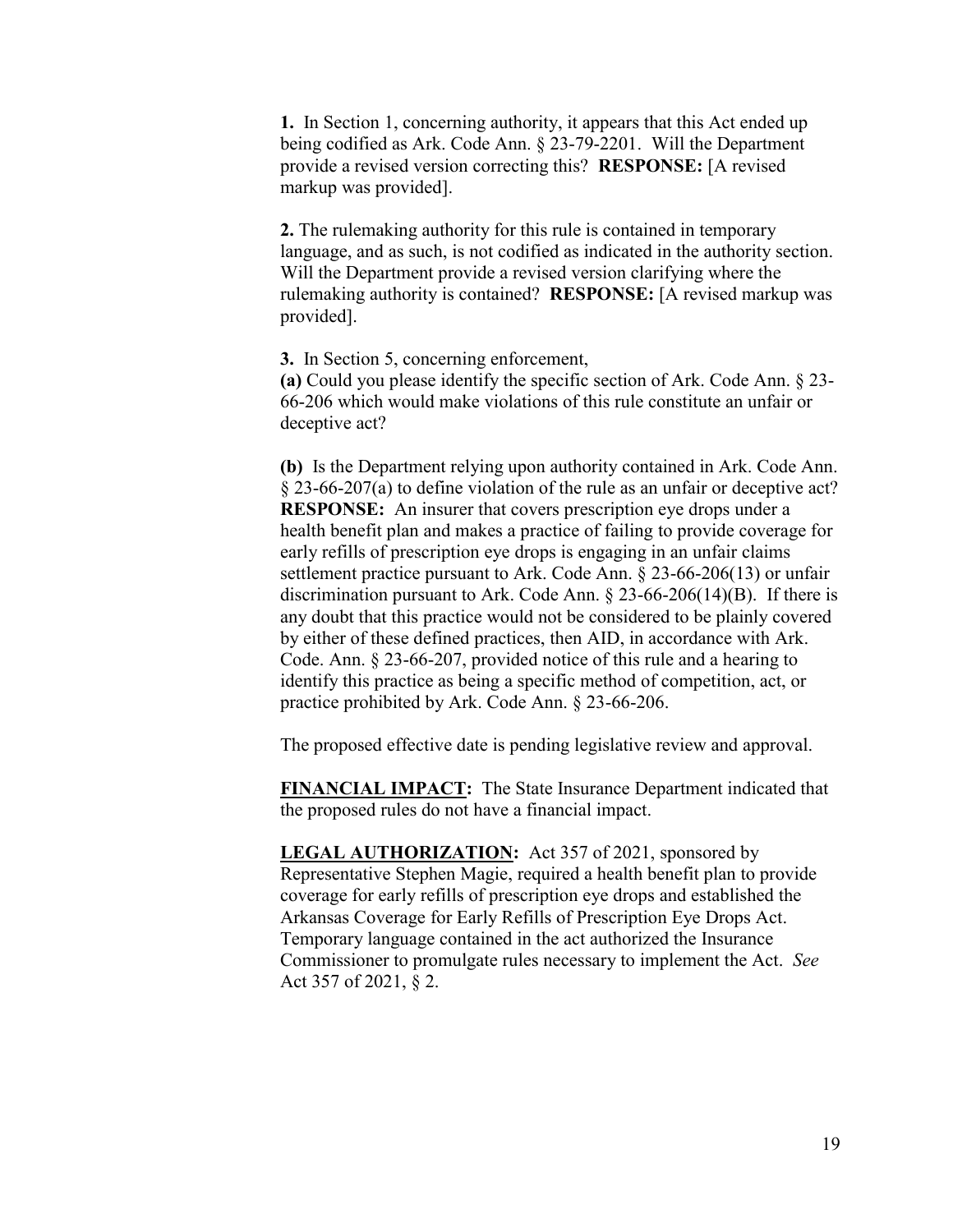**1.** In Section 1, concerning authority, it appears that this Act ended up being codified as Ark. Code Ann. § 23-79-2201. Will the Department provide a revised version correcting this? **RESPONSE:** [A revised markup was provided].

**2.** The rulemaking authority for this rule is contained in temporary language, and as such, is not codified as indicated in the authority section. Will the Department provide a revised version clarifying where the rulemaking authority is contained? **RESPONSE:** [A revised markup was provided].

**3.** In Section 5, concerning enforcement, **(a)** Could you please identify the specific section of Ark. Code Ann. § 23- 66-206 which would make violations of this rule constitute an unfair or deceptive act?

**(b)** Is the Department relying upon authority contained in Ark. Code Ann. § 23-66-207(a) to define violation of the rule as an unfair or deceptive act? **RESPONSE:** An insurer that covers prescription eye drops under a health benefit plan and makes a practice of failing to provide coverage for early refills of prescription eye drops is engaging in an unfair claims settlement practice pursuant to Ark. Code Ann. § 23-66-206(13) or unfair discrimination pursuant to Ark. Code Ann. § 23-66-206(14)(B). If there is any doubt that this practice would not be considered to be plainly covered by either of these defined practices, then AID, in accordance with Ark. Code. Ann. § 23-66-207, provided notice of this rule and a hearing to identify this practice as being a specific method of competition, act, or practice prohibited by Ark. Code Ann. § 23-66-206.

The proposed effective date is pending legislative review and approval.

**FINANCIAL IMPACT:** The State Insurance Department indicated that the proposed rules do not have a financial impact.

**LEGAL AUTHORIZATION:** Act 357 of 2021, sponsored by Representative Stephen Magie, required a health benefit plan to provide coverage for early refills of prescription eye drops and established the Arkansas Coverage for Early Refills of Prescription Eye Drops Act. Temporary language contained in the act authorized the Insurance Commissioner to promulgate rules necessary to implement the Act. *See*  Act 357 of 2021, § 2.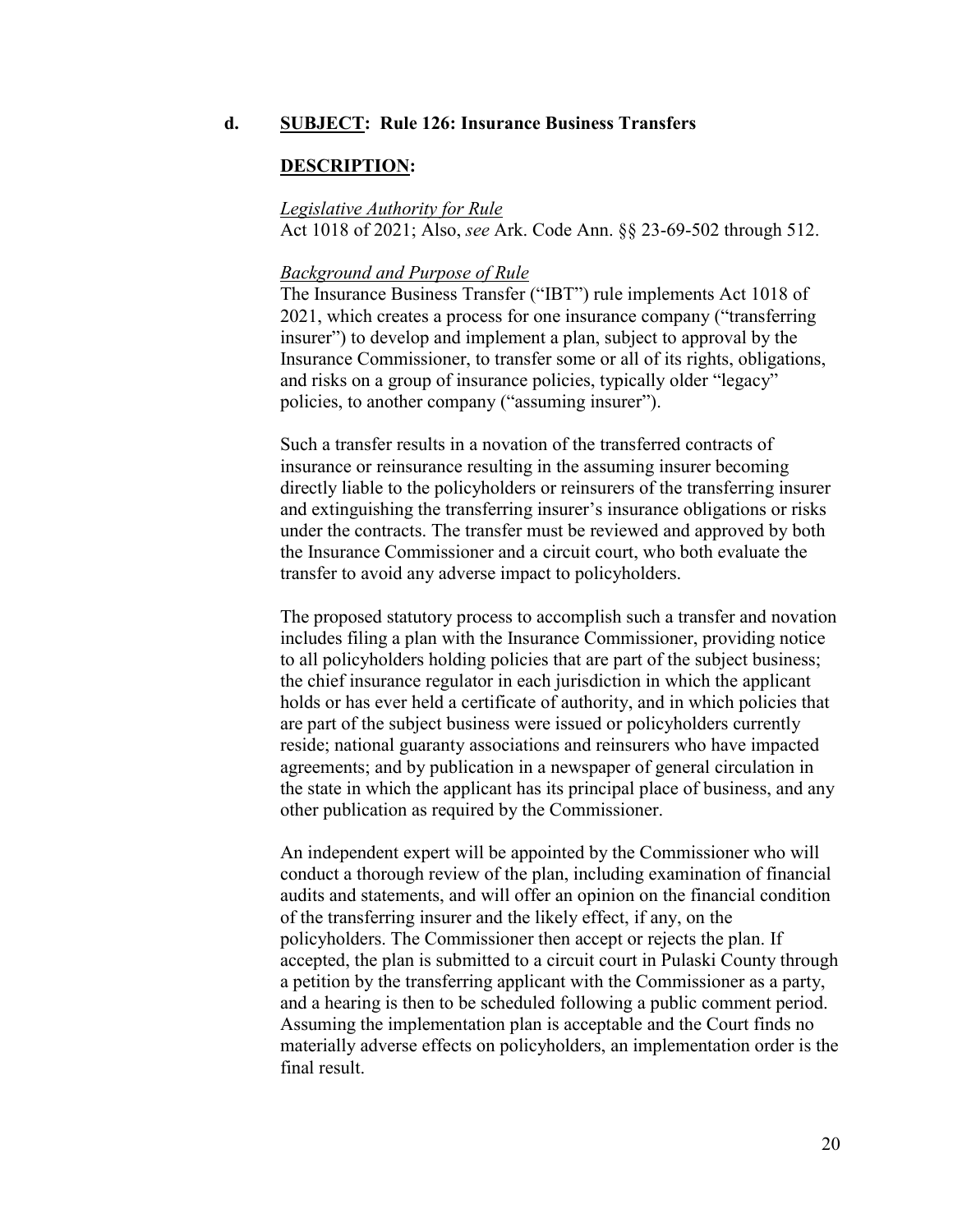### **d. SUBJECT: Rule 126: Insurance Business Transfers**

#### **DESCRIPTION:**

#### *Legislative Authority for Rule*

Act 1018 of 2021; Also, *see* Ark. Code Ann. §§ 23-69-502 through 512.

#### *Background and Purpose of Rule*

The Insurance Business Transfer ("IBT") rule implements Act 1018 of 2021, which creates a process for one insurance company ("transferring insurer") to develop and implement a plan, subject to approval by the Insurance Commissioner, to transfer some or all of its rights, obligations, and risks on a group of insurance policies, typically older "legacy" policies, to another company ("assuming insurer").

Such a transfer results in a novation of the transferred contracts of insurance or reinsurance resulting in the assuming insurer becoming directly liable to the policyholders or reinsurers of the transferring insurer and extinguishing the transferring insurer's insurance obligations or risks under the contracts. The transfer must be reviewed and approved by both the Insurance Commissioner and a circuit court, who both evaluate the transfer to avoid any adverse impact to policyholders.

The proposed statutory process to accomplish such a transfer and novation includes filing a plan with the Insurance Commissioner, providing notice to all policyholders holding policies that are part of the subject business; the chief insurance regulator in each jurisdiction in which the applicant holds or has ever held a certificate of authority, and in which policies that are part of the subject business were issued or policyholders currently reside; national guaranty associations and reinsurers who have impacted agreements; and by publication in a newspaper of general circulation in the state in which the applicant has its principal place of business, and any other publication as required by the Commissioner.

An independent expert will be appointed by the Commissioner who will conduct a thorough review of the plan, including examination of financial audits and statements, and will offer an opinion on the financial condition of the transferring insurer and the likely effect, if any, on the policyholders. The Commissioner then accept or rejects the plan. If accepted, the plan is submitted to a circuit court in Pulaski County through a petition by the transferring applicant with the Commissioner as a party, and a hearing is then to be scheduled following a public comment period. Assuming the implementation plan is acceptable and the Court finds no materially adverse effects on policyholders, an implementation order is the final result.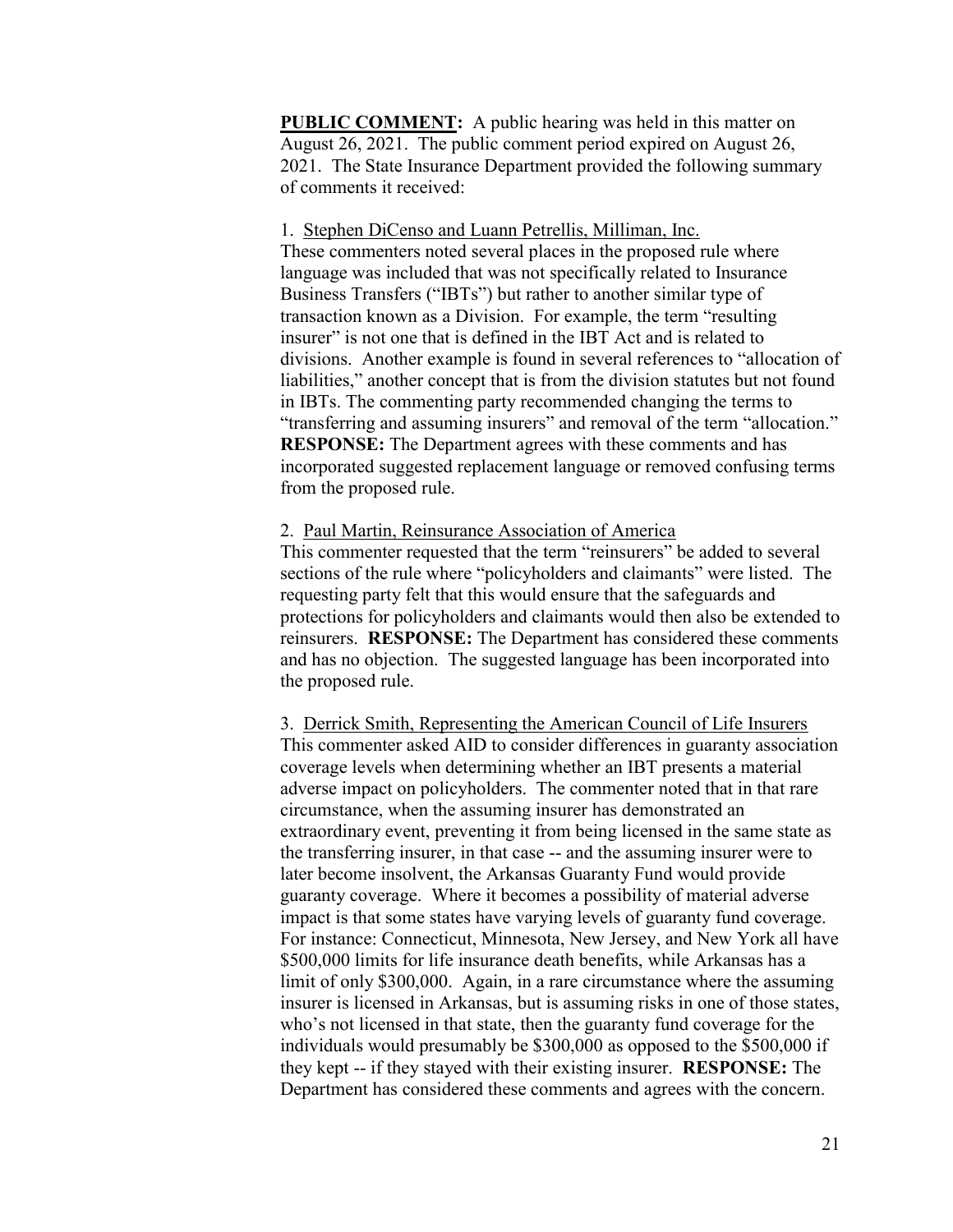**PUBLIC COMMENT:** A public hearing was held in this matter on August 26, 2021. The public comment period expired on August 26, 2021. The State Insurance Department provided the following summary of comments it received:

#### 1. Stephen DiCenso and Luann Petrellis, Milliman, Inc.

These commenters noted several places in the proposed rule where language was included that was not specifically related to Insurance Business Transfers ("IBTs") but rather to another similar type of transaction known as a Division. For example, the term "resulting insurer" is not one that is defined in the IBT Act and is related to divisions. Another example is found in several references to "allocation of liabilities," another concept that is from the division statutes but not found in IBTs. The commenting party recommended changing the terms to "transferring and assuming insurers" and removal of the term "allocation." **RESPONSE:** The Department agrees with these comments and has incorporated suggested replacement language or removed confusing terms from the proposed rule.

### 2. Paul Martin, Reinsurance Association of America

This commenter requested that the term "reinsurers" be added to several sections of the rule where "policyholders and claimants" were listed. The requesting party felt that this would ensure that the safeguards and protections for policyholders and claimants would then also be extended to reinsurers. **RESPONSE:** The Department has considered these comments and has no objection. The suggested language has been incorporated into the proposed rule.

3. Derrick Smith, Representing the American Council of Life Insurers This commenter asked AID to consider differences in guaranty association coverage levels when determining whether an IBT presents a material adverse impact on policyholders. The commenter noted that in that rare circumstance, when the assuming insurer has demonstrated an extraordinary event, preventing it from being licensed in the same state as the transferring insurer, in that case -- and the assuming insurer were to later become insolvent, the Arkansas Guaranty Fund would provide guaranty coverage. Where it becomes a possibility of material adverse impact is that some states have varying levels of guaranty fund coverage. For instance: Connecticut, Minnesota, New Jersey, and New York all have \$500,000 limits for life insurance death benefits, while Arkansas has a limit of only \$300,000. Again, in a rare circumstance where the assuming insurer is licensed in Arkansas, but is assuming risks in one of those states, who's not licensed in that state, then the guaranty fund coverage for the individuals would presumably be \$300,000 as opposed to the \$500,000 if they kept -- if they stayed with their existing insurer.**RESPONSE:** The Department has considered these comments and agrees with the concern.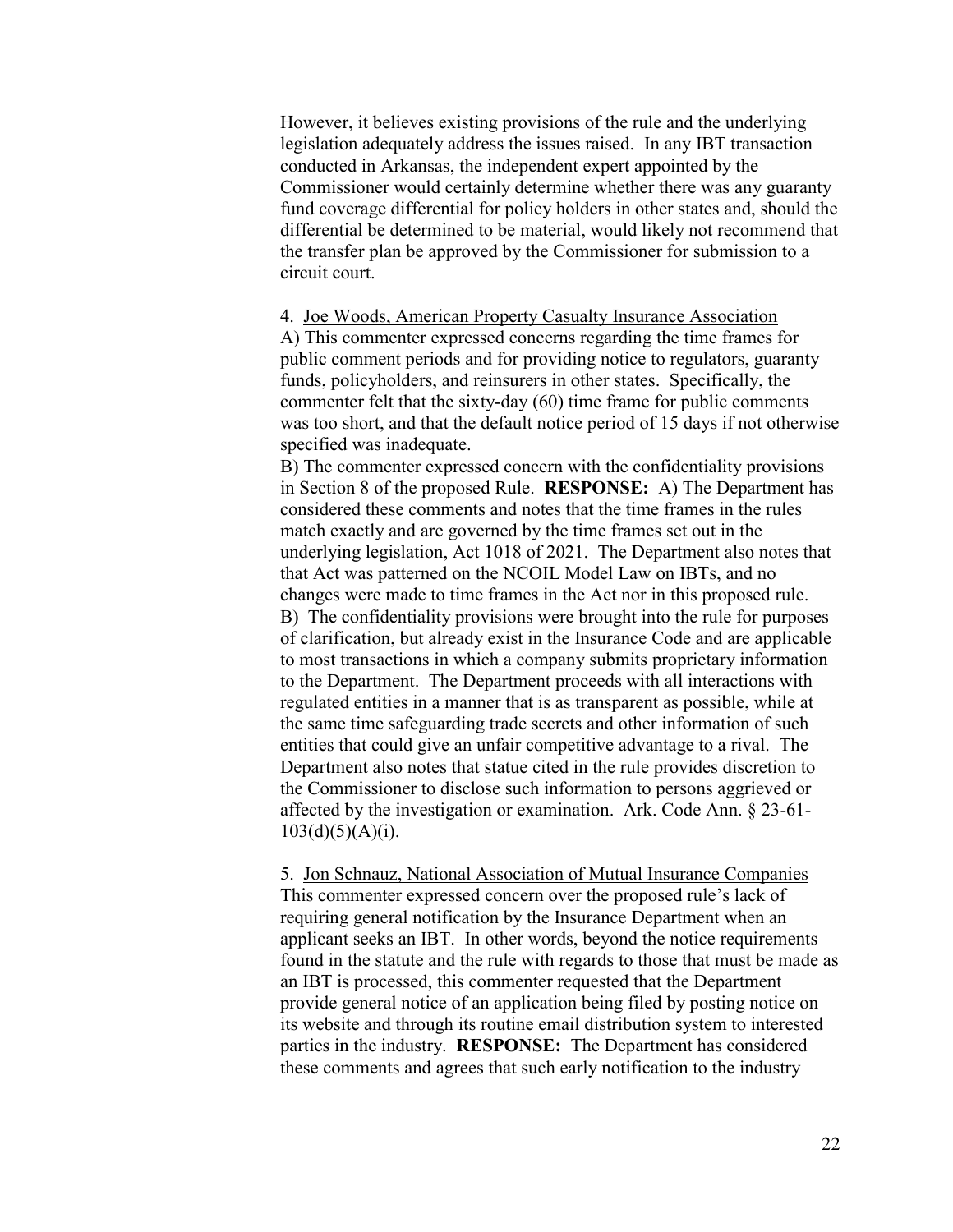However, it believes existing provisions of the rule and the underlying legislation adequately address the issues raised. In any IBT transaction conducted in Arkansas, the independent expert appointed by the Commissioner would certainly determine whether there was any guaranty fund coverage differential for policy holders in other states and, should the differential be determined to be material, would likely not recommend that the transfer plan be approved by the Commissioner for submission to a circuit court.

4. Joe Woods, American Property Casualty Insurance Association A) This commenter expressed concerns regarding the time frames for public comment periods and for providing notice to regulators, guaranty funds, policyholders, and reinsurers in other states. Specifically, the commenter felt that the sixty-day (60) time frame for public comments was too short, and that the default notice period of 15 days if not otherwise specified was inadequate.

B) The commenter expressed concern with the confidentiality provisions in Section 8 of the proposed Rule. **RESPONSE:** A) The Department has considered these comments and notes that the time frames in the rules match exactly and are governed by the time frames set out in the underlying legislation, Act 1018 of 2021. The Department also notes that that Act was patterned on the NCOIL Model Law on IBTs, and no changes were made to time frames in the Act nor in this proposed rule. B) The confidentiality provisions were brought into the rule for purposes of clarification, but already exist in the Insurance Code and are applicable to most transactions in which a company submits proprietary information to the Department. The Department proceeds with all interactions with regulated entities in a manner that is as transparent as possible, while at the same time safeguarding trade secrets and other information of such entities that could give an unfair competitive advantage to a rival. The Department also notes that statue cited in the rule provides discretion to the Commissioner to disclose such information to persons aggrieved or affected by the investigation or examination. Ark. Code Ann. § 23-61-  $103(d)(5)(A)(i)$ .

5. Jon Schnauz, National Association of Mutual Insurance Companies This commenter expressed concern over the proposed rule's lack of requiring general notification by the Insurance Department when an applicant seeks an IBT. In other words, beyond the notice requirements found in the statute and the rule with regards to those that must be made as an IBT is processed, this commenter requested that the Department provide general notice of an application being filed by posting notice on its website and through its routine email distribution system to interested parties in the industry. **RESPONSE:** The Department has considered these comments and agrees that such early notification to the industry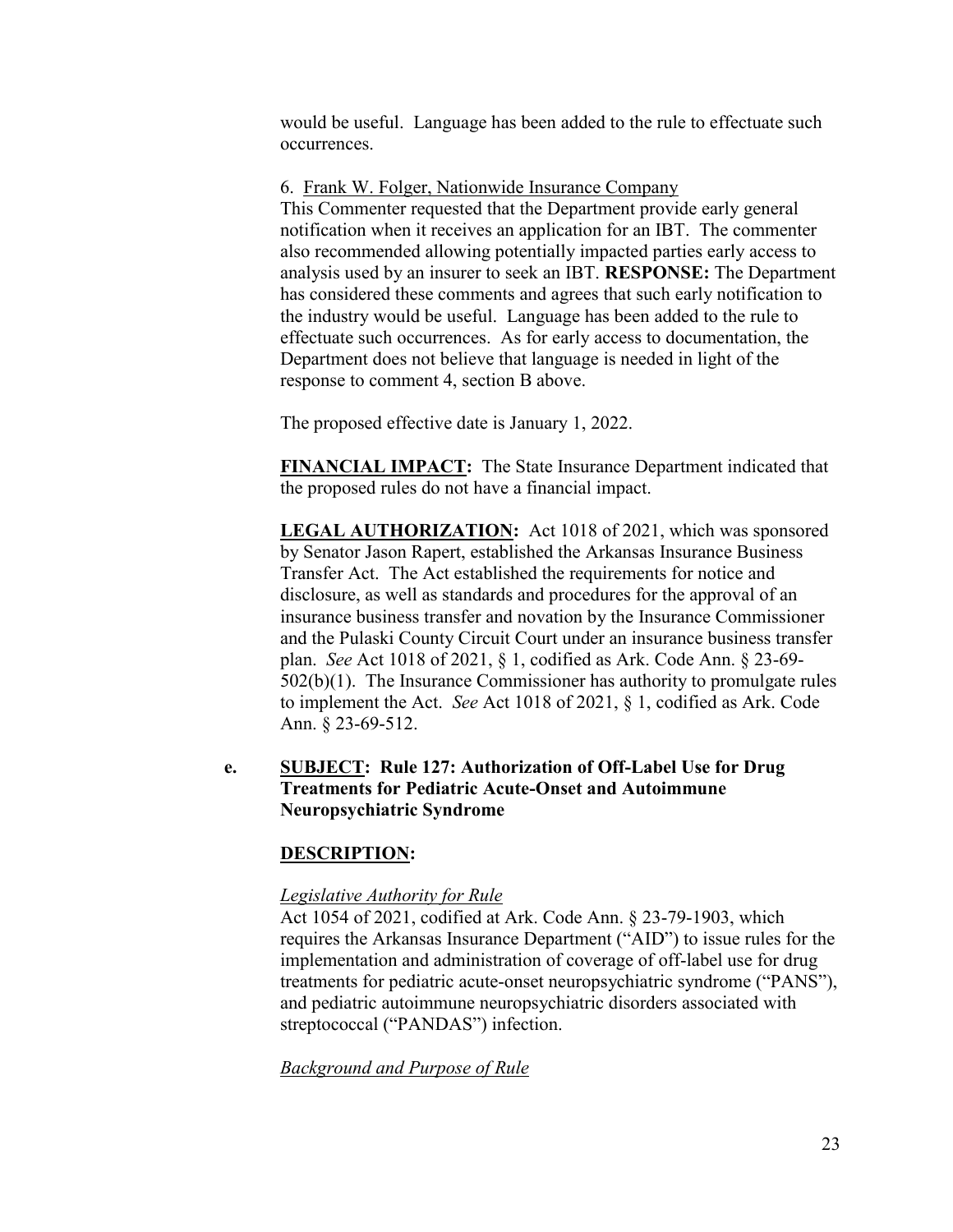would be useful. Language has been added to the rule to effectuate such occurrences.

6. Frank W. Folger, Nationwide Insurance Company

This Commenter requested that the Department provide early general notification when it receives an application for an IBT. The commenter also recommended allowing potentially impacted parties early access to analysis used by an insurer to seek an IBT. **RESPONSE:** The Department has considered these comments and agrees that such early notification to the industry would be useful. Language has been added to the rule to effectuate such occurrences. As for early access to documentation, the Department does not believe that language is needed in light of the response to comment 4, section B above.

The proposed effective date is January 1, 2022.

**FINANCIAL IMPACT:** The State Insurance Department indicated that the proposed rules do not have a financial impact.

**LEGAL AUTHORIZATION:** Act 1018 of 2021, which was sponsored by Senator Jason Rapert, established the Arkansas Insurance Business Transfer Act. The Act established the requirements for notice and disclosure, as well as standards and procedures for the approval of an insurance business transfer and novation by the Insurance Commissioner and the Pulaski County Circuit Court under an insurance business transfer plan. *See* Act 1018 of 2021, § 1, codified as Ark. Code Ann. § 23-69- 502(b)(1). The Insurance Commissioner has authority to promulgate rules to implement the Act. *See* Act 1018 of 2021, § 1, codified as Ark. Code Ann. § 23-69-512.

# **e. SUBJECT: Rule 127: Authorization of Off-Label Use for Drug Treatments for Pediatric Acute-Onset and Autoimmune Neuropsychiatric Syndrome**

# **DESCRIPTION:**

# *Legislative Authority for Rule*

Act 1054 of 2021, codified at Ark. Code Ann. § 23-79-1903, which requires the Arkansas Insurance Department ("AID") to issue rules for the implementation and administration of coverage of off-label use for drug treatments for pediatric acute-onset neuropsychiatric syndrome ("PANS"), and pediatric autoimmune neuropsychiatric disorders associated with streptococcal ("PANDAS") infection.

*Background and Purpose of Rule*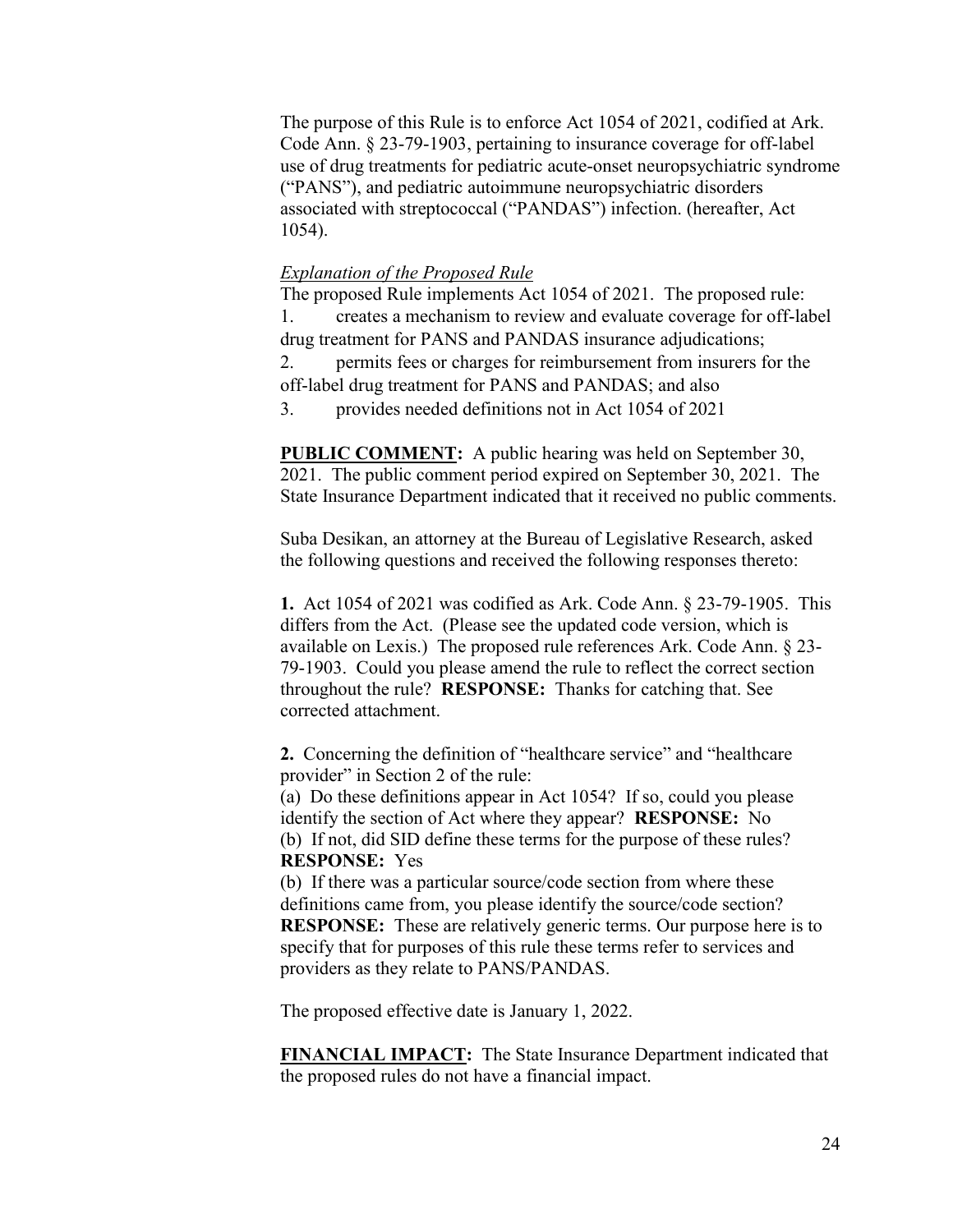The purpose of this Rule is to enforce Act 1054 of 2021, codified at Ark. Code Ann. § 23-79-1903, pertaining to insurance coverage for off-label use of drug treatments for pediatric acute-onset neuropsychiatric syndrome ("PANS"), and pediatric autoimmune neuropsychiatric disorders associated with streptococcal ("PANDAS") infection. (hereafter, Act 1054).

### *Explanation of the Proposed Rule*

The proposed Rule implements Act 1054 of 2021. The proposed rule: 1. creates a mechanism to review and evaluate coverage for off-label drug treatment for PANS and PANDAS insurance adjudications; 2. permits fees or charges for reimbursement from insurers for the off-label drug treatment for PANS and PANDAS; and also

3. provides needed definitions not in Act 1054 of 2021

**PUBLIC COMMENT:** A public hearing was held on September 30, 2021. The public comment period expired on September 30, 2021. The State Insurance Department indicated that it received no public comments.

Suba Desikan, an attorney at the Bureau of Legislative Research, asked the following questions and received the following responses thereto:

**1.** Act 1054 of 2021 was codified as Ark. Code Ann. § 23-79-1905. This differs from the Act. (Please see the updated code version, which is available on Lexis.) The proposed rule references Ark. Code Ann. § 23- 79-1903. Could you please amend the rule to reflect the correct section throughout the rule? **RESPONSE:** Thanks for catching that. See corrected attachment.

**2.** Concerning the definition of "healthcare service" and "healthcare provider" in Section 2 of the rule:

(a) Do these definitions appear in Act 1054? If so, could you please identify the section of Act where they appear? **RESPONSE:** No (b) If not, did SID define these terms for the purpose of these rules? **RESPONSE:** Yes

(b) If there was a particular source/code section from where these definitions came from, you please identify the source/code section? **RESPONSE:** These are relatively generic terms. Our purpose here is to specify that for purposes of this rule these terms refer to services and providers as they relate to PANS/PANDAS.

The proposed effective date is January 1, 2022.

**FINANCIAL IMPACT:** The State Insurance Department indicated that the proposed rules do not have a financial impact.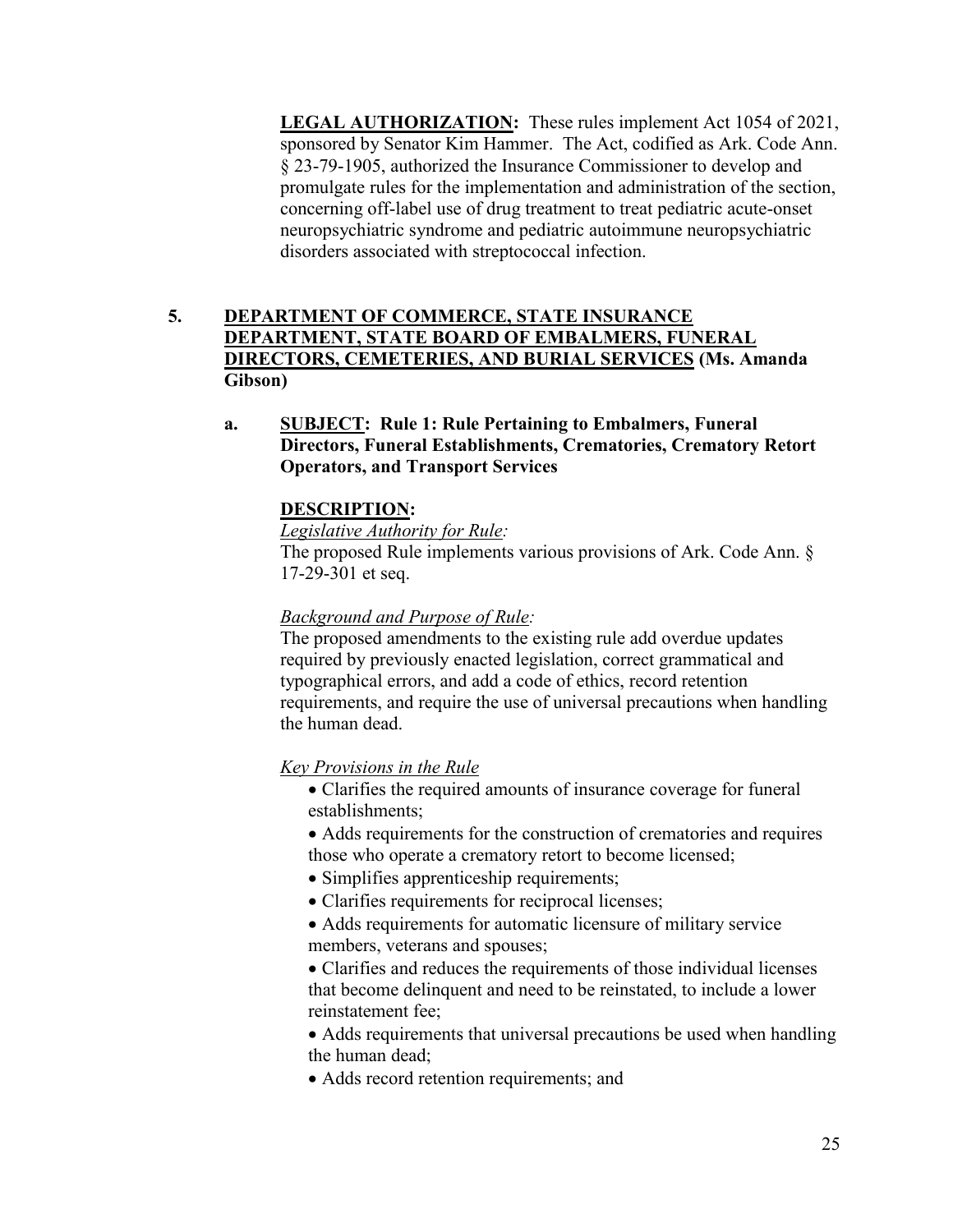**LEGAL AUTHORIZATION:** These rules implement Act 1054 of 2021, sponsored by Senator Kim Hammer. The Act, codified as Ark. Code Ann. § 23-79-1905, authorized the Insurance Commissioner to develop and promulgate rules for the implementation and administration of the section, concerning off-label use of drug treatment to treat pediatric acute-onset neuropsychiatric syndrome and pediatric autoimmune neuropsychiatric disorders associated with streptococcal infection.

# **5. DEPARTMENT OF COMMERCE, STATE INSURANCE DEPARTMENT, STATE BOARD OF EMBALMERS, FUNERAL DIRECTORS, CEMETERIES, AND BURIAL SERVICES (Ms. Amanda Gibson)**

**a. SUBJECT: Rule 1: Rule Pertaining to Embalmers, Funeral Directors, Funeral Establishments, Crematories, Crematory Retort Operators, and Transport Services**

# **DESCRIPTION:**

*Legislative Authority for Rule:*

The proposed Rule implements various provisions of Ark. Code Ann. § 17-29-301 et seq.

# *Background and Purpose of Rule:*

The proposed amendments to the existing rule add overdue updates required by previously enacted legislation, correct grammatical and typographical errors, and add a code of ethics, record retention requirements, and require the use of universal precautions when handling the human dead.

*Key Provisions in the Rule*

- Clarifies the required amounts of insurance coverage for funeral establishments;
- Adds requirements for the construction of crematories and requires those who operate a crematory retort to become licensed;
- Simplifies apprenticeship requirements;
- Clarifies requirements for reciprocal licenses;
- Adds requirements for automatic licensure of military service members, veterans and spouses;

 Clarifies and reduces the requirements of those individual licenses that become delinquent and need to be reinstated, to include a lower reinstatement fee;

• Adds requirements that universal precautions be used when handling the human dead;

Adds record retention requirements; and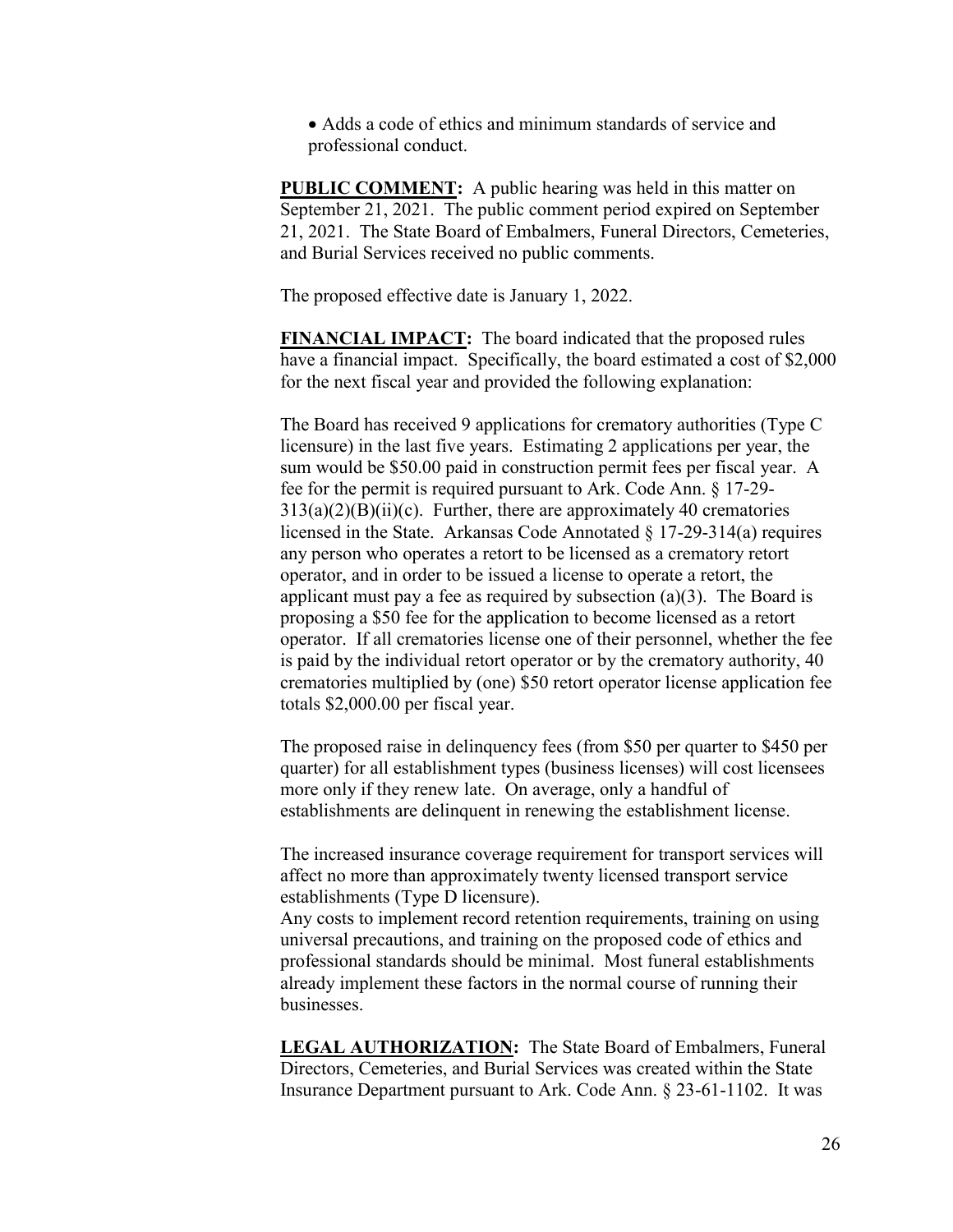Adds a code of ethics and minimum standards of service and professional conduct.

**PUBLIC COMMENT:** A public hearing was held in this matter on September 21, 2021. The public comment period expired on September 21, 2021. The State Board of Embalmers, Funeral Directors, Cemeteries, and Burial Services received no public comments.

The proposed effective date is January 1, 2022.

**FINANCIAL IMPACT:** The board indicated that the proposed rules have a financial impact. Specifically, the board estimated a cost of \$2,000 for the next fiscal year and provided the following explanation:

The Board has received 9 applications for crematory authorities (Type C licensure) in the last five years. Estimating 2 applications per year, the sum would be \$50.00 paid in construction permit fees per fiscal year. A fee for the permit is required pursuant to Ark. Code Ann. § 17-29-  $313(a)(2)(B)(ii)(c)$ . Further, there are approximately 40 crematories licensed in the State. Arkansas Code Annotated § 17-29-314(a) requires any person who operates a retort to be licensed as a crematory retort operator, and in order to be issued a license to operate a retort, the applicant must pay a fee as required by subsection  $(a)(3)$ . The Board is proposing a \$50 fee for the application to become licensed as a retort operator. If all crematories license one of their personnel, whether the fee is paid by the individual retort operator or by the crematory authority, 40 crematories multiplied by (one) \$50 retort operator license application fee totals \$2,000.00 per fiscal year.

The proposed raise in delinquency fees (from \$50 per quarter to \$450 per quarter) for all establishment types (business licenses) will cost licensees more only if they renew late. On average, only a handful of establishments are delinquent in renewing the establishment license.

The increased insurance coverage requirement for transport services will affect no more than approximately twenty licensed transport service establishments (Type D licensure).

Any costs to implement record retention requirements, training on using universal precautions, and training on the proposed code of ethics and professional standards should be minimal. Most funeral establishments already implement these factors in the normal course of running their businesses.

**LEGAL AUTHORIZATION:** The State Board of Embalmers, Funeral Directors, Cemeteries, and Burial Services was created within the State Insurance Department pursuant to Ark. Code Ann. § 23-61-1102. It was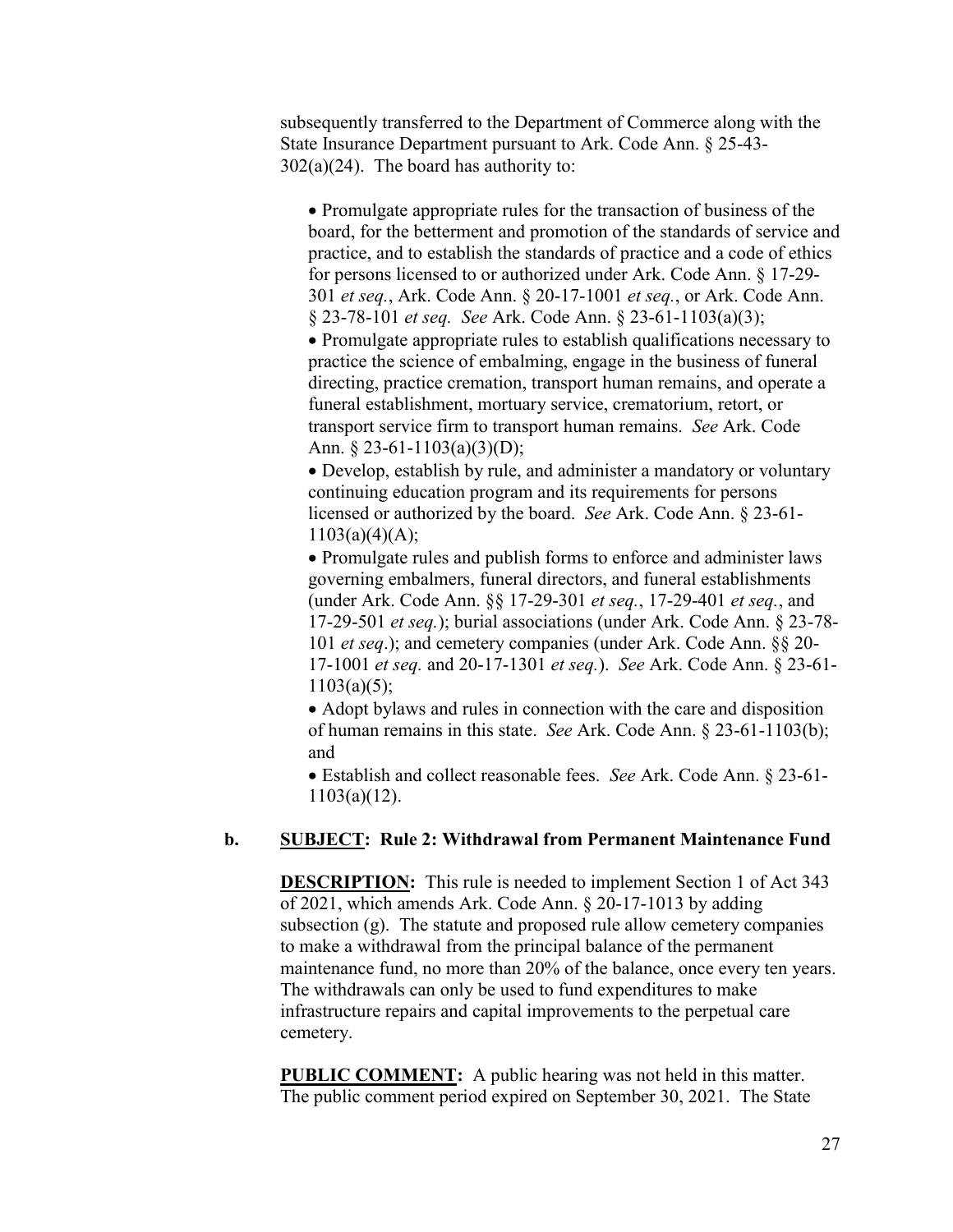subsequently transferred to the Department of Commerce along with the State Insurance Department pursuant to Ark. Code Ann. § 25-43- 302(a)(24). The board has authority to:

• Promulgate appropriate rules for the transaction of business of the board, for the betterment and promotion of the standards of service and practice, and to establish the standards of practice and a code of ethics for persons licensed to or authorized under Ark. Code Ann. § 17-29- 301 *et seq.*, Ark. Code Ann. § 20-17-1001 *et seq.*, or Ark. Code Ann. § 23-78-101 *et seq. See* Ark. Code Ann. § 23-61-1103(a)(3);

• Promulgate appropriate rules to establish qualifications necessary to practice the science of embalming, engage in the business of funeral directing, practice cremation, transport human remains, and operate a funeral establishment, mortuary service, crematorium, retort, or transport service firm to transport human remains. *See* Ark. Code Ann. § 23-61-1103(a)(3)(D);

 Develop, establish by rule, and administer a mandatory or voluntary continuing education program and its requirements for persons licensed or authorized by the board. *See* Ark. Code Ann. § 23-61-  $1103(a)(4)(A);$ 

• Promulgate rules and publish forms to enforce and administer laws governing embalmers, funeral directors, and funeral establishments (under Ark. Code Ann. §§ 17-29-301 *et seq.*, 17-29-401 *et seq.*, and 17-29-501 *et seq.*); burial associations (under Ark. Code Ann. § 23-78- 101 *et seq*.); and cemetery companies (under Ark. Code Ann. §§ 20- 17-1001 *et seq.* and 20-17-1301 *et seq.*). *See* Ark. Code Ann. § 23-61-  $1103(a)(5);$ 

• Adopt bylaws and rules in connection with the care and disposition of human remains in this state. *See* Ark. Code Ann. § 23-61-1103(b); and

 Establish and collect reasonable fees. *See* Ark. Code Ann. § 23-61- 1103(a)(12).

## **b. SUBJECT: Rule 2: Withdrawal from Permanent Maintenance Fund**

**DESCRIPTION:** This rule is needed to implement Section 1 of Act 343 of 2021, which amends Ark. Code Ann. § 20-17-1013 by adding subsection (g). The statute and proposed rule allow cemetery companies to make a withdrawal from the principal balance of the permanent maintenance fund, no more than 20% of the balance, once every ten years. The withdrawals can only be used to fund expenditures to make infrastructure repairs and capital improvements to the perpetual care cemetery.

**PUBLIC COMMENT:** A public hearing was not held in this matter. The public comment period expired on September 30, 2021. The State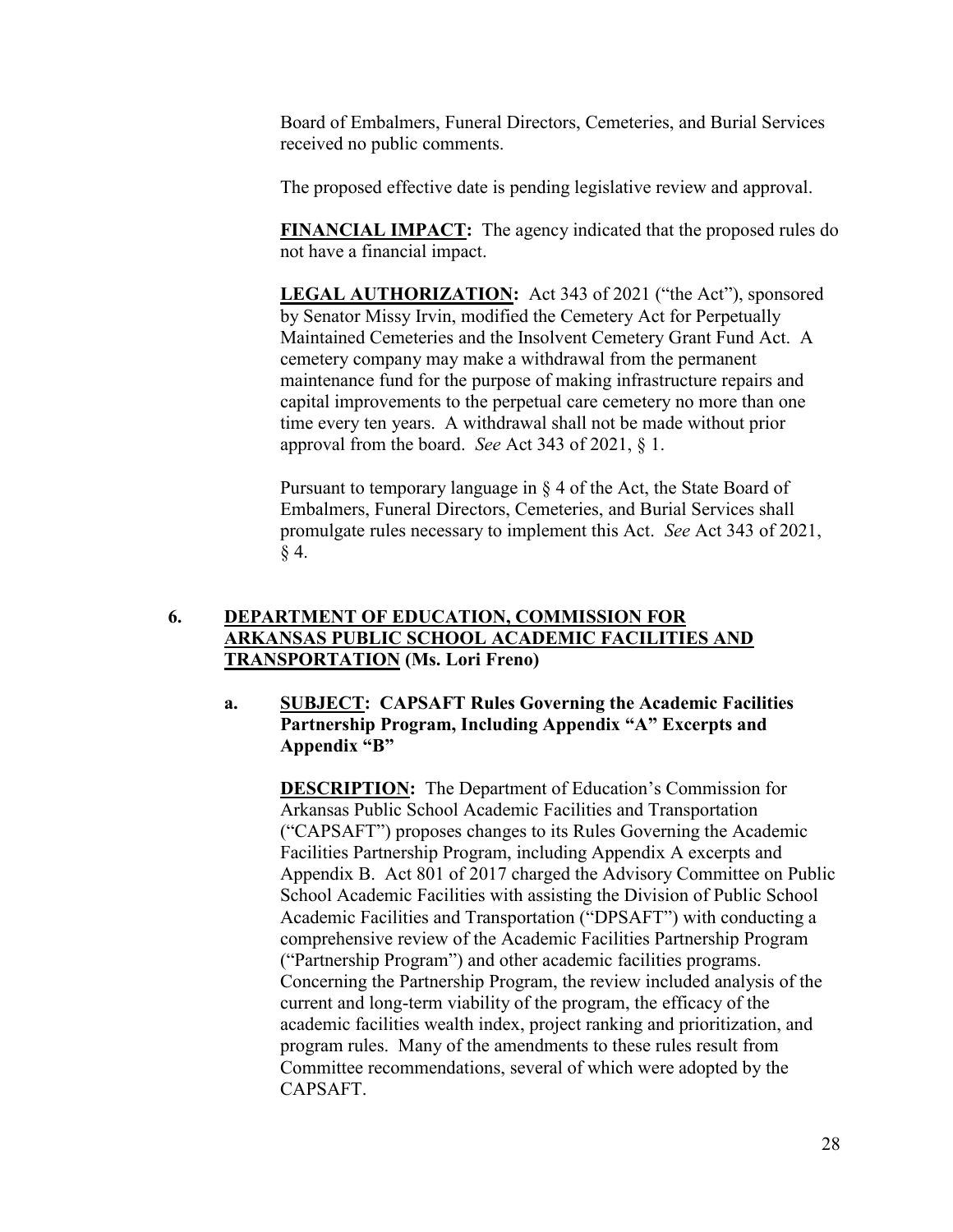Board of Embalmers, Funeral Directors, Cemeteries, and Burial Services received no public comments.

The proposed effective date is pending legislative review and approval.

**FINANCIAL IMPACT:** The agency indicated that the proposed rules do not have a financial impact.

**LEGAL AUTHORIZATION:** Act 343 of 2021 ("the Act"), sponsored by Senator Missy Irvin, modified the Cemetery Act for Perpetually Maintained Cemeteries and the Insolvent Cemetery Grant Fund Act. A cemetery company may make a withdrawal from the permanent maintenance fund for the purpose of making infrastructure repairs and capital improvements to the perpetual care cemetery no more than one time every ten years. A withdrawal shall not be made without prior approval from the board. *See* Act 343 of 2021, § 1.

Pursuant to temporary language in § 4 of the Act, the State Board of Embalmers, Funeral Directors, Cemeteries, and Burial Services shall promulgate rules necessary to implement this Act. *See* Act 343 of 2021, § 4.

# **6. DEPARTMENT OF EDUCATION, COMMISSION FOR ARKANSAS PUBLIC SCHOOL ACADEMIC FACILITIES AND TRANSPORTATION (Ms. Lori Freno)**

# **a. SUBJECT: CAPSAFT Rules Governing the Academic Facilities Partnership Program, Including Appendix "A" Excerpts and Appendix "B"**

**DESCRIPTION:** The Department of Education's Commission for Arkansas Public School Academic Facilities and Transportation ("CAPSAFT") proposes changes to its Rules Governing the Academic Facilities Partnership Program, including Appendix A excerpts and Appendix B. Act 801 of 2017 charged the Advisory Committee on Public School Academic Facilities with assisting the Division of Public School Academic Facilities and Transportation ("DPSAFT") with conducting a comprehensive review of the Academic Facilities Partnership Program ("Partnership Program") and other academic facilities programs. Concerning the Partnership Program, the review included analysis of the current and long-term viability of the program, the efficacy of the academic facilities wealth index, project ranking and prioritization, and program rules. Many of the amendments to these rules result from Committee recommendations, several of which were adopted by the CAPSAFT.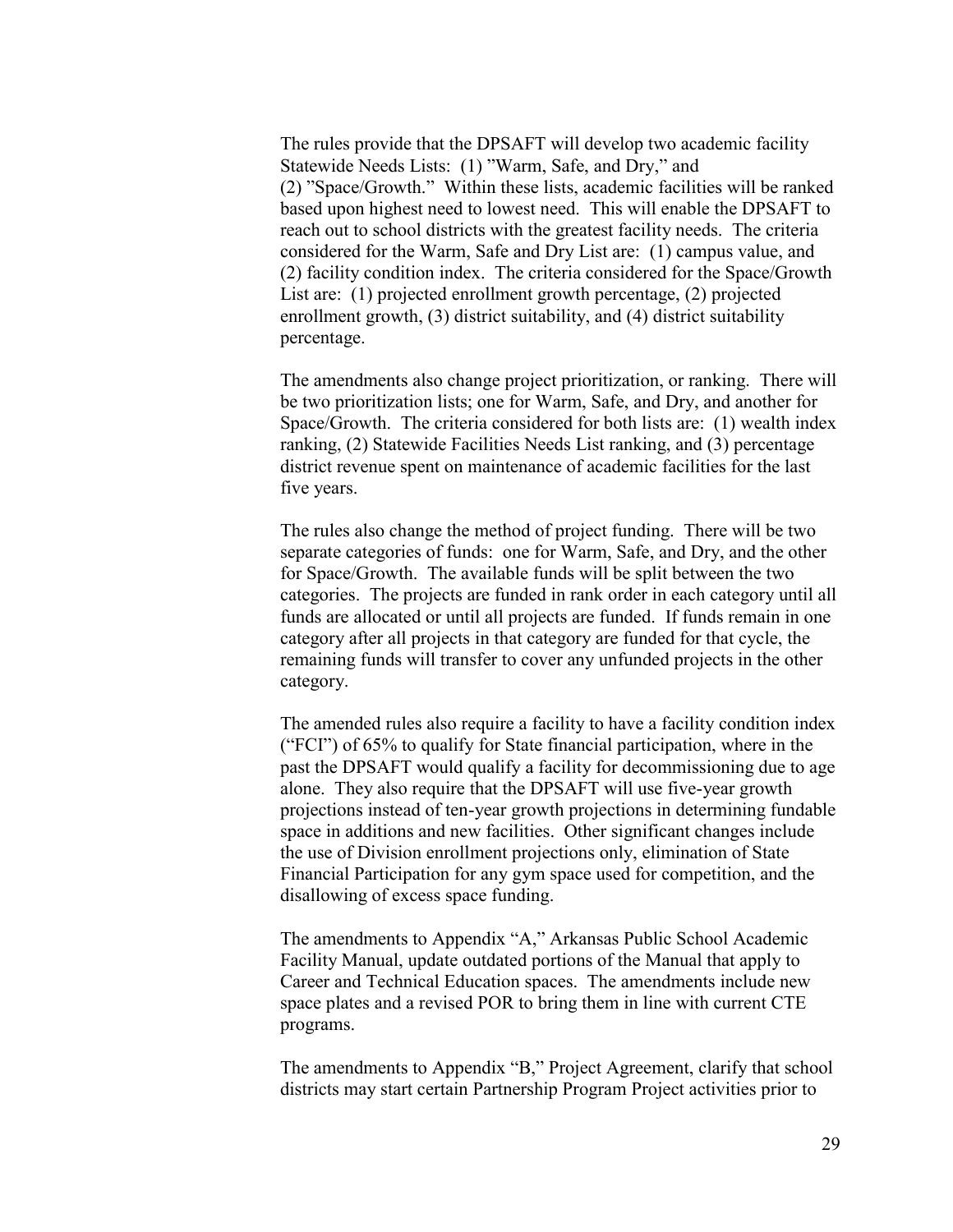The rules provide that the DPSAFT will develop two academic facility Statewide Needs Lists: (1) "Warm, Safe, and Dry," and (2) "Space/Growth." Within these lists, academic facilities will be ranked based upon highest need to lowest need. This will enable the DPSAFT to reach out to school districts with the greatest facility needs. The criteria considered for the Warm, Safe and Dry List are: (1) campus value, and (2) facility condition index. The criteria considered for the Space/Growth List are: (1) projected enrollment growth percentage, (2) projected enrollment growth, (3) district suitability, and (4) district suitability percentage.

The amendments also change project prioritization, or ranking. There will be two prioritization lists; one for Warm, Safe, and Dry, and another for Space/Growth. The criteria considered for both lists are: (1) wealth index ranking, (2) Statewide Facilities Needs List ranking, and (3) percentage district revenue spent on maintenance of academic facilities for the last five years.

The rules also change the method of project funding. There will be two separate categories of funds: one for Warm, Safe, and Dry, and the other for Space/Growth. The available funds will be split between the two categories. The projects are funded in rank order in each category until all funds are allocated or until all projects are funded. If funds remain in one category after all projects in that category are funded for that cycle, the remaining funds will transfer to cover any unfunded projects in the other category.

The amended rules also require a facility to have a facility condition index ("FCI") of 65% to qualify for State financial participation, where in the past the DPSAFT would qualify a facility for decommissioning due to age alone. They also require that the DPSAFT will use five-year growth projections instead of ten-year growth projections in determining fundable space in additions and new facilities. Other significant changes include the use of Division enrollment projections only, elimination of State Financial Participation for any gym space used for competition, and the disallowing of excess space funding.

The amendments to Appendix "A," Arkansas Public School Academic Facility Manual, update outdated portions of the Manual that apply to Career and Technical Education spaces. The amendments include new space plates and a revised POR to bring them in line with current CTE programs.

The amendments to Appendix "B," Project Agreement, clarify that school districts may start certain Partnership Program Project activities prior to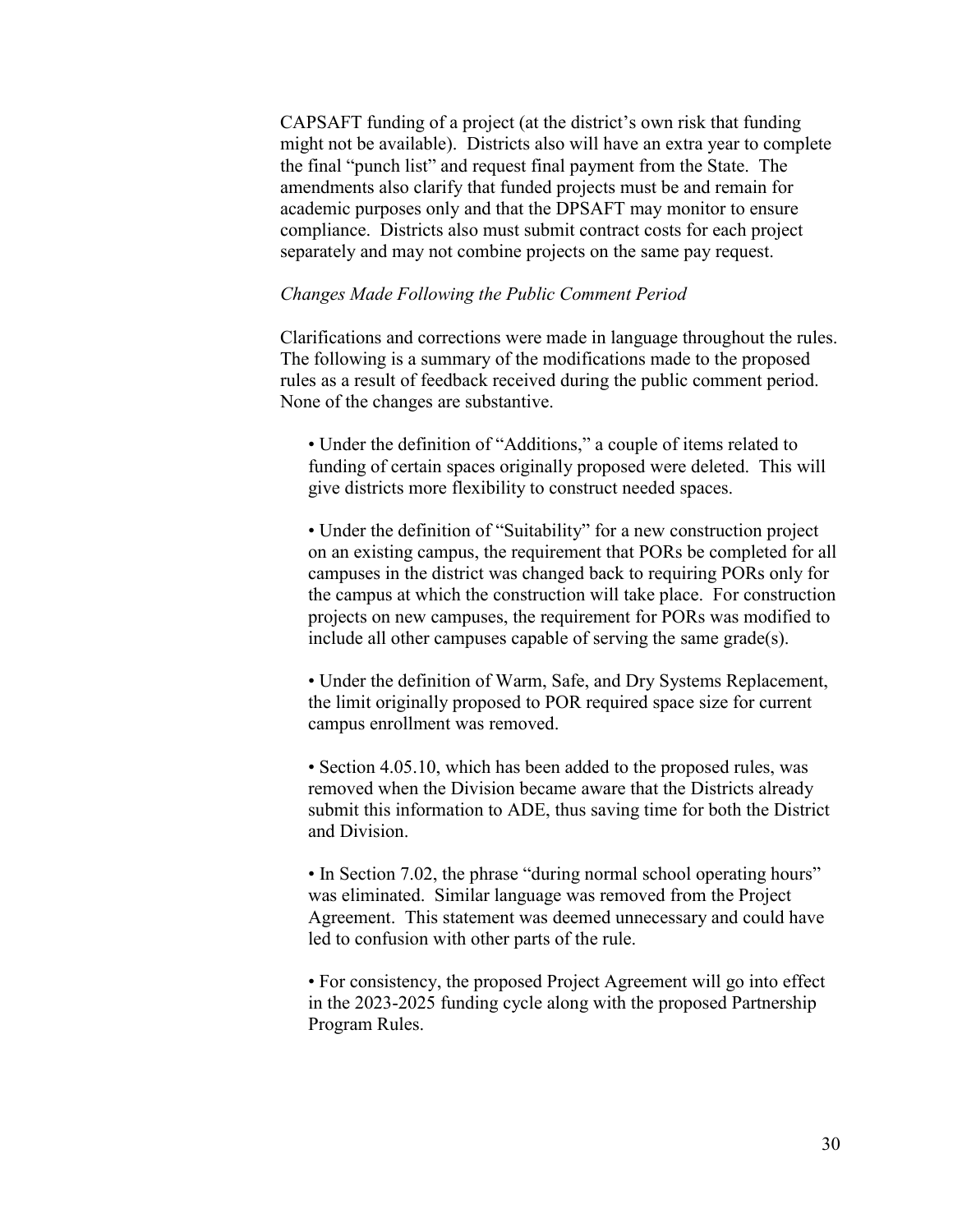CAPSAFT funding of a project (at the district's own risk that funding might not be available). Districts also will have an extra year to complete the final "punch list" and request final payment from the State. The amendments also clarify that funded projects must be and remain for academic purposes only and that the DPSAFT may monitor to ensure compliance. Districts also must submit contract costs for each project separately and may not combine projects on the same pay request.

### *Changes Made Following the Public Comment Period*

Clarifications and corrections were made in language throughout the rules. The following is a summary of the modifications made to the proposed rules as a result of feedback received during the public comment period. None of the changes are substantive.

• Under the definition of "Additions," a couple of items related to funding of certain spaces originally proposed were deleted. This will give districts more flexibility to construct needed spaces.

• Under the definition of "Suitability" for a new construction project on an existing campus, the requirement that PORs be completed for all campuses in the district was changed back to requiring PORs only for the campus at which the construction will take place. For construction projects on new campuses, the requirement for PORs was modified to include all other campuses capable of serving the same grade(s).

• Under the definition of Warm, Safe, and Dry Systems Replacement, the limit originally proposed to POR required space size for current campus enrollment was removed.

• Section 4.05.10, which has been added to the proposed rules, was removed when the Division became aware that the Districts already submit this information to ADE, thus saving time for both the District and Division.

• In Section 7.02, the phrase "during normal school operating hours" was eliminated. Similar language was removed from the Project Agreement. This statement was deemed unnecessary and could have led to confusion with other parts of the rule.

• For consistency, the proposed Project Agreement will go into effect in the 2023-2025 funding cycle along with the proposed Partnership Program Rules.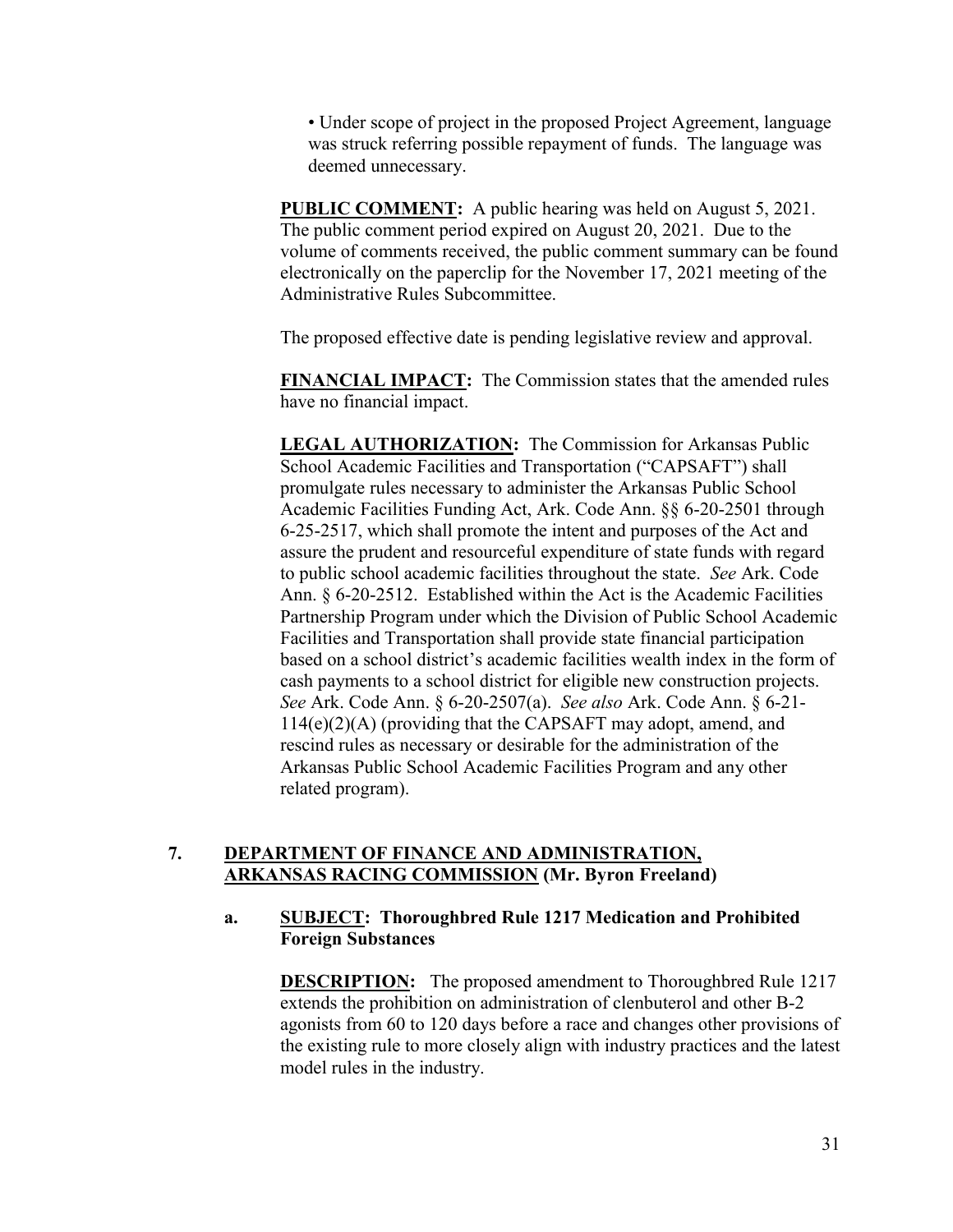• Under scope of project in the proposed Project Agreement, language was struck referring possible repayment of funds. The language was deemed unnecessary.

**PUBLIC COMMENT:** A public hearing was held on August 5, 2021. The public comment period expired on August 20, 2021. Due to the volume of comments received, the public comment summary can be found electronically on the paperclip for the November 17, 2021 meeting of the Administrative Rules Subcommittee.

The proposed effective date is pending legislative review and approval.

**FINANCIAL IMPACT:** The Commission states that the amended rules have no financial impact.

**LEGAL AUTHORIZATION:** The Commission for Arkansas Public School Academic Facilities and Transportation ("CAPSAFT") shall promulgate rules necessary to administer the Arkansas Public School Academic Facilities Funding Act, Ark. Code Ann. §§ 6-20-2501 through 6-25-2517, which shall promote the intent and purposes of the Act and assure the prudent and resourceful expenditure of state funds with regard to public school academic facilities throughout the state. *See* Ark. Code Ann. § 6-20-2512. Established within the Act is the Academic Facilities Partnership Program under which the Division of Public School Academic Facilities and Transportation shall provide state financial participation based on a school district's academic facilities wealth index in the form of cash payments to a school district for eligible new construction projects. *See* Ark. Code Ann. § 6-20-2507(a). *See also* Ark. Code Ann. § 6-21- 114(e)(2)(A) (providing that the CAPSAFT may adopt, amend, and rescind rules as necessary or desirable for the administration of the Arkansas Public School Academic Facilities Program and any other related program).

# **7. DEPARTMENT OF FINANCE AND ADMINISTRATION, ARKANSAS RACING COMMISSION (Mr. Byron Freeland)**

# **a. SUBJECT: Thoroughbred Rule 1217 Medication and Prohibited Foreign Substances**

**DESCRIPTION:** The proposed amendment to Thoroughbred Rule 1217 extends the prohibition on administration of clenbuterol and other B-2 agonists from 60 to 120 days before a race and changes other provisions of the existing rule to more closely align with industry practices and the latest model rules in the industry.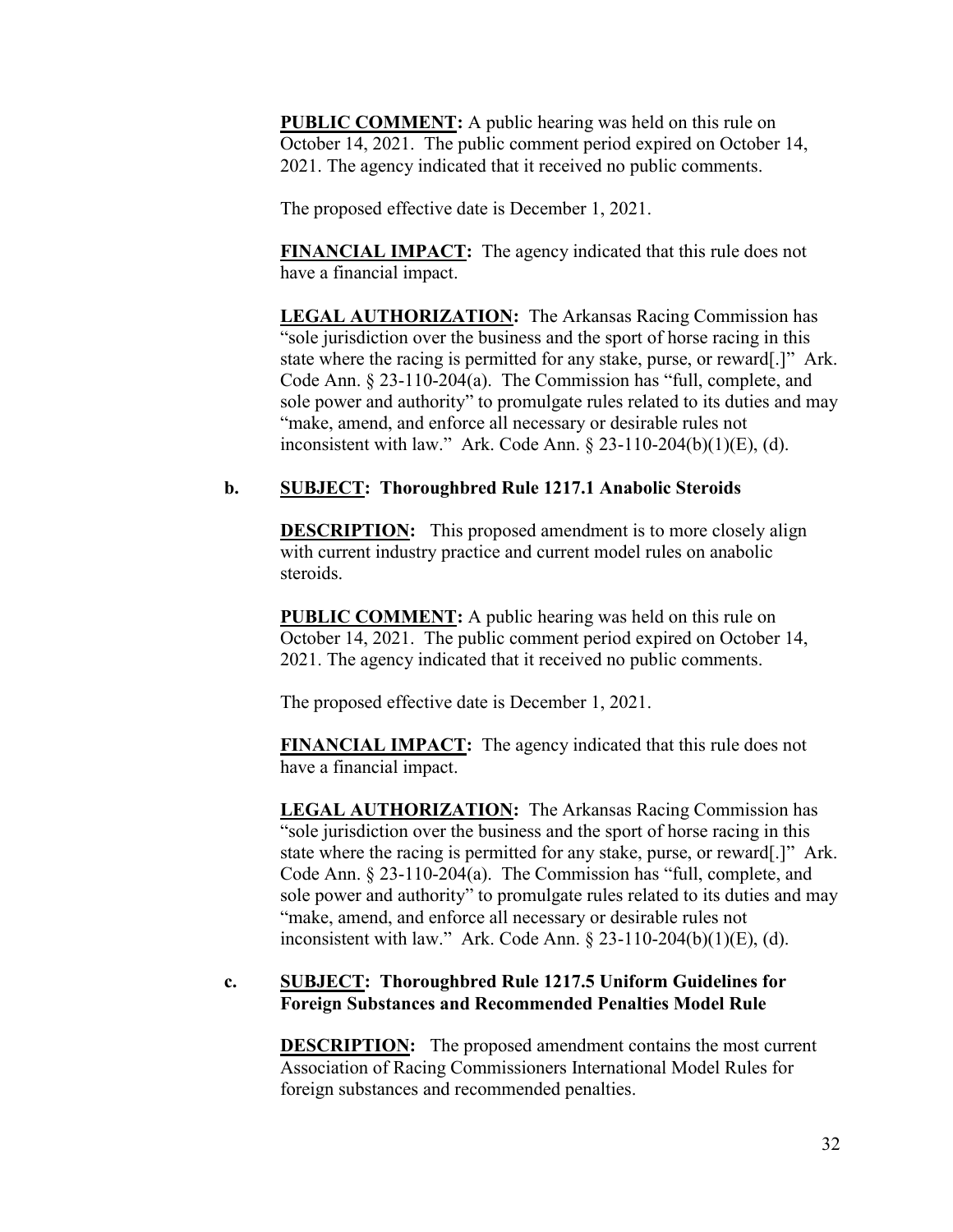**PUBLIC COMMENT:** A public hearing was held on this rule on October 14, 2021. The public comment period expired on October 14, 2021. The agency indicated that it received no public comments.

The proposed effective date is December 1, 2021.

**FINANCIAL IMPACT:** The agency indicated that this rule does not have a financial impact.

**LEGAL AUTHORIZATION:** The Arkansas Racing Commission has "sole jurisdiction over the business and the sport of horse racing in this state where the racing is permitted for any stake, purse, or reward[.]" Ark. Code Ann. § 23-110-204(a). The Commission has "full, complete, and sole power and authority" to promulgate rules related to its duties and may "make, amend, and enforce all necessary or desirable rules not inconsistent with law." Ark. Code Ann.  $\S 23-110-204(b)(1)(E)$ , (d).

# **b. SUBJECT: Thoroughbred Rule 1217.1 Anabolic Steroids**

**DESCRIPTION:** This proposed amendment is to more closely align with current industry practice and current model rules on anabolic steroids.

**PUBLIC COMMENT:** A public hearing was held on this rule on October 14, 2021. The public comment period expired on October 14, 2021. The agency indicated that it received no public comments.

The proposed effective date is December 1, 2021.

**FINANCIAL IMPACT:** The agency indicated that this rule does not have a financial impact.

**LEGAL AUTHORIZATION:** The Arkansas Racing Commission has "sole jurisdiction over the business and the sport of horse racing in this state where the racing is permitted for any stake, purse, or reward[.]" Ark. Code Ann. § 23-110-204(a). The Commission has "full, complete, and sole power and authority" to promulgate rules related to its duties and may "make, amend, and enforce all necessary or desirable rules not inconsistent with law." Ark. Code Ann.  $\S 23-110-204(b)(1)(E)$ , (d).

# **c. SUBJECT: Thoroughbred Rule 1217.5 Uniform Guidelines for Foreign Substances and Recommended Penalties Model Rule**

**DESCRIPTION:** The proposed amendment contains the most current Association of Racing Commissioners International Model Rules for foreign substances and recommended penalties.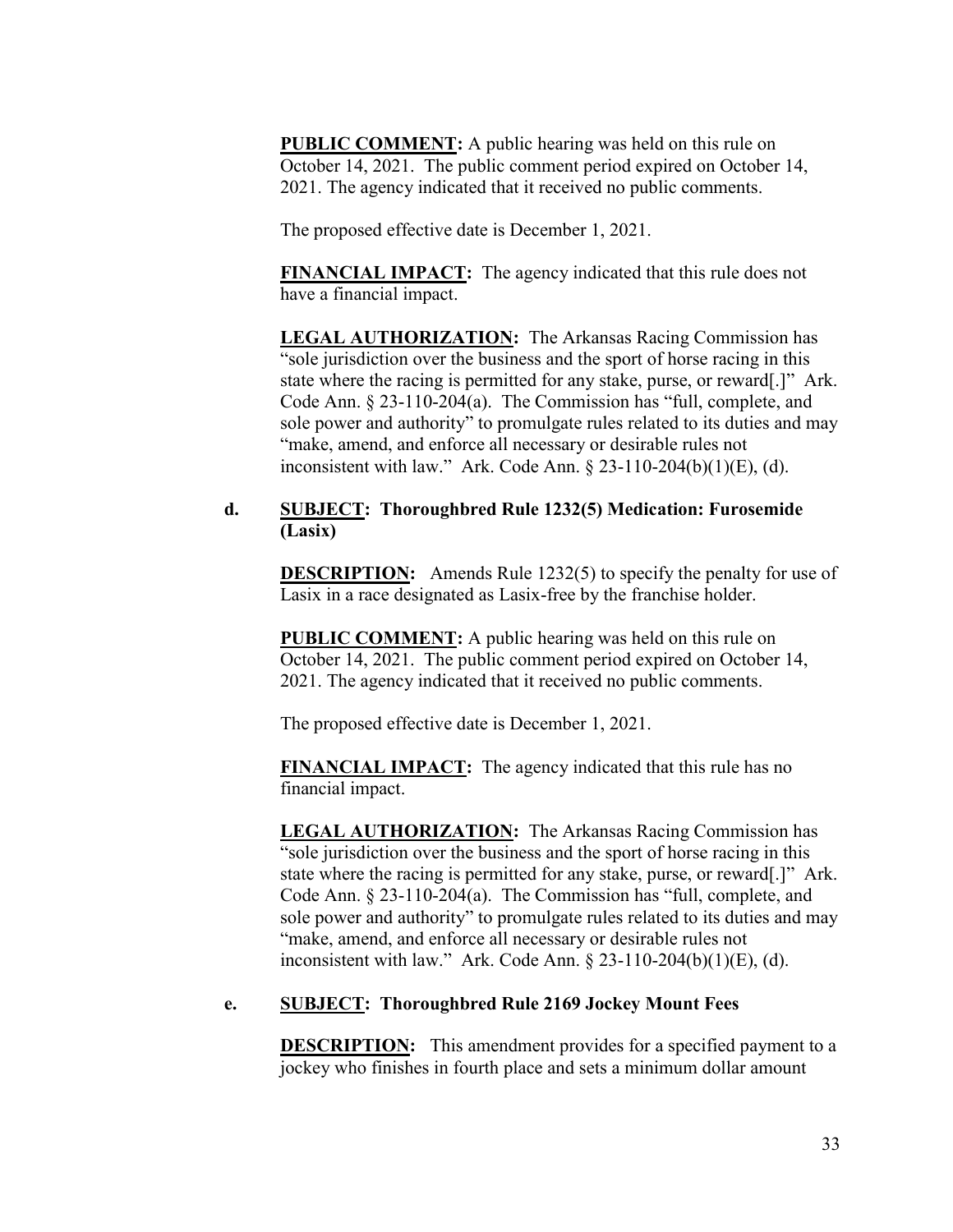**PUBLIC COMMENT:** A public hearing was held on this rule on October 14, 2021. The public comment period expired on October 14, 2021. The agency indicated that it received no public comments.

The proposed effective date is December 1, 2021.

**FINANCIAL IMPACT:** The agency indicated that this rule does not have a financial impact.

**LEGAL AUTHORIZATION:** The Arkansas Racing Commission has "sole jurisdiction over the business and the sport of horse racing in this state where the racing is permitted for any stake, purse, or reward[.]" Ark. Code Ann. § 23-110-204(a). The Commission has "full, complete, and sole power and authority" to promulgate rules related to its duties and may "make, amend, and enforce all necessary or desirable rules not inconsistent with law." Ark. Code Ann.  $\S 23-110-204(b)(1)(E)$ , (d).

# **d. SUBJECT: Thoroughbred Rule 1232(5) Medication: Furosemide (Lasix)**

**DESCRIPTION:** Amends Rule 1232(5) to specify the penalty for use of Lasix in a race designated as Lasix-free by the franchise holder.

**PUBLIC COMMENT:** A public hearing was held on this rule on October 14, 2021. The public comment period expired on October 14, 2021. The agency indicated that it received no public comments.

The proposed effective date is December 1, 2021.

**FINANCIAL IMPACT:** The agency indicated that this rule has no financial impact.

**LEGAL AUTHORIZATION:** The Arkansas Racing Commission has "sole jurisdiction over the business and the sport of horse racing in this state where the racing is permitted for any stake, purse, or reward[.]" Ark. Code Ann. § 23-110-204(a). The Commission has "full, complete, and sole power and authority" to promulgate rules related to its duties and may "make, amend, and enforce all necessary or desirable rules not inconsistent with law." Ark. Code Ann. § 23-110-204(b)(1)(E), (d).

## **e. SUBJECT: Thoroughbred Rule 2169 Jockey Mount Fees**

**DESCRIPTION:** This amendment provides for a specified payment to a jockey who finishes in fourth place and sets a minimum dollar amount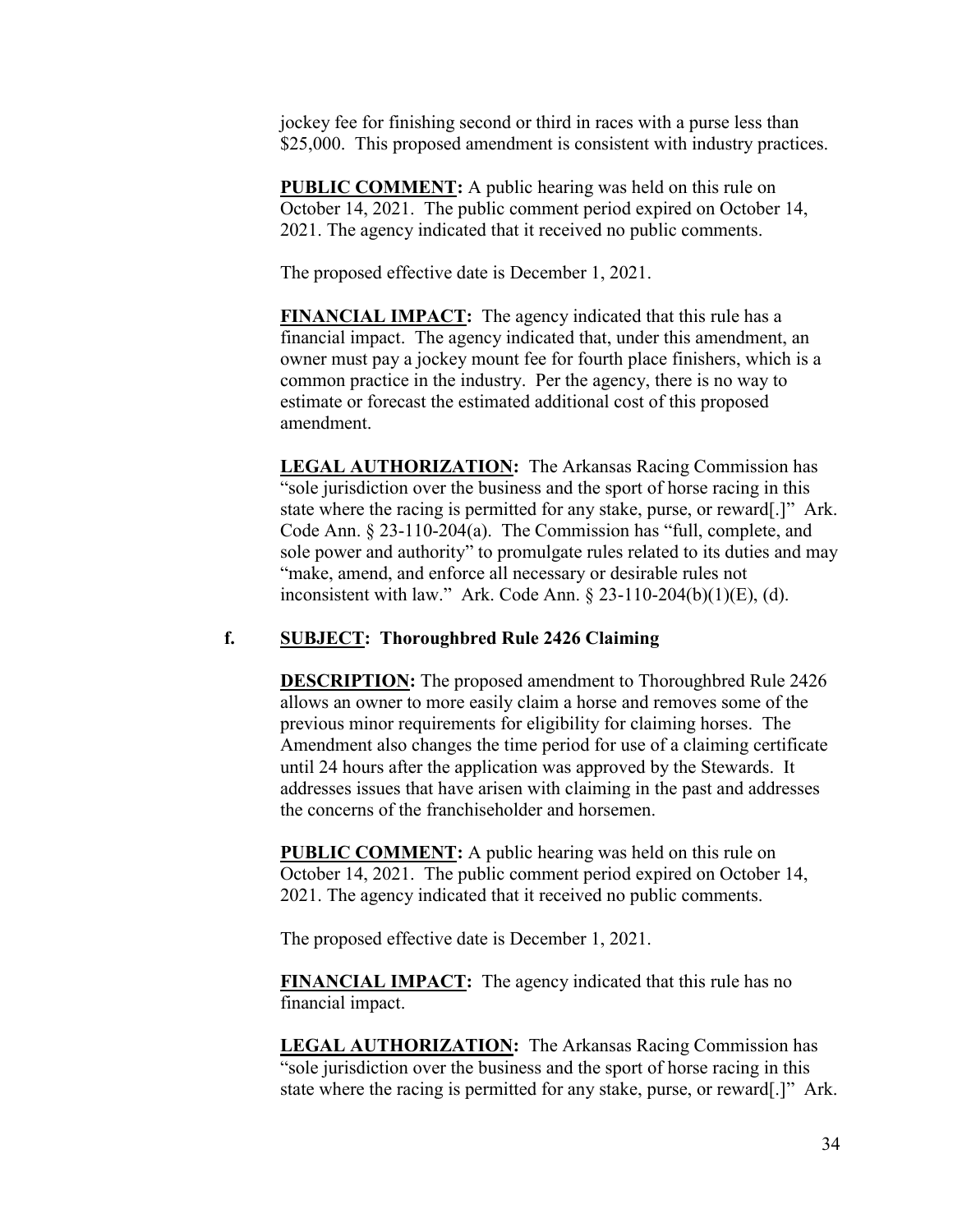jockey fee for finishing second or third in races with a purse less than \$25,000. This proposed amendment is consistent with industry practices.

**PUBLIC COMMENT:** A public hearing was held on this rule on October 14, 2021. The public comment period expired on October 14, 2021. The agency indicated that it received no public comments.

The proposed effective date is December 1, 2021.

**FINANCIAL IMPACT:** The agency indicated that this rule has a financial impact. The agency indicated that, under this amendment, an owner must pay a jockey mount fee for fourth place finishers, which is a common practice in the industry. Per the agency, there is no way to estimate or forecast the estimated additional cost of this proposed amendment.

**LEGAL AUTHORIZATION:** The Arkansas Racing Commission has "sole jurisdiction over the business and the sport of horse racing in this state where the racing is permitted for any stake, purse, or reward[.]" Ark. Code Ann. § 23-110-204(a). The Commission has "full, complete, and sole power and authority" to promulgate rules related to its duties and may "make, amend, and enforce all necessary or desirable rules not inconsistent with law." Ark. Code Ann. § 23-110-204(b)(1)(E), (d).

# **f. SUBJECT: Thoroughbred Rule 2426 Claiming**

**DESCRIPTION:** The proposed amendment to Thoroughbred Rule 2426 allows an owner to more easily claim a horse and removes some of the previous minor requirements for eligibility for claiming horses. The Amendment also changes the time period for use of a claiming certificate until 24 hours after the application was approved by the Stewards. It addresses issues that have arisen with claiming in the past and addresses the concerns of the franchiseholder and horsemen.

**PUBLIC COMMENT:** A public hearing was held on this rule on October 14, 2021. The public comment period expired on October 14, 2021. The agency indicated that it received no public comments.

The proposed effective date is December 1, 2021.

**FINANCIAL IMPACT:** The agency indicated that this rule has no financial impact.

**LEGAL AUTHORIZATION:** The Arkansas Racing Commission has "sole jurisdiction over the business and the sport of horse racing in this state where the racing is permitted for any stake, purse, or reward[.]" Ark.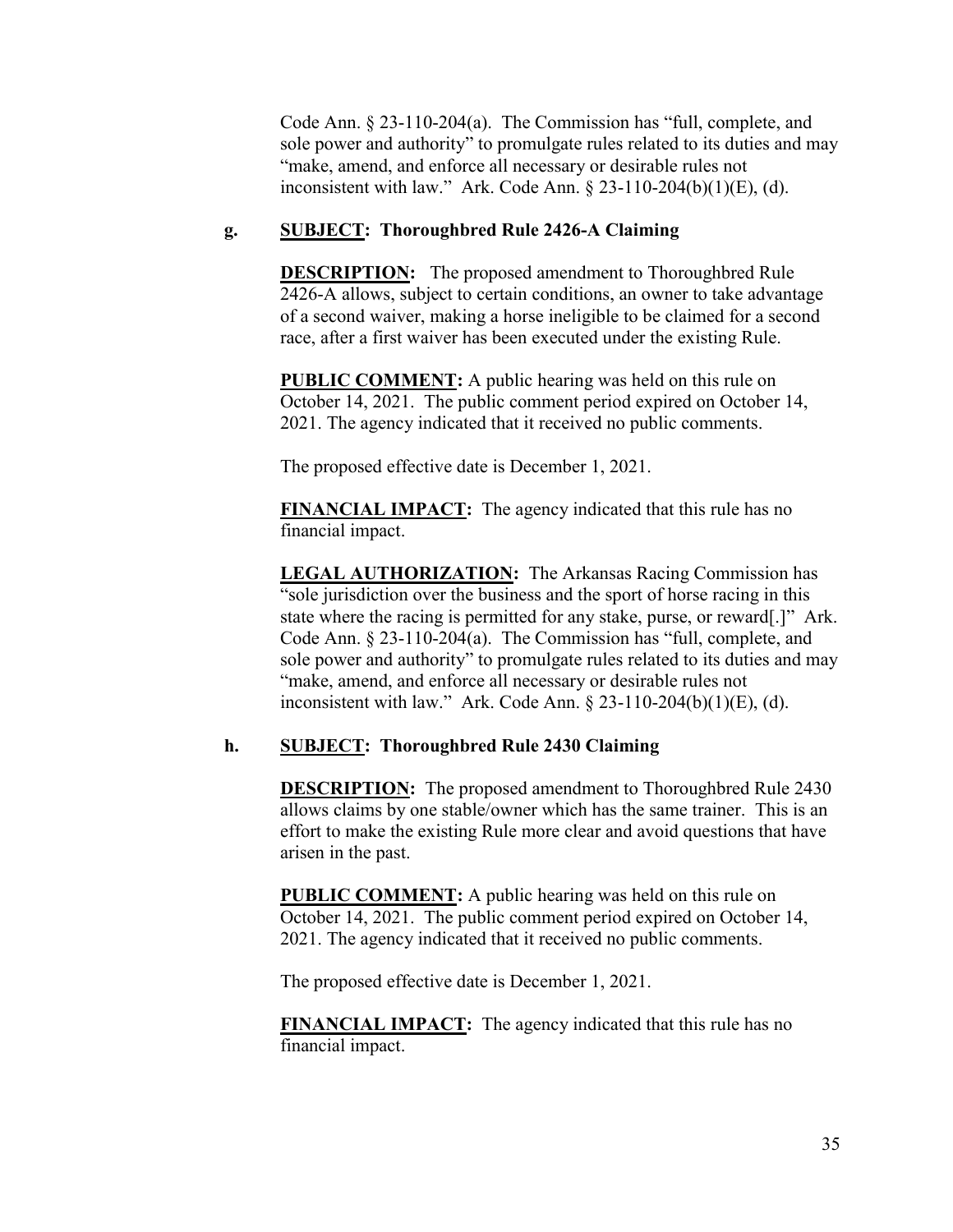Code Ann. § 23-110-204(a). The Commission has "full, complete, and sole power and authority" to promulgate rules related to its duties and may "make, amend, and enforce all necessary or desirable rules not inconsistent with law." Ark. Code Ann. § 23-110-204(b)(1)(E), (d).

# **g. SUBJECT: Thoroughbred Rule 2426-A Claiming**

**DESCRIPTION:** The proposed amendment to Thoroughbred Rule 2426-A allows, subject to certain conditions, an owner to take advantage of a second waiver, making a horse ineligible to be claimed for a second race, after a first waiver has been executed under the existing Rule.

**PUBLIC COMMENT:** A public hearing was held on this rule on October 14, 2021. The public comment period expired on October 14, 2021. The agency indicated that it received no public comments.

The proposed effective date is December 1, 2021.

**FINANCIAL IMPACT:** The agency indicated that this rule has no financial impact.

**LEGAL AUTHORIZATION:** The Arkansas Racing Commission has "sole jurisdiction over the business and the sport of horse racing in this state where the racing is permitted for any stake, purse, or reward[.]" Ark. Code Ann. § 23-110-204(a). The Commission has "full, complete, and sole power and authority" to promulgate rules related to its duties and may "make, amend, and enforce all necessary or desirable rules not inconsistent with law." Ark. Code Ann.  $\S 23-110-204(b)(1)(E)$ , (d).

# **h. SUBJECT: Thoroughbred Rule 2430 Claiming**

**DESCRIPTION:** The proposed amendment to Thoroughbred Rule 2430 allows claims by one stable/owner which has the same trainer. This is an effort to make the existing Rule more clear and avoid questions that have arisen in the past.

**PUBLIC COMMENT:** A public hearing was held on this rule on October 14, 2021. The public comment period expired on October 14, 2021. The agency indicated that it received no public comments.

The proposed effective date is December 1, 2021.

**FINANCIAL IMPACT:** The agency indicated that this rule has no financial impact.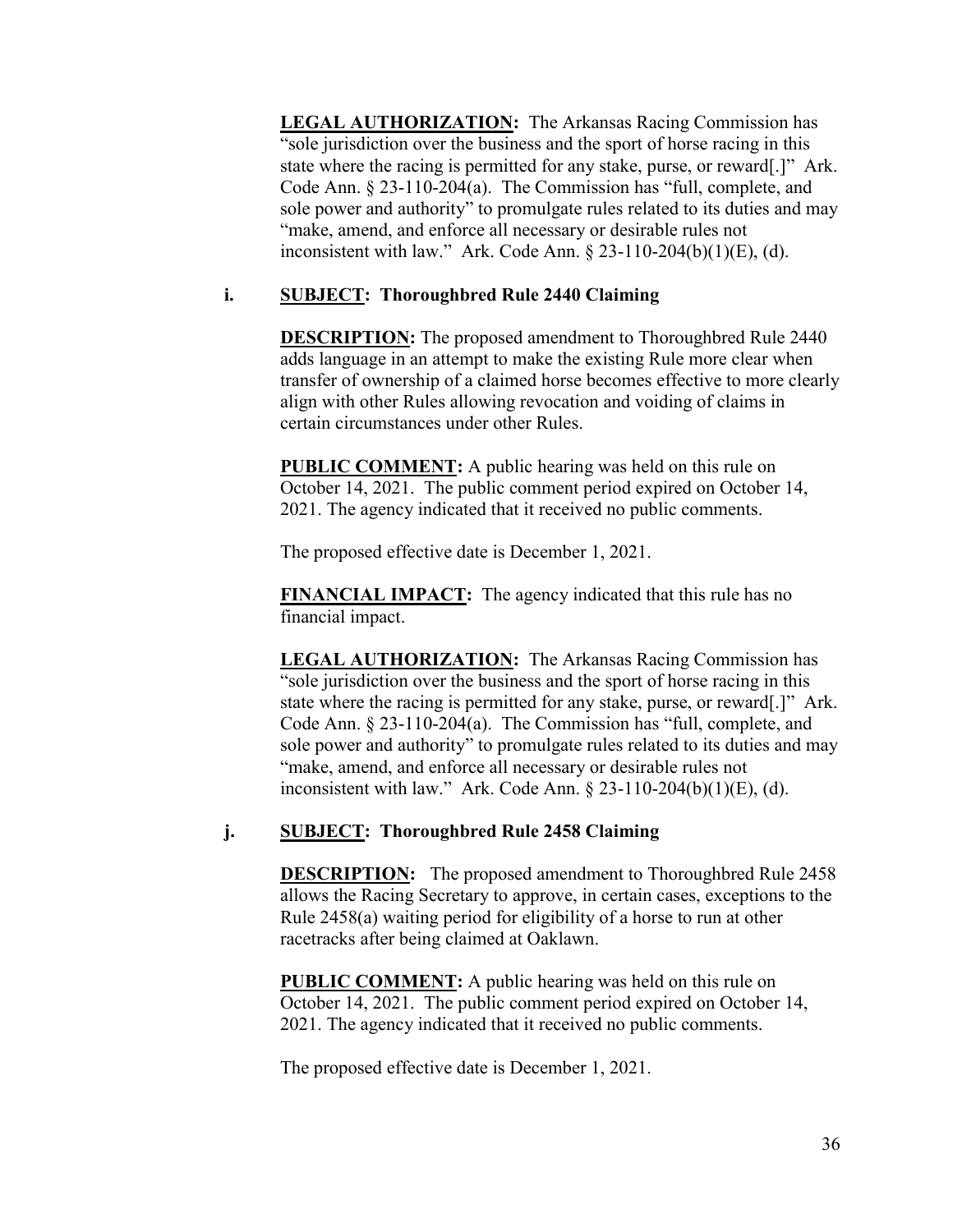**LEGAL AUTHORIZATION:** The Arkansas Racing Commission has "sole jurisdiction over the business and the sport of horse racing in this state where the racing is permitted for any stake, purse, or reward[.]" Ark. Code Ann. § 23-110-204(a). The Commission has "full, complete, and sole power and authority" to promulgate rules related to its duties and may "make, amend, and enforce all necessary or desirable rules not inconsistent with law." Ark. Code Ann.  $\S 23-110-204(b)(1)(E)$ , (d).

# **i. SUBJECT: Thoroughbred Rule 2440 Claiming**

**DESCRIPTION:** The proposed amendment to Thoroughbred Rule 2440 adds language in an attempt to make the existing Rule more clear when transfer of ownership of a claimed horse becomes effective to more clearly align with other Rules allowing revocation and voiding of claims in certain circumstances under other Rules.

**PUBLIC COMMENT:** A public hearing was held on this rule on October 14, 2021. The public comment period expired on October 14, 2021. The agency indicated that it received no public comments.

The proposed effective date is December 1, 2021.

**FINANCIAL IMPACT:** The agency indicated that this rule has no financial impact.

**LEGAL AUTHORIZATION:** The Arkansas Racing Commission has "sole jurisdiction over the business and the sport of horse racing in this state where the racing is permitted for any stake, purse, or reward[.]" Ark. Code Ann. § 23-110-204(a). The Commission has "full, complete, and sole power and authority" to promulgate rules related to its duties and may "make, amend, and enforce all necessary or desirable rules not inconsistent with law." Ark. Code Ann. § 23-110-204(b)(1)(E), (d).

# **j. SUBJECT: Thoroughbred Rule 2458 Claiming**

**DESCRIPTION:** The proposed amendment to Thoroughbred Rule 2458 allows the Racing Secretary to approve, in certain cases, exceptions to the Rule 2458(a) waiting period for eligibility of a horse to run at other racetracks after being claimed at Oaklawn.

**PUBLIC COMMENT:** A public hearing was held on this rule on October 14, 2021. The public comment period expired on October 14, 2021. The agency indicated that it received no public comments.

The proposed effective date is December 1, 2021.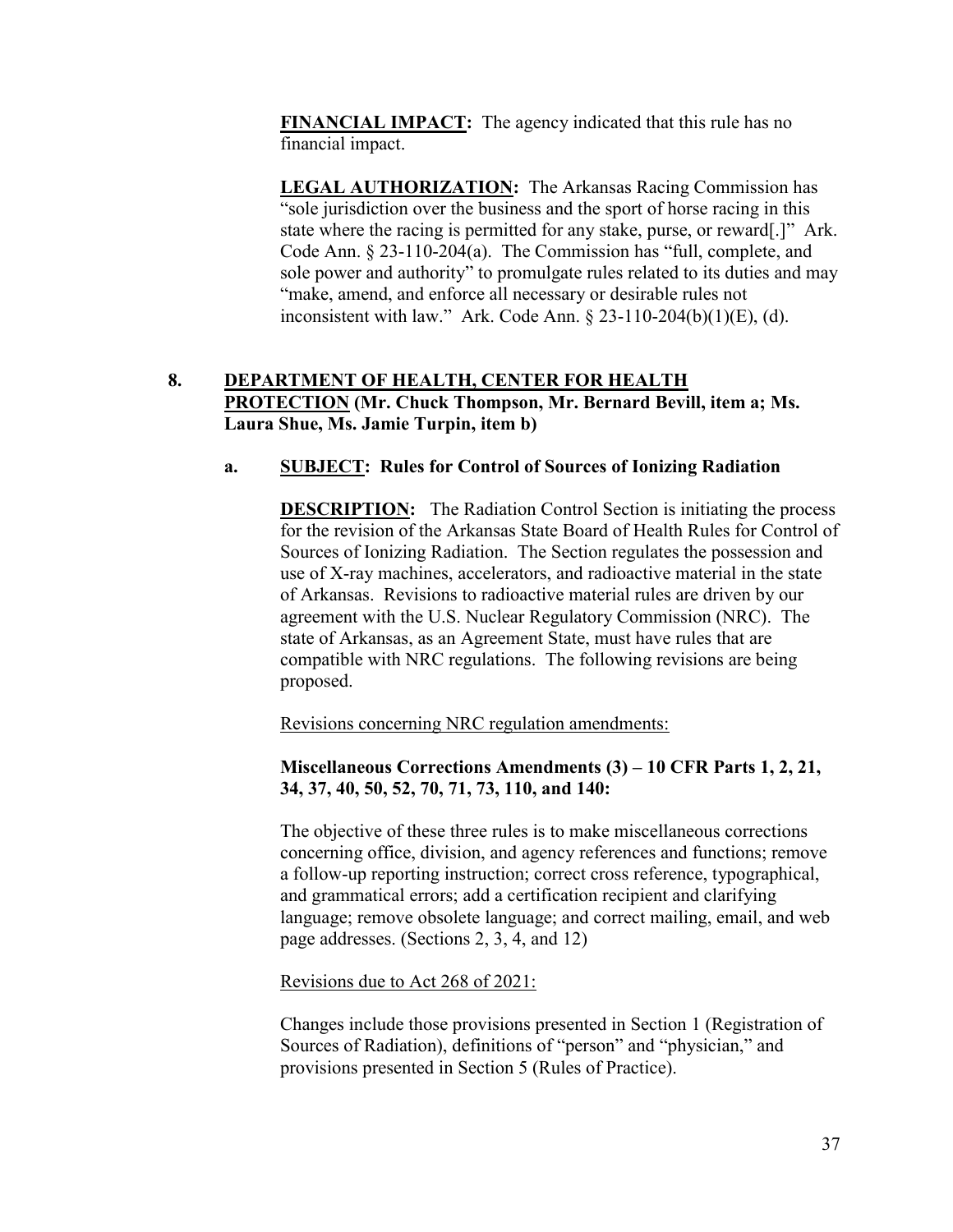**FINANCIAL IMPACT:** The agency indicated that this rule has no financial impact.

**LEGAL AUTHORIZATION:** The Arkansas Racing Commission has "sole jurisdiction over the business and the sport of horse racing in this state where the racing is permitted for any stake, purse, or reward[.]" Ark. Code Ann. § 23-110-204(a). The Commission has "full, complete, and sole power and authority" to promulgate rules related to its duties and may "make, amend, and enforce all necessary or desirable rules not inconsistent with law." Ark. Code Ann. § 23-110-204(b)(1)(E), (d).

# **8. DEPARTMENT OF HEALTH, CENTER FOR HEALTH PROTECTION (Mr. Chuck Thompson, Mr. Bernard Bevill, item a; Ms. Laura Shue, Ms. Jamie Turpin, item b)**

# **a. SUBJECT: Rules for Control of Sources of Ionizing Radiation**

**DESCRIPTION:** The Radiation Control Section is initiating the process for the revision of the Arkansas State Board of Health Rules for Control of Sources of Ionizing Radiation. The Section regulates the possession and use of X-ray machines, accelerators, and radioactive material in the state of Arkansas. Revisions to radioactive material rules are driven by our agreement with the U.S. Nuclear Regulatory Commission (NRC). The state of Arkansas, as an Agreement State, must have rules that are compatible with NRC regulations. The following revisions are being proposed.

Revisions concerning NRC regulation amendments:

## **Miscellaneous Corrections Amendments (3) – 10 CFR Parts 1, 2, 21, 34, 37, 40, 50, 52, 70, 71, 73, 110, and 140:**

The objective of these three rules is to make miscellaneous corrections concerning office, division, and agency references and functions; remove a follow-up reporting instruction; correct cross reference, typographical, and grammatical errors; add a certification recipient and clarifying language; remove obsolete language; and correct mailing, email, and web page addresses. (Sections 2, 3, 4, and 12)

Revisions due to Act 268 of 2021:

Changes include those provisions presented in Section 1 (Registration of Sources of Radiation), definitions of "person" and "physician," and provisions presented in Section 5 (Rules of Practice).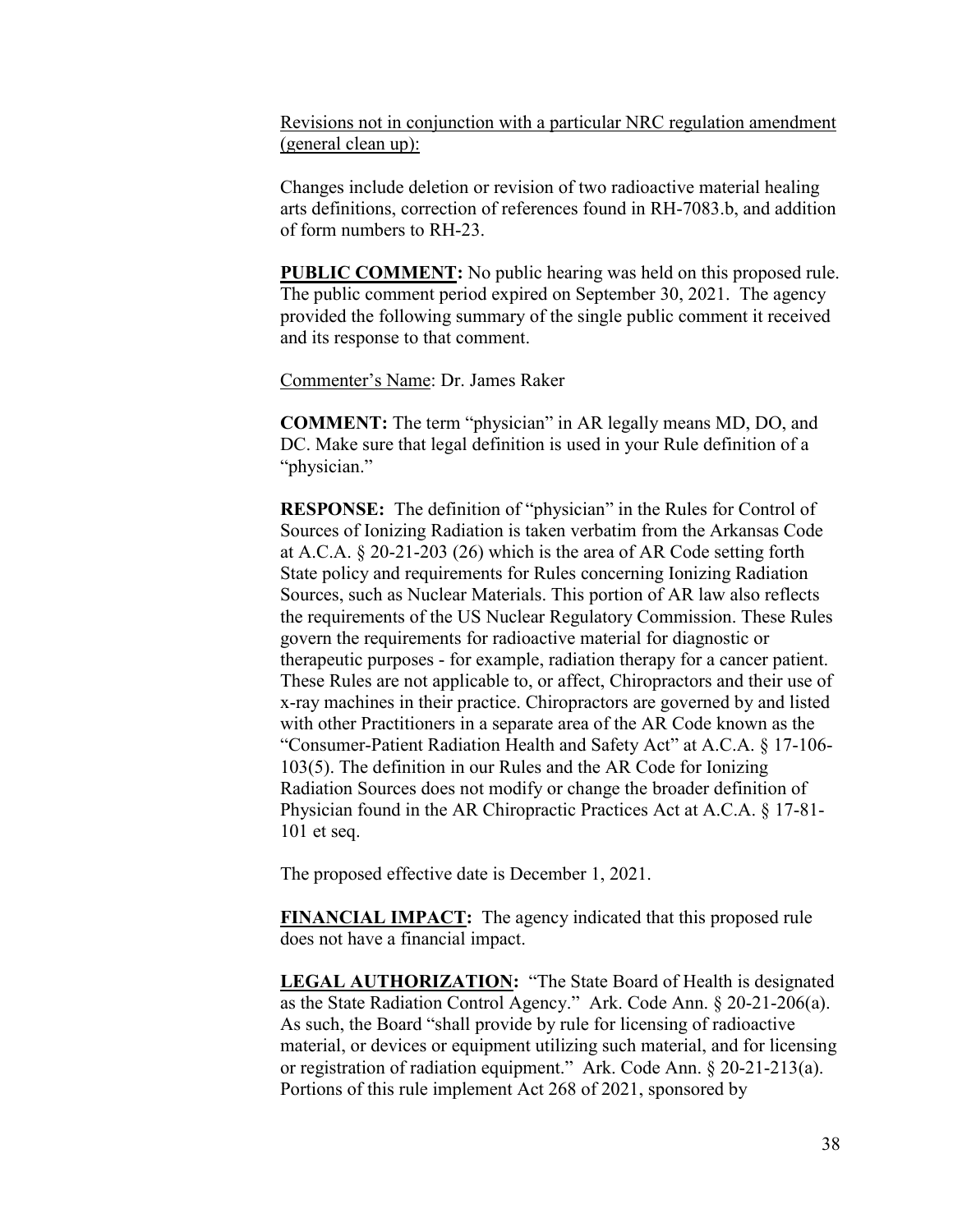Revisions not in conjunction with a particular NRC regulation amendment (general clean up):

Changes include deletion or revision of two radioactive material healing arts definitions, correction of references found in RH-7083.b, and addition of form numbers to RH-23.

**PUBLIC COMMENT:** No public hearing was held on this proposed rule. The public comment period expired on September 30, 2021. The agency provided the following summary of the single public comment it received and its response to that comment.

Commenter's Name: Dr. James Raker

**COMMENT:** The term "physician" in AR legally means MD, DO, and DC. Make sure that legal definition is used in your Rule definition of a "physician."

**RESPONSE:** The definition of "physician" in the Rules for Control of Sources of Ionizing Radiation is taken verbatim from the Arkansas Code at A.C.A. § 20-21-203 (26) which is the area of AR Code setting forth State policy and requirements for Rules concerning Ionizing Radiation Sources, such as Nuclear Materials. This portion of AR law also reflects the requirements of the US Nuclear Regulatory Commission. These Rules govern the requirements for radioactive material for diagnostic or therapeutic purposes - for example, radiation therapy for a cancer patient. These Rules are not applicable to, or affect, Chiropractors and their use of x-ray machines in their practice. Chiropractors are governed by and listed with other Practitioners in a separate area of the AR Code known as the "Consumer-Patient Radiation Health and Safety Act" at A.C.A. § 17-106- 103(5). The definition in our Rules and the AR Code for Ionizing Radiation Sources does not modify or change the broader definition of Physician found in the AR Chiropractic Practices Act at A.C.A. § 17-81- 101 et seq.

The proposed effective date is December 1, 2021.

**FINANCIAL IMPACT:** The agency indicated that this proposed rule does not have a financial impact.

**LEGAL AUTHORIZATION:** "The State Board of Health is designated as the State Radiation Control Agency." Ark. Code Ann. § 20-21-206(a). As such, the Board "shall provide by rule for licensing of radioactive material, or devices or equipment utilizing such material, and for licensing or registration of radiation equipment." Ark. Code Ann. § 20-21-213(a). Portions of this rule implement Act 268 of 2021, sponsored by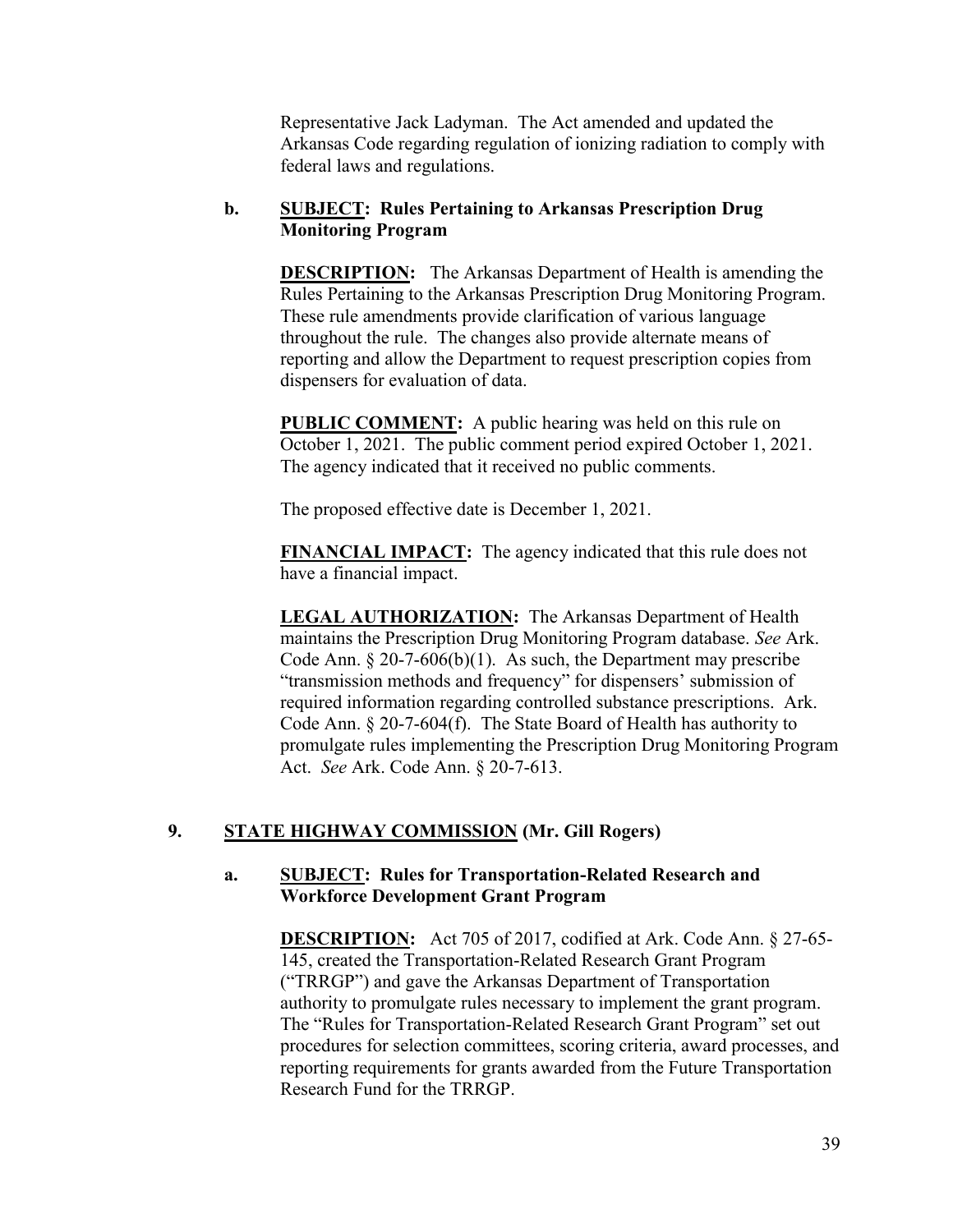Representative Jack Ladyman. The Act amended and updated the Arkansas Code regarding regulation of ionizing radiation to comply with federal laws and regulations.

# **b. SUBJECT: Rules Pertaining to Arkansas Prescription Drug Monitoring Program**

**DESCRIPTION:** The Arkansas Department of Health is amending the Rules Pertaining to the Arkansas Prescription Drug Monitoring Program. These rule amendments provide clarification of various language throughout the rule. The changes also provide alternate means of reporting and allow the Department to request prescription copies from dispensers for evaluation of data.

**PUBLIC COMMENT:** A public hearing was held on this rule on October 1, 2021. The public comment period expired October 1, 2021. The agency indicated that it received no public comments.

The proposed effective date is December 1, 2021.

**FINANCIAL IMPACT:** The agency indicated that this rule does not have a financial impact.

**LEGAL AUTHORIZATION:** The Arkansas Department of Health maintains the Prescription Drug Monitoring Program database. *See* Ark. Code Ann.  $\S 20$ -7-606(b)(1). As such, the Department may prescribe "transmission methods and frequency" for dispensers' submission of required information regarding controlled substance prescriptions. Ark. Code Ann. § 20-7-604(f). The State Board of Health has authority to promulgate rules implementing the Prescription Drug Monitoring Program Act. *See* Ark. Code Ann. § 20-7-613.

# **9. STATE HIGHWAY COMMISSION (Mr. Gill Rogers)**

## **a. SUBJECT: Rules for Transportation-Related Research and Workforce Development Grant Program**

**DESCRIPTION:** Act 705 of 2017, codified at Ark. Code Ann. § 27-65- 145, created the Transportation-Related Research Grant Program ("TRRGP") and gave the Arkansas Department of Transportation authority to promulgate rules necessary to implement the grant program. The "Rules for Transportation-Related Research Grant Program" set out procedures for selection committees, scoring criteria, award processes, and reporting requirements for grants awarded from the Future Transportation Research Fund for the TRRGP.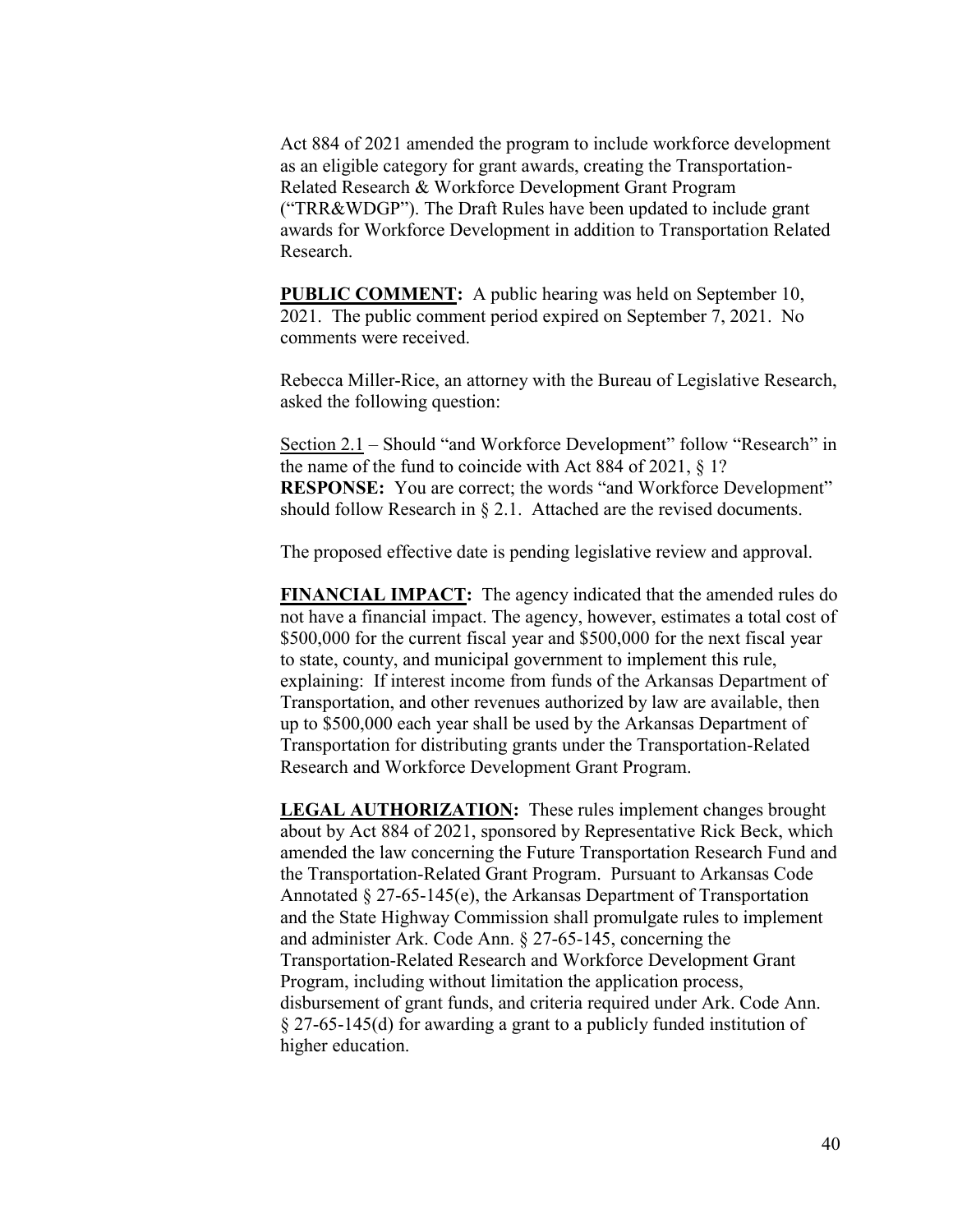Act 884 of 2021 amended the program to include workforce development as an eligible category for grant awards, creating the Transportation-Related Research & Workforce Development Grant Program ("TRR&WDGP"). The Draft Rules have been updated to include grant awards for Workforce Development in addition to Transportation Related Research.

**PUBLIC COMMENT:** A public hearing was held on September 10, 2021. The public comment period expired on September 7, 2021. No comments were received.

Rebecca Miller-Rice, an attorney with the Bureau of Legislative Research, asked the following question:

Section 2.1 – Should "and Workforce Development" follow "Research" in the name of the fund to coincide with Act 884 of 2021, § 1? **RESPONSE:** You are correct; the words "and Workforce Development" should follow Research in § 2.1. Attached are the revised documents.

The proposed effective date is pending legislative review and approval.

**FINANCIAL IMPACT:** The agency indicated that the amended rules do not have a financial impact. The agency, however, estimates a total cost of \$500,000 for the current fiscal year and \$500,000 for the next fiscal year to state, county, and municipal government to implement this rule, explaining: If interest income from funds of the Arkansas Department of Transportation, and other revenues authorized by law are available, then up to \$500,000 each year shall be used by the Arkansas Department of Transportation for distributing grants under the Transportation-Related Research and Workforce Development Grant Program.

**LEGAL AUTHORIZATION:** These rules implement changes brought about by Act 884 of 2021, sponsored by Representative Rick Beck, which amended the law concerning the Future Transportation Research Fund and the Transportation-Related Grant Program. Pursuant to Arkansas Code Annotated § 27-65-145(e), the Arkansas Department of Transportation and the State Highway Commission shall promulgate rules to implement and administer Ark. Code Ann. § 27-65-145, concerning the Transportation-Related Research and Workforce Development Grant Program, including without limitation the application process, disbursement of grant funds, and criteria required under Ark. Code Ann. § 27-65-145(d) for awarding a grant to a publicly funded institution of higher education.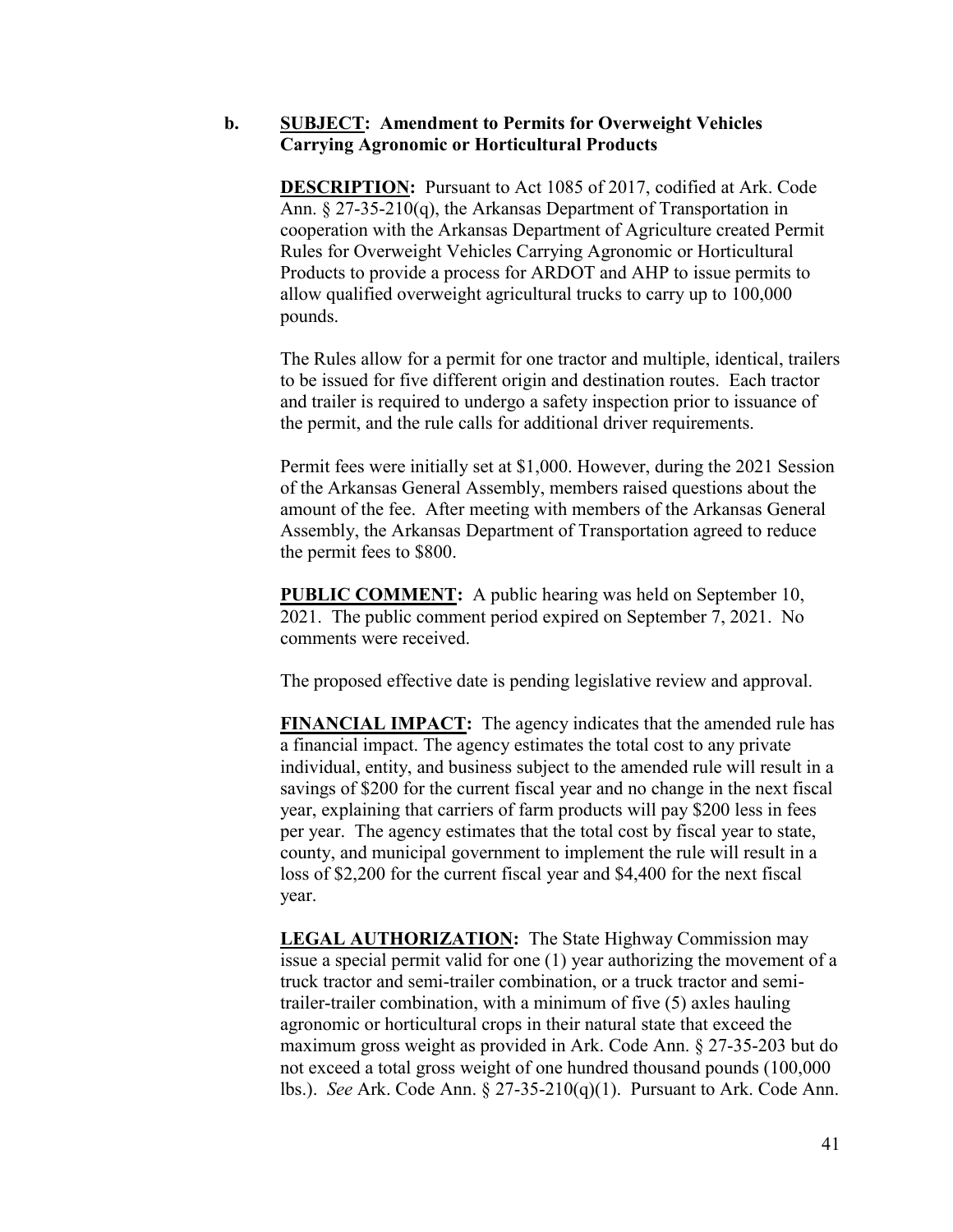### **b. SUBJECT: Amendment to Permits for Overweight Vehicles Carrying Agronomic or Horticultural Products**

**DESCRIPTION:** Pursuant to Act 1085 of 2017, codified at Ark. Code Ann. § 27-35-210(q), the Arkansas Department of Transportation in cooperation with the Arkansas Department of Agriculture created Permit Rules for Overweight Vehicles Carrying Agronomic or Horticultural Products to provide a process for ARDOT and AHP to issue permits to allow qualified overweight agricultural trucks to carry up to 100,000 pounds.

The Rules allow for a permit for one tractor and multiple, identical, trailers to be issued for five different origin and destination routes. Each tractor and trailer is required to undergo a safety inspection prior to issuance of the permit, and the rule calls for additional driver requirements.

Permit fees were initially set at \$1,000. However, during the 2021 Session of the Arkansas General Assembly, members raised questions about the amount of the fee. After meeting with members of the Arkansas General Assembly, the Arkansas Department of Transportation agreed to reduce the permit fees to \$800.

**PUBLIC COMMENT:** A public hearing was held on September 10, 2021. The public comment period expired on September 7, 2021. No comments were received.

The proposed effective date is pending legislative review and approval.

**FINANCIAL IMPACT:** The agency indicates that the amended rule has a financial impact. The agency estimates the total cost to any private individual, entity, and business subject to the amended rule will result in a savings of \$200 for the current fiscal year and no change in the next fiscal year, explaining that carriers of farm products will pay \$200 less in fees per year. The agency estimates that the total cost by fiscal year to state, county, and municipal government to implement the rule will result in a loss of \$2,200 for the current fiscal year and \$4,400 for the next fiscal year.

**LEGAL AUTHORIZATION:** The State Highway Commission may issue a special permit valid for one (1) year authorizing the movement of a truck tractor and semi-trailer combination, or a truck tractor and semitrailer-trailer combination, with a minimum of five (5) axles hauling agronomic or horticultural crops in their natural state that exceed the maximum gross weight as provided in Ark. Code Ann. § 27-35-203 but do not exceed a total gross weight of one hundred thousand pounds (100,000 lbs.). *See* Ark. Code Ann. § 27-35-210(q)(1). Pursuant to Ark. Code Ann.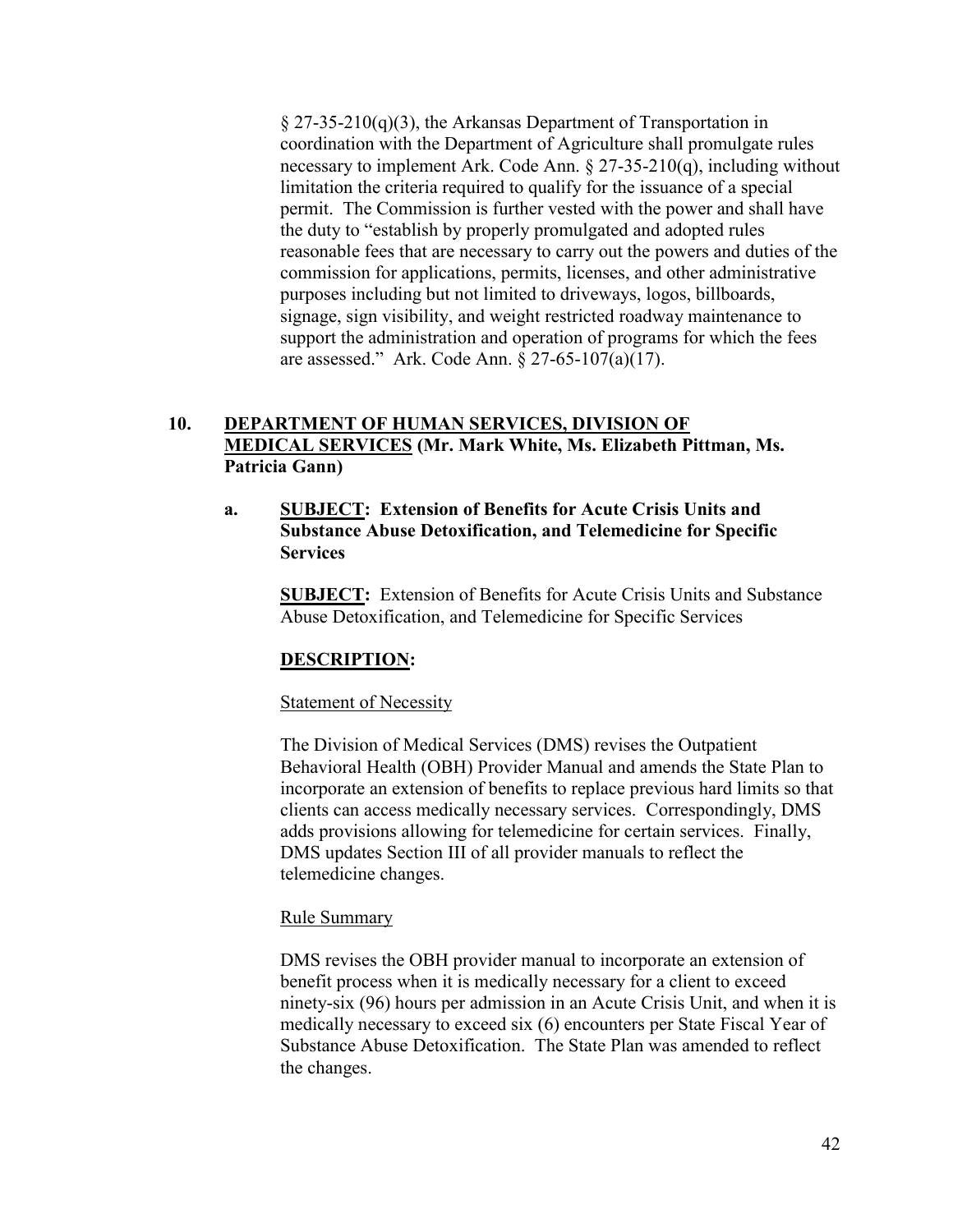§ 27-35-210(q)(3), the Arkansas Department of Transportation in coordination with the Department of Agriculture shall promulgate rules necessary to implement Ark. Code Ann. § 27-35-210(q), including without limitation the criteria required to qualify for the issuance of a special permit. The Commission is further vested with the power and shall have the duty to "establish by properly promulgated and adopted rules reasonable fees that are necessary to carry out the powers and duties of the commission for applications, permits, licenses, and other administrative purposes including but not limited to driveways, logos, billboards, signage, sign visibility, and weight restricted roadway maintenance to support the administration and operation of programs for which the fees are assessed." Ark. Code Ann. § 27-65-107(a)(17).

# **10. DEPARTMENT OF HUMAN SERVICES, DIVISION OF MEDICAL SERVICES (Mr. Mark White, Ms. Elizabeth Pittman, Ms. Patricia Gann)**

## **a. SUBJECT: Extension of Benefits for Acute Crisis Units and Substance Abuse Detoxification, and Telemedicine for Specific Services**

**SUBJECT:** Extension of Benefits for Acute Crisis Units and Substance Abuse Detoxification, and Telemedicine for Specific Services

## **DESCRIPTION:**

### Statement of Necessity

The Division of Medical Services (DMS) revises the Outpatient Behavioral Health (OBH) Provider Manual and amends the State Plan to incorporate an extension of benefits to replace previous hard limits so that clients can access medically necessary services. Correspondingly, DMS adds provisions allowing for telemedicine for certain services. Finally, DMS updates Section III of all provider manuals to reflect the telemedicine changes.

## Rule Summary

DMS revises the OBH provider manual to incorporate an extension of benefit process when it is medically necessary for a client to exceed ninety-six (96) hours per admission in an Acute Crisis Unit, and when it is medically necessary to exceed six (6) encounters per State Fiscal Year of Substance Abuse Detoxification. The State Plan was amended to reflect the changes.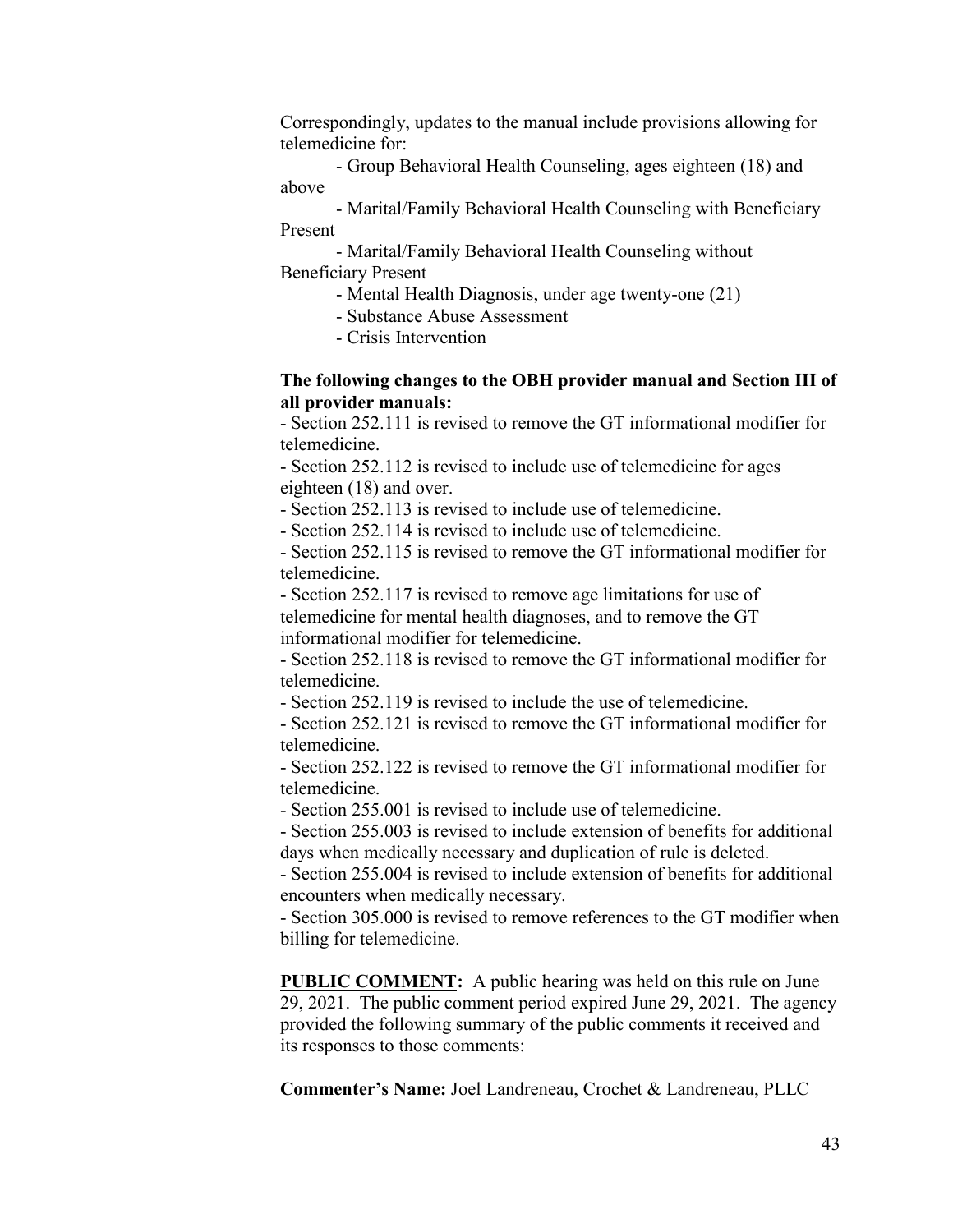Correspondingly, updates to the manual include provisions allowing for telemedicine for:

- Group Behavioral Health Counseling, ages eighteen (18) and above

- Marital/Family Behavioral Health Counseling with Beneficiary Present

- Marital/Family Behavioral Health Counseling without Beneficiary Present

- Mental Health Diagnosis, under age twenty-one (21)

- Substance Abuse Assessment

- Crisis Intervention

## **The following changes to the OBH provider manual and Section III of all provider manuals:**

- Section 252.111 is revised to remove the GT informational modifier for telemedicine.

- Section 252.112 is revised to include use of telemedicine for ages eighteen (18) and over.

- Section 252.113 is revised to include use of telemedicine.

- Section 252.114 is revised to include use of telemedicine.

- Section 252.115 is revised to remove the GT informational modifier for telemedicine.

- Section 252.117 is revised to remove age limitations for use of telemedicine for mental health diagnoses, and to remove the GT informational modifier for telemedicine.

- Section 252.118 is revised to remove the GT informational modifier for telemedicine.

- Section 252.119 is revised to include the use of telemedicine.

- Section 252.121 is revised to remove the GT informational modifier for telemedicine.

- Section 252.122 is revised to remove the GT informational modifier for telemedicine.

- Section 255.001 is revised to include use of telemedicine.

- Section 255.003 is revised to include extension of benefits for additional days when medically necessary and duplication of rule is deleted.

- Section 255.004 is revised to include extension of benefits for additional encounters when medically necessary.

- Section 305.000 is revised to remove references to the GT modifier when billing for telemedicine.

**PUBLIC COMMENT:** A public hearing was held on this rule on June 29, 2021. The public comment period expired June 29, 2021. The agency provided the following summary of the public comments it received and its responses to those comments:

**Commenter's Name:** Joel Landreneau, Crochet & Landreneau, PLLC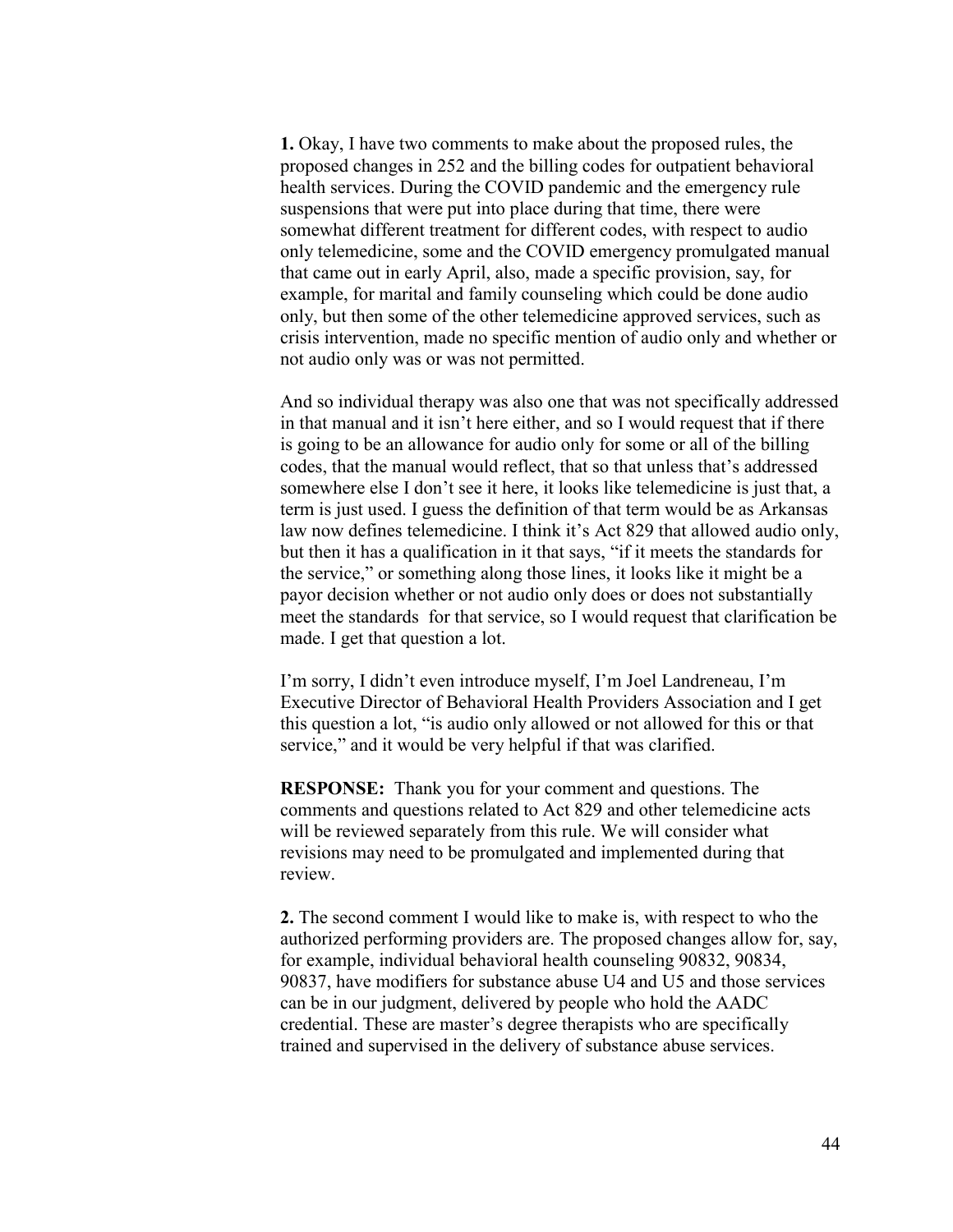**1.** Okay, I have two comments to make about the proposed rules, the proposed changes in 252 and the billing codes for outpatient behavioral health services. During the COVID pandemic and the emergency rule suspensions that were put into place during that time, there were somewhat different treatment for different codes, with respect to audio only telemedicine, some and the COVID emergency promulgated manual that came out in early April, also, made a specific provision, say, for example, for marital and family counseling which could be done audio only, but then some of the other telemedicine approved services, such as crisis intervention, made no specific mention of audio only and whether or not audio only was or was not permitted.

And so individual therapy was also one that was not specifically addressed in that manual and it isn't here either, and so I would request that if there is going to be an allowance for audio only for some or all of the billing codes, that the manual would reflect, that so that unless that's addressed somewhere else I don't see it here, it looks like telemedicine is just that, a term is just used. I guess the definition of that term would be as Arkansas law now defines telemedicine. I think it's Act 829 that allowed audio only, but then it has a qualification in it that says, "if it meets the standards for the service," or something along those lines, it looks like it might be a payor decision whether or not audio only does or does not substantially meet the standards for that service, so I would request that clarification be made. I get that question a lot.

I'm sorry, I didn't even introduce myself, I'm Joel Landreneau, I'm Executive Director of Behavioral Health Providers Association and I get this question a lot, "is audio only allowed or not allowed for this or that service," and it would be very helpful if that was clarified.

**RESPONSE:** Thank you for your comment and questions. The comments and questions related to Act 829 and other telemedicine acts will be reviewed separately from this rule. We will consider what revisions may need to be promulgated and implemented during that review.

**2.** The second comment I would like to make is, with respect to who the authorized performing providers are. The proposed changes allow for, say, for example, individual behavioral health counseling 90832, 90834, 90837, have modifiers for substance abuse U4 and U5 and those services can be in our judgment, delivered by people who hold the AADC credential. These are master's degree therapists who are specifically trained and supervised in the delivery of substance abuse services.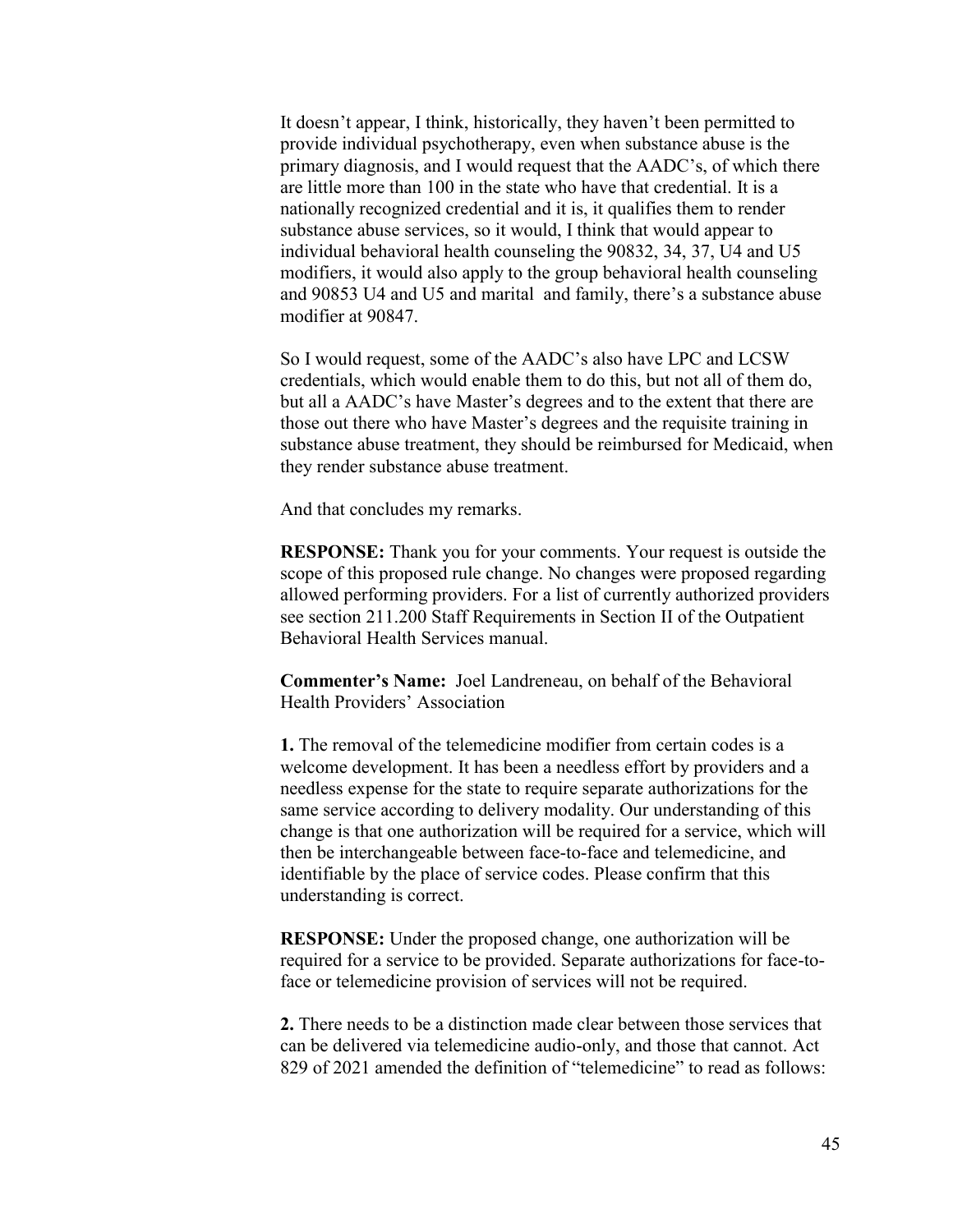It doesn't appear, I think, historically, they haven't been permitted to provide individual psychotherapy, even when substance abuse is the primary diagnosis, and I would request that the AADC's, of which there are little more than 100 in the state who have that credential. It is a nationally recognized credential and it is, it qualifies them to render substance abuse services, so it would, I think that would appear to individual behavioral health counseling the 90832, 34, 37, U4 and U5 modifiers, it would also apply to the group behavioral health counseling and 90853 U4 and U5 and marital and family, there's a substance abuse modifier at 90847.

So I would request, some of the AADC's also have LPC and LCSW credentials, which would enable them to do this, but not all of them do, but all a AADC's have Master's degrees and to the extent that there are those out there who have Master's degrees and the requisite training in substance abuse treatment, they should be reimbursed for Medicaid, when they render substance abuse treatment.

And that concludes my remarks.

**RESPONSE:** Thank you for your comments. Your request is outside the scope of this proposed rule change. No changes were proposed regarding allowed performing providers. For a list of currently authorized providers see section 211.200 Staff Requirements in Section II of the Outpatient Behavioral Health Services manual.

**Commenter's Name:** Joel Landreneau, on behalf of the Behavioral Health Providers' Association

**1.** The removal of the telemedicine modifier from certain codes is a welcome development. It has been a needless effort by providers and a needless expense for the state to require separate authorizations for the same service according to delivery modality. Our understanding of this change is that one authorization will be required for a service, which will then be interchangeable between face-to-face and telemedicine, and identifiable by the place of service codes. Please confirm that this understanding is correct.

**RESPONSE:** Under the proposed change, one authorization will be required for a service to be provided. Separate authorizations for face-toface or telemedicine provision of services will not be required.

**2.** There needs to be a distinction made clear between those services that can be delivered via telemedicine audio-only, and those that cannot. Act 829 of 2021 amended the definition of "telemedicine" to read as follows: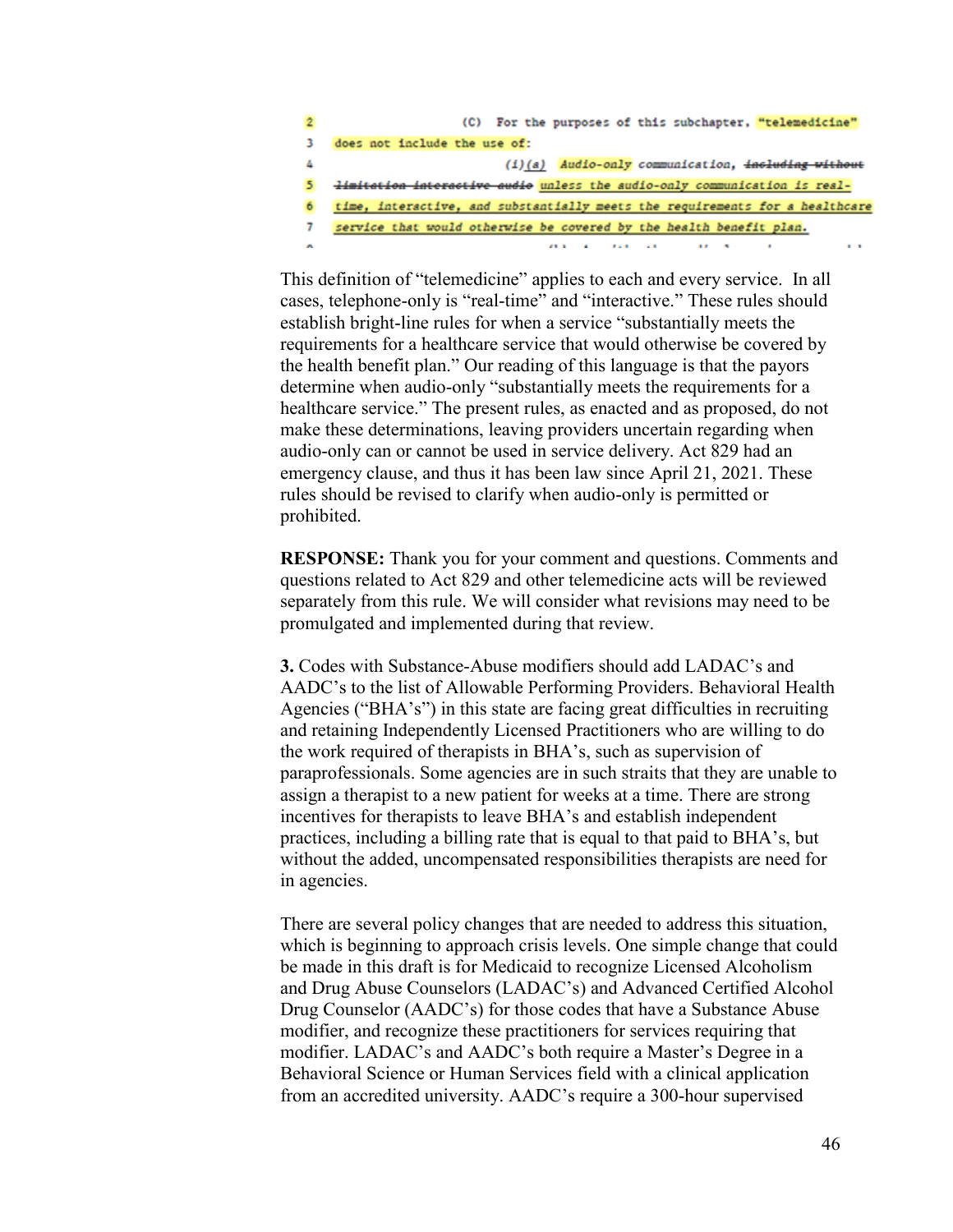| $\overline{2}$ | (C) For the purposes of this subchapter, "telemedicine"                          |
|----------------|----------------------------------------------------------------------------------|
| з              | does not include the use of:                                                     |
| 4              | $(i)(a)$ Audio-only communication, including without                             |
| 5              | <i>limitation interactive audio</i> unless the audio-only communication is real- |
| 6              | time, interactive, and substantially meets the requirements for a healthcare     |
| 7              | service that would otherwise be covered by the health benefit plan.              |
|                |                                                                                  |

This definition of "telemedicine" applies to each and every service. In all cases, telephone-only is "real-time" and "interactive." These rules should establish bright-line rules for when a service "substantially meets the requirements for a healthcare service that would otherwise be covered by the health benefit plan." Our reading of this language is that the payors determine when audio-only "substantially meets the requirements for a healthcare service." The present rules, as enacted and as proposed, do not make these determinations, leaving providers uncertain regarding when audio-only can or cannot be used in service delivery. Act 829 had an emergency clause, and thus it has been law since April 21, 2021. These rules should be revised to clarify when audio-only is permitted or prohibited.

**RESPONSE:** Thank you for your comment and questions. Comments and questions related to Act 829 and other telemedicine acts will be reviewed separately from this rule. We will consider what revisions may need to be promulgated and implemented during that review.

**3.** Codes with Substance-Abuse modifiers should add LADAC's and AADC's to the list of Allowable Performing Providers. Behavioral Health Agencies ("BHA's") in this state are facing great difficulties in recruiting and retaining Independently Licensed Practitioners who are willing to do the work required of therapists in BHA's, such as supervision of paraprofessionals. Some agencies are in such straits that they are unable to assign a therapist to a new patient for weeks at a time. There are strong incentives for therapists to leave BHA's and establish independent practices, including a billing rate that is equal to that paid to BHA's, but without the added, uncompensated responsibilities therapists are need for in agencies.

There are several policy changes that are needed to address this situation, which is beginning to approach crisis levels. One simple change that could be made in this draft is for Medicaid to recognize Licensed Alcoholism and Drug Abuse Counselors (LADAC's) and Advanced Certified Alcohol Drug Counselor (AADC's) for those codes that have a Substance Abuse modifier, and recognize these practitioners for services requiring that modifier. LADAC's and AADC's both require a Master's Degree in a Behavioral Science or Human Services field with a clinical application from an accredited university. AADC's require a 300-hour supervised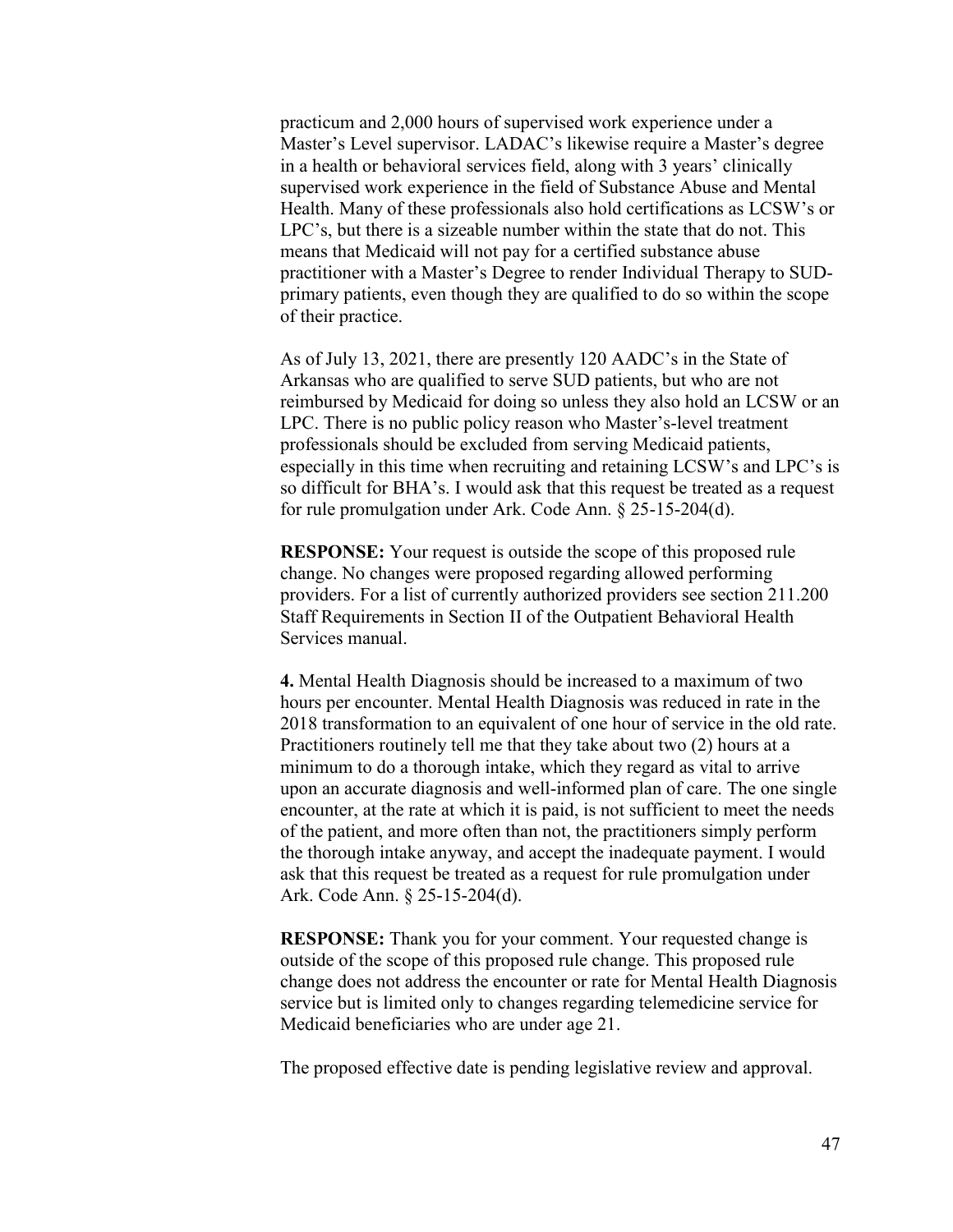practicum and 2,000 hours of supervised work experience under a Master's Level supervisor. LADAC's likewise require a Master's degree in a health or behavioral services field, along with 3 years' clinically supervised work experience in the field of Substance Abuse and Mental Health. Many of these professionals also hold certifications as LCSW's or LPC's, but there is a sizeable number within the state that do not. This means that Medicaid will not pay for a certified substance abuse practitioner with a Master's Degree to render Individual Therapy to SUDprimary patients, even though they are qualified to do so within the scope of their practice.

As of July 13, 2021, there are presently 120 AADC's in the State of Arkansas who are qualified to serve SUD patients, but who are not reimbursed by Medicaid for doing so unless they also hold an LCSW or an LPC. There is no public policy reason who Master's-level treatment professionals should be excluded from serving Medicaid patients, especially in this time when recruiting and retaining LCSW's and LPC's is so difficult for BHA's. I would ask that this request be treated as a request for rule promulgation under Ark. Code Ann. § 25-15-204(d).

**RESPONSE:** Your request is outside the scope of this proposed rule change. No changes were proposed regarding allowed performing providers. For a list of currently authorized providers see section 211.200 Staff Requirements in Section II of the Outpatient Behavioral Health Services manual.

**4.** Mental Health Diagnosis should be increased to a maximum of two hours per encounter. Mental Health Diagnosis was reduced in rate in the 2018 transformation to an equivalent of one hour of service in the old rate. Practitioners routinely tell me that they take about two (2) hours at a minimum to do a thorough intake, which they regard as vital to arrive upon an accurate diagnosis and well-informed plan of care. The one single encounter, at the rate at which it is paid, is not sufficient to meet the needs of the patient, and more often than not, the practitioners simply perform the thorough intake anyway, and accept the inadequate payment. I would ask that this request be treated as a request for rule promulgation under Ark. Code Ann. § 25-15-204(d).

**RESPONSE:** Thank you for your comment. Your requested change is outside of the scope of this proposed rule change. This proposed rule change does not address the encounter or rate for Mental Health Diagnosis service but is limited only to changes regarding telemedicine service for Medicaid beneficiaries who are under age 21.

The proposed effective date is pending legislative review and approval.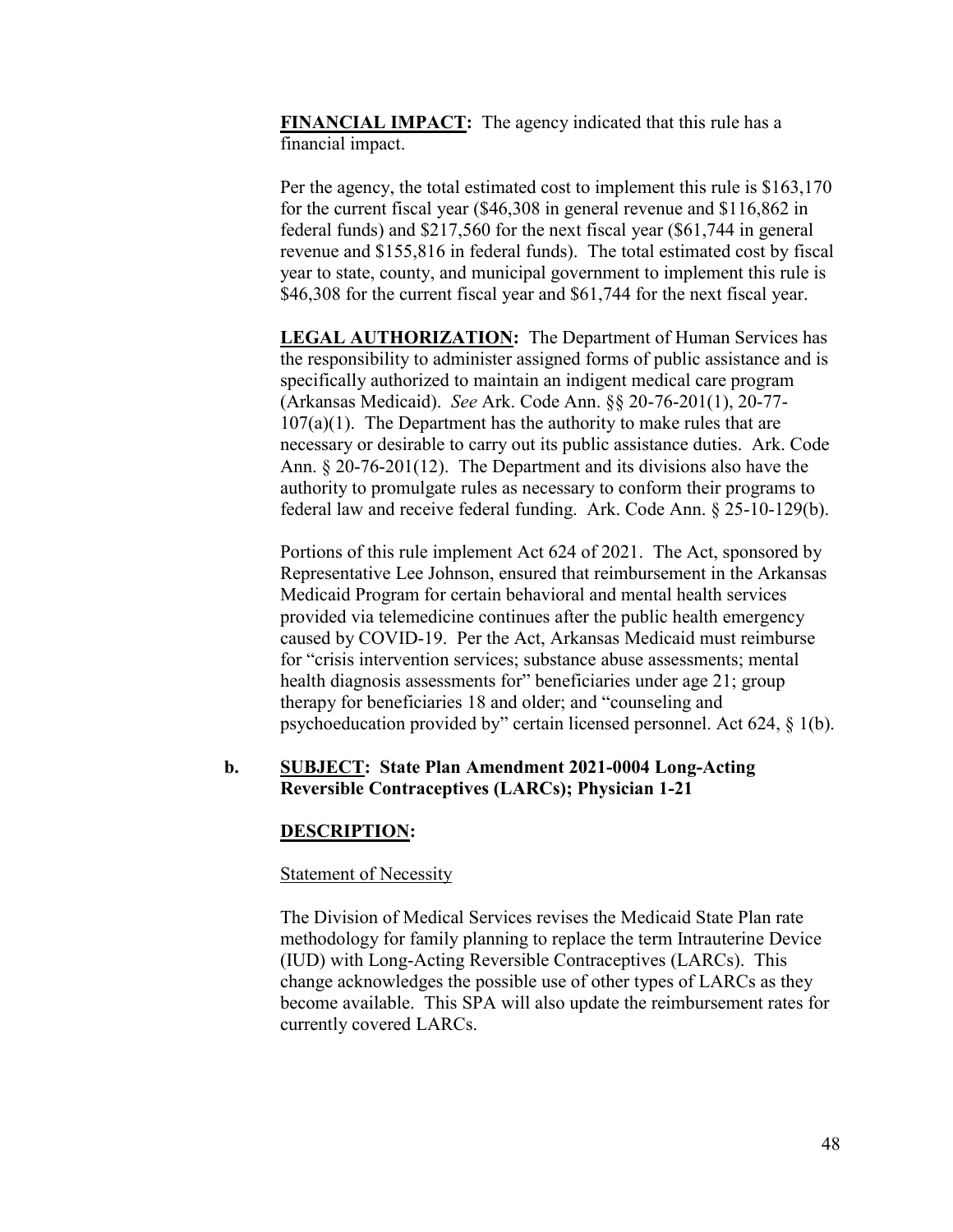**FINANCIAL IMPACT:** The agency indicated that this rule has a financial impact.

Per the agency, the total estimated cost to implement this rule is \$163,170 for the current fiscal year (\$46,308 in general revenue and \$116,862 in federal funds) and \$217,560 for the next fiscal year (\$61,744 in general revenue and \$155,816 in federal funds). The total estimated cost by fiscal year to state, county, and municipal government to implement this rule is \$46,308 for the current fiscal year and \$61,744 for the next fiscal year.

**LEGAL AUTHORIZATION:** The Department of Human Services has the responsibility to administer assigned forms of public assistance and is specifically authorized to maintain an indigent medical care program (Arkansas Medicaid). *See* Ark. Code Ann. §§ 20-76-201(1), 20-77-  $107(a)(1)$ . The Department has the authority to make rules that are necessary or desirable to carry out its public assistance duties. Ark. Code Ann. § 20-76-201(12). The Department and its divisions also have the authority to promulgate rules as necessary to conform their programs to federal law and receive federal funding. Ark. Code Ann. § 25-10-129(b).

Portions of this rule implement Act 624 of 2021. The Act, sponsored by Representative Lee Johnson, ensured that reimbursement in the Arkansas Medicaid Program for certain behavioral and mental health services provided via telemedicine continues after the public health emergency caused by COVID-19. Per the Act, Arkansas Medicaid must reimburse for "crisis intervention services; substance abuse assessments; mental health diagnosis assessments for" beneficiaries under age 21; group therapy for beneficiaries 18 and older; and "counseling and psychoeducation provided by" certain licensed personnel. Act 624, § 1(b).

## **b. SUBJECT: State Plan Amendment 2021-0004 Long-Acting Reversible Contraceptives (LARCs); Physician 1-21**

## **DESCRIPTION:**

### Statement of Necessity

The Division of Medical Services revises the Medicaid State Plan rate methodology for family planning to replace the term Intrauterine Device (IUD) with Long-Acting Reversible Contraceptives (LARCs). This change acknowledges the possible use of other types of LARCs as they become available. This SPA will also update the reimbursement rates for currently covered LARCs.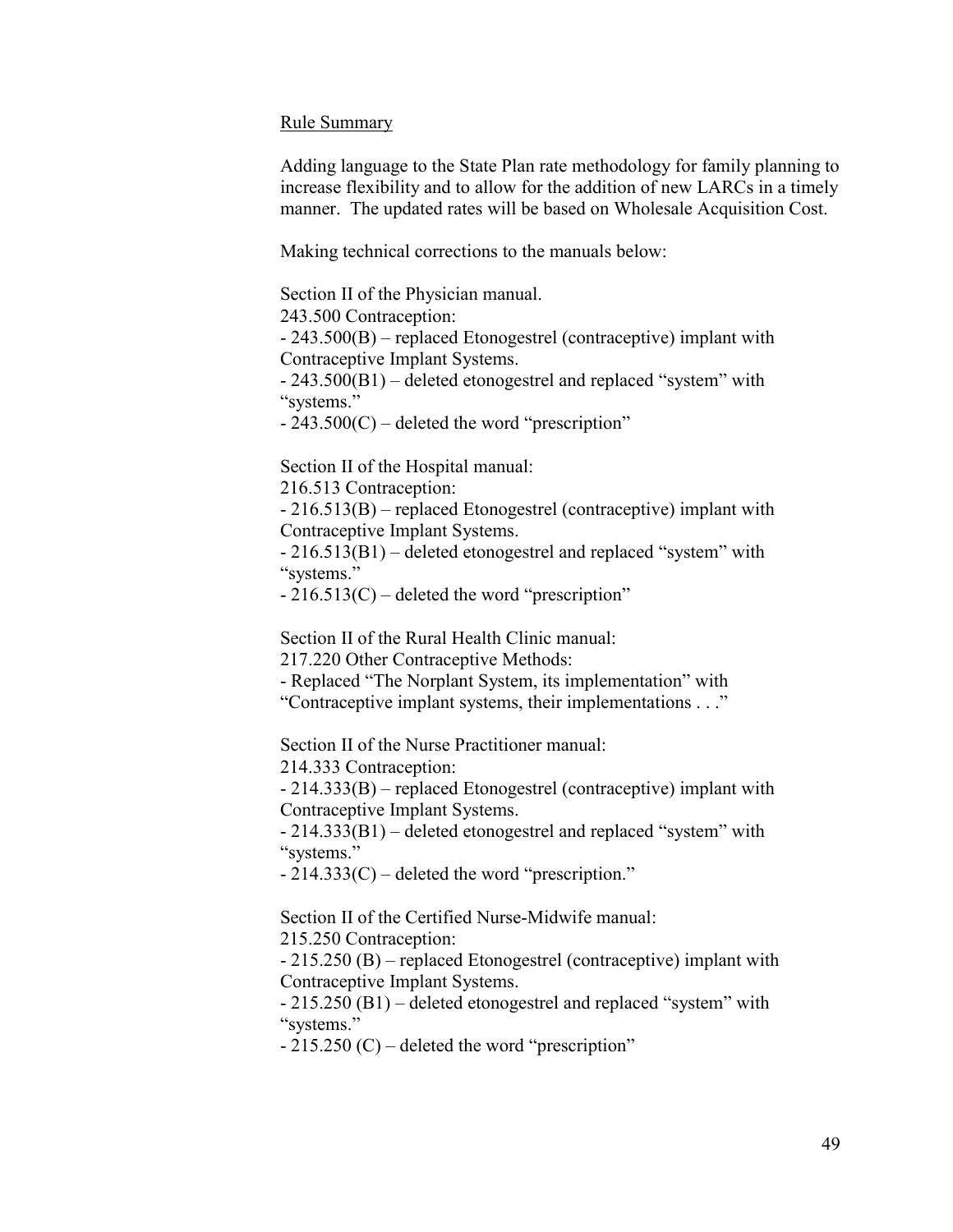### Rule Summary

Adding language to the State Plan rate methodology for family planning to increase flexibility and to allow for the addition of new LARCs in a timely manner. The updated rates will be based on Wholesale Acquisition Cost.

Making technical corrections to the manuals below:

Section II of the Physician manual.

243.500 Contraception:

- 243.500(B) – replaced Etonogestrel (contraceptive) implant with Contraceptive Implant Systems.

- 243.500(B1) – deleted etonogestrel and replaced "system" with "systems."

- 243.500(C) – deleted the word "prescription"

Section II of the Hospital manual:

216.513 Contraception:

- 216.513(B) – replaced Etonogestrel (contraceptive) implant with Contraceptive Implant Systems.

- 216.513(B1) – deleted etonogestrel and replaced "system" with "systems."

- 216.513(C) – deleted the word "prescription"

Section II of the Rural Health Clinic manual:

217.220 Other Contraceptive Methods:

- Replaced "The Norplant System, its implementation" with

"Contraceptive implant systems, their implementations . . ."

Section II of the Nurse Practitioner manual:

214.333 Contraception:

- 214.333(B) – replaced Etonogestrel (contraceptive) implant with Contraceptive Implant Systems.

- 214.333(B1) – deleted etonogestrel and replaced "system" with "systems."

- 214.333(C) – deleted the word "prescription."

Section II of the Certified Nurse-Midwife manual:

215.250 Contraception:

- 215.250 (B) – replaced Etonogestrel (contraceptive) implant with Contraceptive Implant Systems.

- 215.250 (B1) – deleted etonogestrel and replaced "system" with "systems."

- 215.250 (C) – deleted the word "prescription"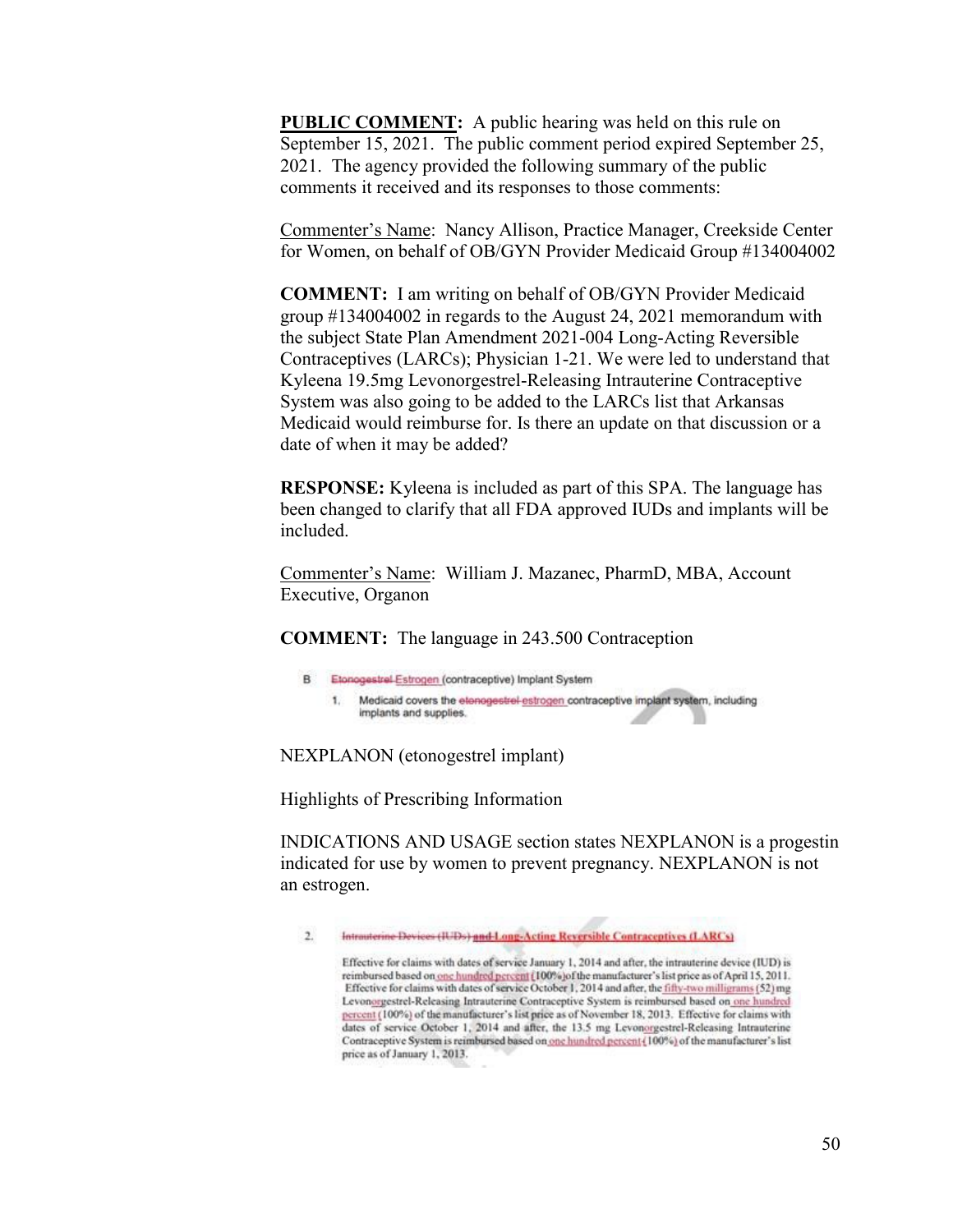**PUBLIC COMMENT:** A public hearing was held on this rule on September 15, 2021. The public comment period expired September 25, 2021. The agency provided the following summary of the public comments it received and its responses to those comments:

Commenter's Name: Nancy Allison, Practice Manager, Creekside Center for Women, on behalf of OB/GYN Provider Medicaid Group #134004002

**COMMENT:** I am writing on behalf of OB/GYN Provider Medicaid group #134004002 in regards to the August 24, 2021 memorandum with the subject State Plan Amendment 2021-004 Long-Acting Reversible Contraceptives (LARCs); Physician 1-21. We were led to understand that Kyleena 19.5mg Levonorgestrel-Releasing Intrauterine Contraceptive System was also going to be added to the LARCs list that Arkansas Medicaid would reimburse for. Is there an update on that discussion or a date of when it may be added?

**RESPONSE:** Kyleena is included as part of this SPA. The language has been changed to clarify that all FDA approved IUDs and implants will be included.

Commenter's Name: William J. Mazanec, PharmD, MBA, Account Executive, Organon

**COMMENT:** The language in 243.500 Contraception

B Etonogestrel-Estrogen (contraceptive) Implant System

1. Medicaid covers the etenogestrel-estrogen contraceptive implant system, including implants and supplies.

NEXPLANON (etonogestrel implant)

Highlights of Prescribing Information

INDICATIONS AND USAGE section states NEXPLANON is a progestin indicated for use by women to prevent pregnancy. NEXPLANON is not an estrogen.

 $2.5$ Intrasterine Devices (IUDs) and Long-Acting Reversible Contraceptives (LARCs)

Effective for claims with dates of service January 1, 2014 and after, the intrauterine device (IUD) is reimbursed based on one hundred percent (100%) of the manufacturer's list price as of April 15, 2011. Effective for claims with dates of service October 1, 2014 and after, the fifty-two milligrams (52) mg Levonorgestrel-Releasing Intrauterine Contraceptive System is reimbursed based on one hundred percent (100%) of the manufacturer's list price as of November 18, 2013. Effective for claims with dates of service October 1, 2014 and after, the 13.5 mg Levonorgestrel-Releasing Intrauterine Contraceptive System is reimbursed based on one hundred percent {100%} of the manufacturer's list price as of January 1, 2013.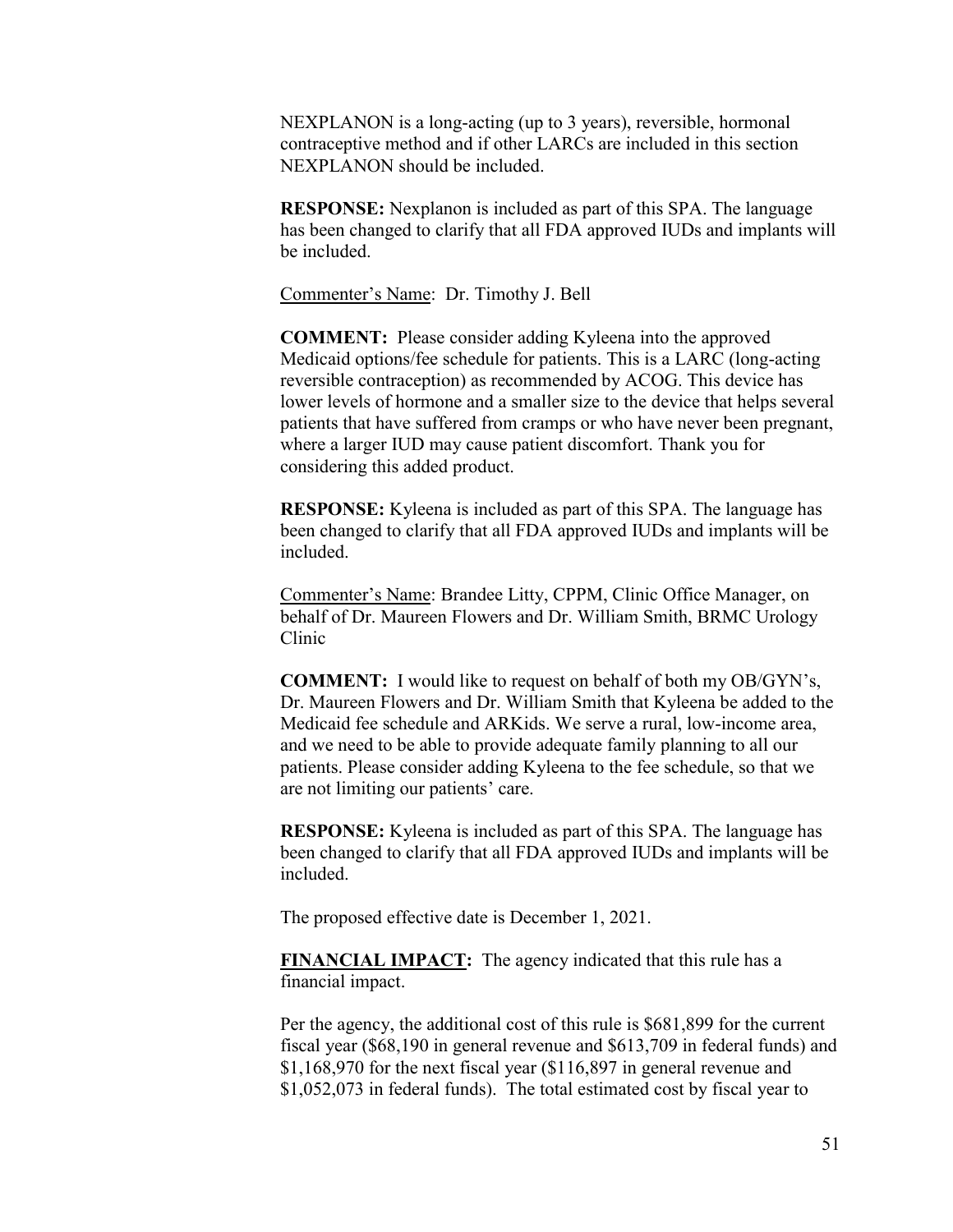NEXPLANON is a long-acting (up to 3 years), reversible, hormonal contraceptive method and if other LARCs are included in this section NEXPLANON should be included.

**RESPONSE:** Nexplanon is included as part of this SPA. The language has been changed to clarify that all FDA approved IUDs and implants will be included.

Commenter's Name: Dr. Timothy J. Bell

**COMMENT:** Please consider adding Kyleena into the approved Medicaid options/fee schedule for patients. This is a LARC (long-acting reversible contraception) as recommended by ACOG. This device has lower levels of hormone and a smaller size to the device that helps several patients that have suffered from cramps or who have never been pregnant, where a larger IUD may cause patient discomfort. Thank you for considering this added product.

**RESPONSE:** Kyleena is included as part of this SPA. The language has been changed to clarify that all FDA approved IUDs and implants will be included.

Commenter's Name: Brandee Litty, CPPM, Clinic Office Manager, on behalf of Dr. Maureen Flowers and Dr. William Smith, BRMC Urology Clinic

**COMMENT:** I would like to request on behalf of both my OB/GYN's, Dr. Maureen Flowers and Dr. William Smith that Kyleena be added to the Medicaid fee schedule and ARKids. We serve a rural, low-income area, and we need to be able to provide adequate family planning to all our patients. Please consider adding Kyleena to the fee schedule, so that we are not limiting our patients' care.

**RESPONSE:** Kyleena is included as part of this SPA. The language has been changed to clarify that all FDA approved IUDs and implants will be included.

The proposed effective date is December 1, 2021.

**FINANCIAL IMPACT:** The agency indicated that this rule has a financial impact.

Per the agency, the additional cost of this rule is \$681,899 for the current fiscal year (\$68,190 in general revenue and \$613,709 in federal funds) and \$1,168,970 for the next fiscal year (\$116,897 in general revenue and \$1,052,073 in federal funds). The total estimated cost by fiscal year to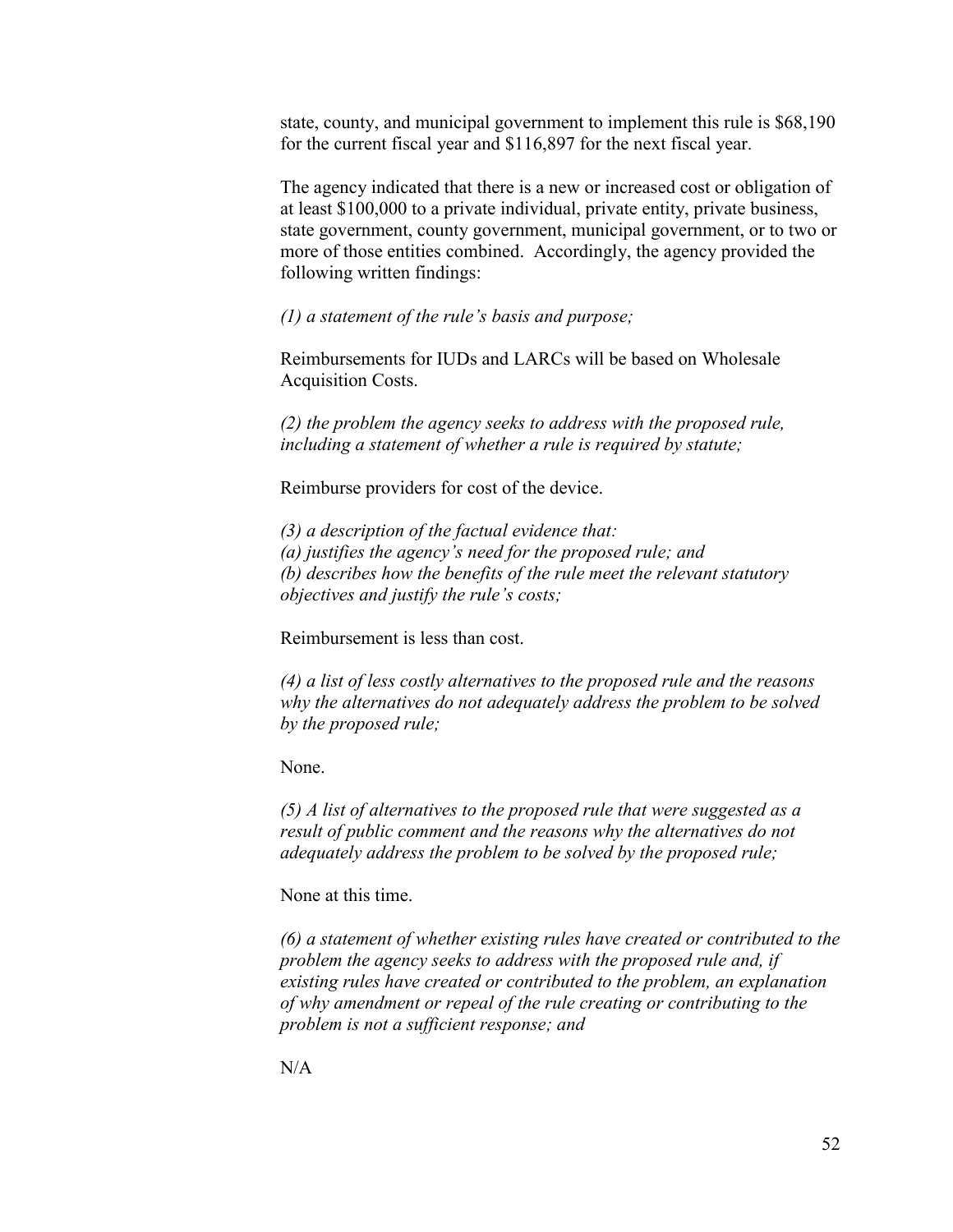state, county, and municipal government to implement this rule is \$68,190 for the current fiscal year and \$116,897 for the next fiscal year.

The agency indicated that there is a new or increased cost or obligation of at least \$100,000 to a private individual, private entity, private business, state government, county government, municipal government, or to two or more of those entities combined. Accordingly, the agency provided the following written findings:

*(1) a statement of the rule's basis and purpose;*

Reimbursements for IUDs and LARCs will be based on Wholesale Acquisition Costs.

*(2) the problem the agency seeks to address with the proposed rule, including a statement of whether a rule is required by statute;*

Reimburse providers for cost of the device.

*(3) a description of the factual evidence that: (a) justifies the agency's need for the proposed rule; and (b) describes how the benefits of the rule meet the relevant statutory objectives and justify the rule's costs;*

Reimbursement is less than cost.

*(4) a list of less costly alternatives to the proposed rule and the reasons why the alternatives do not adequately address the problem to be solved by the proposed rule;*

None.

*(5) A list of alternatives to the proposed rule that were suggested as a result of public comment and the reasons why the alternatives do not adequately address the problem to be solved by the proposed rule;*

None at this time.

*(6) a statement of whether existing rules have created or contributed to the problem the agency seeks to address with the proposed rule and, if existing rules have created or contributed to the problem, an explanation of why amendment or repeal of the rule creating or contributing to the problem is not a sufficient response; and*

 $N/A$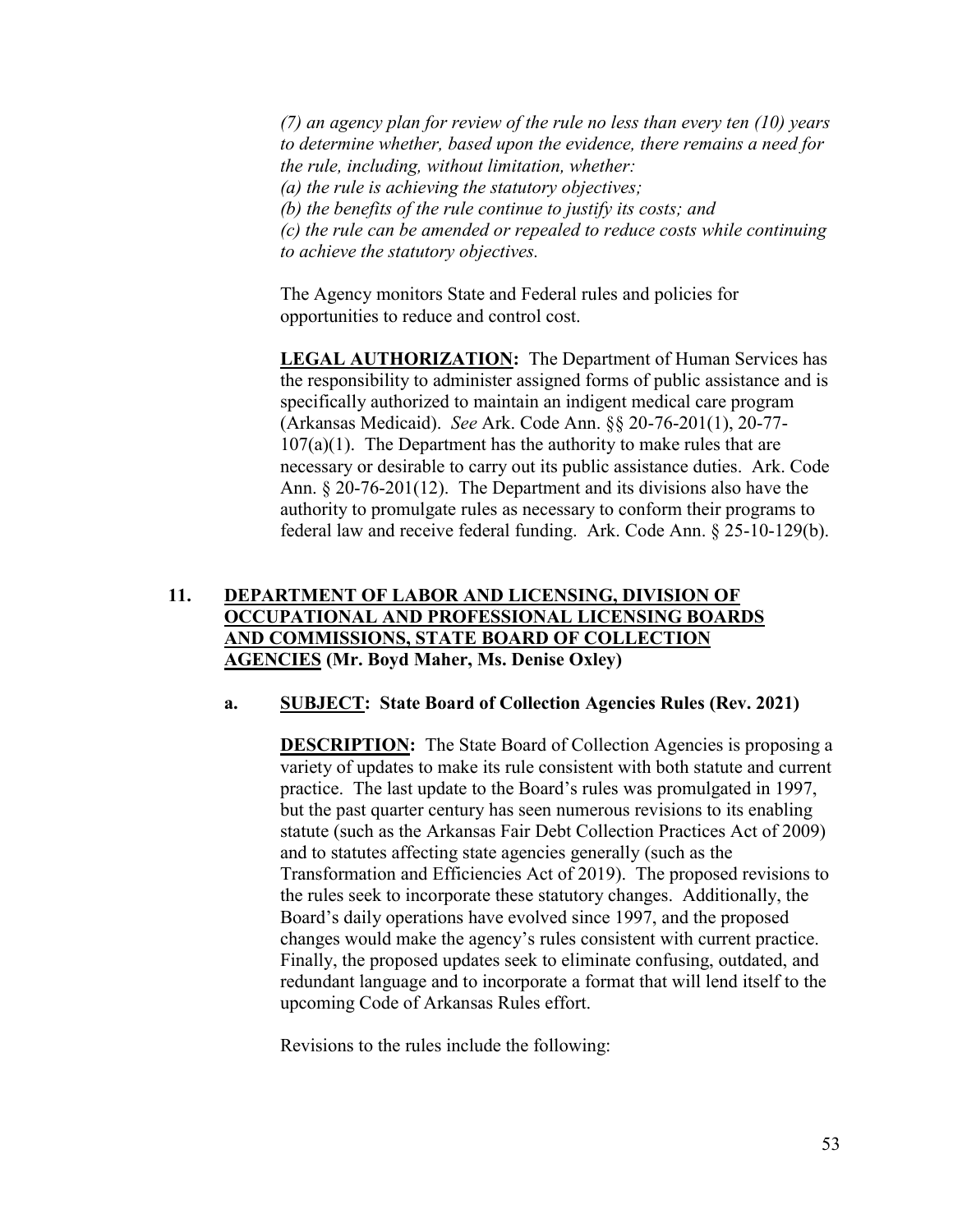*(7) an agency plan for review of the rule no less than every ten (10) years to determine whether, based upon the evidence, there remains a need for the rule, including, without limitation, whether: (a) the rule is achieving the statutory objectives; (b) the benefits of the rule continue to justify its costs; and (c) the rule can be amended or repealed to reduce costs while continuing to achieve the statutory objectives.*

The Agency monitors State and Federal rules and policies for opportunities to reduce and control cost.

**LEGAL AUTHORIZATION:** The Department of Human Services has the responsibility to administer assigned forms of public assistance and is specifically authorized to maintain an indigent medical care program (Arkansas Medicaid). *See* Ark. Code Ann. §§ 20-76-201(1), 20-77-  $107(a)(1)$ . The Department has the authority to make rules that are necessary or desirable to carry out its public assistance duties. Ark. Code Ann. § 20-76-201(12). The Department and its divisions also have the authority to promulgate rules as necessary to conform their programs to federal law and receive federal funding. Ark. Code Ann. § 25-10-129(b).

# **11. DEPARTMENT OF LABOR AND LICENSING, DIVISION OF OCCUPATIONAL AND PROFESSIONAL LICENSING BOARDS AND COMMISSIONS, STATE BOARD OF COLLECTION AGENCIES (Mr. Boyd Maher, Ms. Denise Oxley)**

## **a. SUBJECT: State Board of Collection Agencies Rules (Rev. 2021)**

**DESCRIPTION:** The State Board of Collection Agencies is proposing a variety of updates to make its rule consistent with both statute and current practice. The last update to the Board's rules was promulgated in 1997, but the past quarter century has seen numerous revisions to its enabling statute (such as the Arkansas Fair Debt Collection Practices Act of 2009) and to statutes affecting state agencies generally (such as the Transformation and Efficiencies Act of 2019). The proposed revisions to the rules seek to incorporate these statutory changes. Additionally, the Board's daily operations have evolved since 1997, and the proposed changes would make the agency's rules consistent with current practice. Finally, the proposed updates seek to eliminate confusing, outdated, and redundant language and to incorporate a format that will lend itself to the upcoming Code of Arkansas Rules effort.

Revisions to the rules include the following: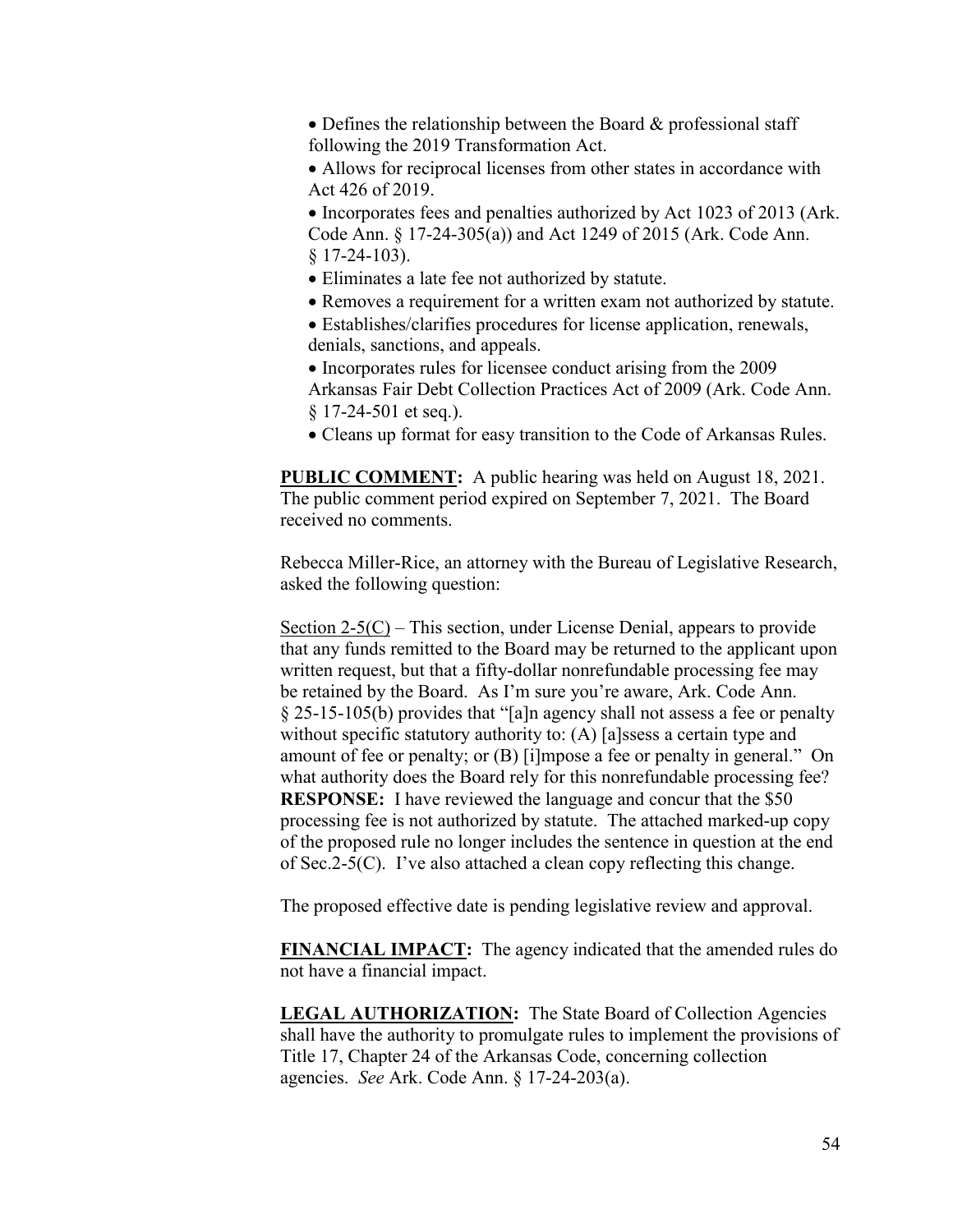• Defines the relationship between the Board & professional staff following the 2019 Transformation Act.

 Allows for reciprocal licenses from other states in accordance with Act 426 of 2019.

• Incorporates fees and penalties authorized by Act 1023 of 2013 (Ark. Code Ann. § 17-24-305(a)) and Act 1249 of 2015 (Ark. Code Ann. § 17-24-103).

- Eliminates a late fee not authorized by statute.
- Removes a requirement for a written exam not authorized by statute.
- Establishes/clarifies procedures for license application, renewals, denials, sanctions, and appeals.
- Incorporates rules for licensee conduct arising from the 2009 Arkansas Fair Debt Collection Practices Act of 2009 (Ark. Code Ann. § 17-24-501 et seq.).
- Cleans up format for easy transition to the Code of Arkansas Rules.

**PUBLIC COMMENT:** A public hearing was held on August 18, 2021. The public comment period expired on September 7, 2021. The Board received no comments.

Rebecca Miller-Rice, an attorney with the Bureau of Legislative Research, asked the following question:

Section  $2-5(C)$  – This section, under License Denial, appears to provide that any funds remitted to the Board may be returned to the applicant upon written request, but that a fifty-dollar nonrefundable processing fee may be retained by the Board. As I'm sure you're aware, Ark. Code Ann. § 25-15-105(b) provides that "[a]n agency shall not assess a fee or penalty without specific statutory authority to: (A) [a]ssess a certain type and amount of fee or penalty; or (B) [i]mpose a fee or penalty in general." On what authority does the Board rely for this nonrefundable processing fee? **RESPONSE:** I have reviewed the language and concur that the \$50 processing fee is not authorized by statute. The attached marked-up copy of the proposed rule no longer includes the sentence in question at the end of Sec.2-5(C). I've also attached a clean copy reflecting this change.

The proposed effective date is pending legislative review and approval.

**FINANCIAL IMPACT:** The agency indicated that the amended rules do not have a financial impact.

**LEGAL AUTHORIZATION:** The State Board of Collection Agencies shall have the authority to promulgate rules to implement the provisions of Title 17, Chapter 24 of the Arkansas Code, concerning collection agencies. *See* Ark. Code Ann. § 17-24-203(a).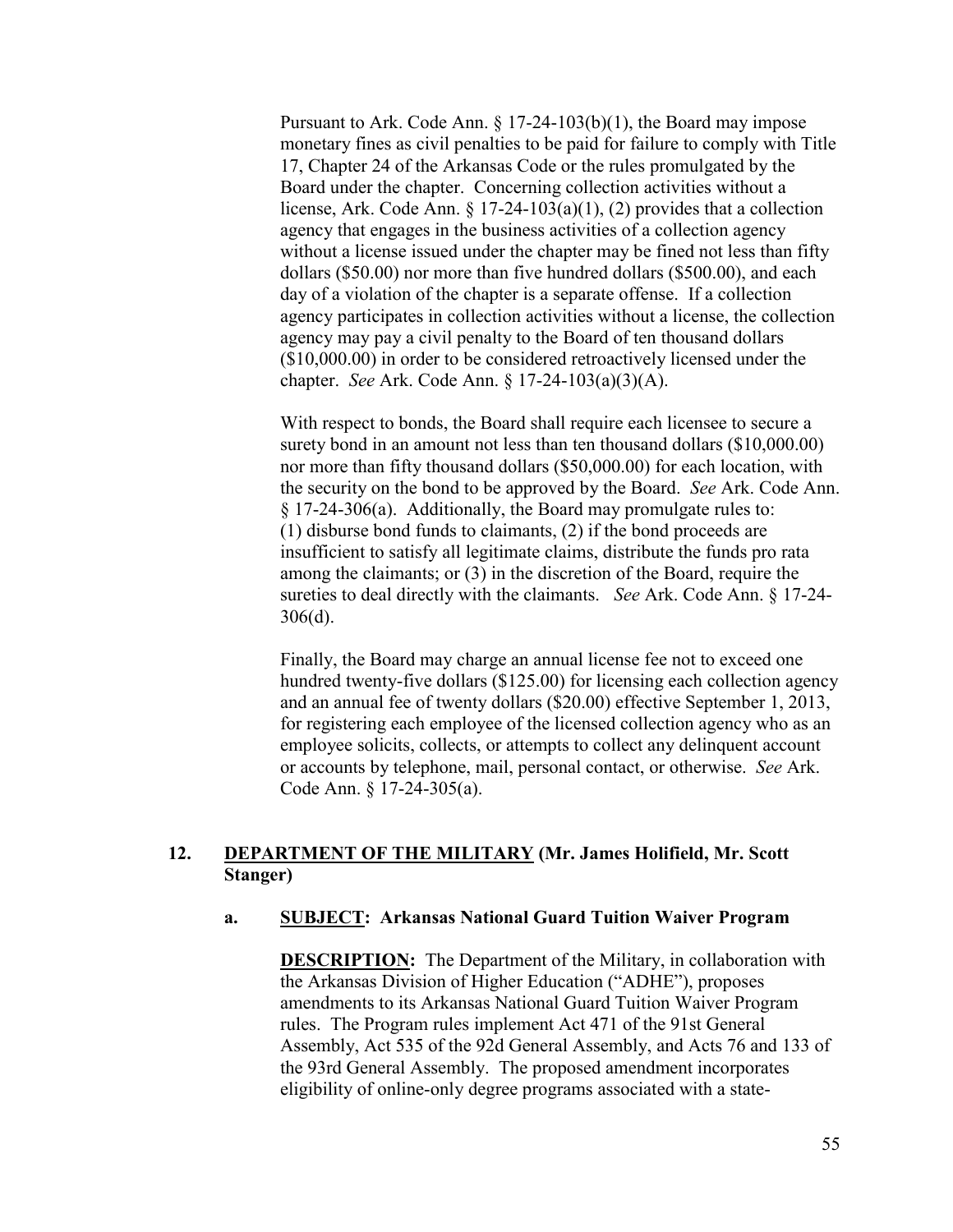Pursuant to Ark. Code Ann. § 17-24-103(b)(1), the Board may impose monetary fines as civil penalties to be paid for failure to comply with Title 17, Chapter 24 of the Arkansas Code or the rules promulgated by the Board under the chapter. Concerning collection activities without a license, Ark. Code Ann. § 17-24-103(a)(1), (2) provides that a collection agency that engages in the business activities of a collection agency without a license issued under the chapter may be fined not less than fifty dollars (\$50.00) nor more than five hundred dollars (\$500.00), and each day of a violation of the chapter is a separate offense. If a collection agency participates in collection activities without a license, the collection agency may pay a civil penalty to the Board of ten thousand dollars (\$10,000.00) in order to be considered retroactively licensed under the chapter. *See* Ark. Code Ann. § 17-24-103(a)(3)(A).

With respect to bonds, the Board shall require each licensee to secure a surety bond in an amount not less than ten thousand dollars (\$10,000.00) nor more than fifty thousand dollars (\$50,000.00) for each location, with the security on the bond to be approved by the Board. *See* Ark. Code Ann. § 17-24-306(a). Additionally, the Board may promulgate rules to: (1) disburse bond funds to claimants, (2) if the bond proceeds are insufficient to satisfy all legitimate claims, distribute the funds pro rata among the claimants; or (3) in the discretion of the Board, require the sureties to deal directly with the claimants. *See* Ark. Code Ann. § 17-24- 306(d).

Finally, the Board may charge an annual license fee not to exceed one hundred twenty-five dollars (\$125.00) for licensing each collection agency and an annual fee of twenty dollars (\$20.00) effective September 1, 2013, for registering each employee of the licensed collection agency who as an employee solicits, collects, or attempts to collect any delinquent account or accounts by telephone, mail, personal contact, or otherwise. *See* Ark. Code Ann. § 17-24-305(a).

# **12. DEPARTMENT OF THE MILITARY (Mr. James Holifield, Mr. Scott Stanger)**

## **a. SUBJECT: Arkansas National Guard Tuition Waiver Program**

**DESCRIPTION:** The Department of the Military, in collaboration with the Arkansas Division of Higher Education ("ADHE"), proposes amendments to its Arkansas National Guard Tuition Waiver Program rules. The Program rules implement Act 471 of the 91st General Assembly, Act 535 of the 92d General Assembly, and Acts 76 and 133 of the 93rd General Assembly. The proposed amendment incorporates eligibility of online-only degree programs associated with a state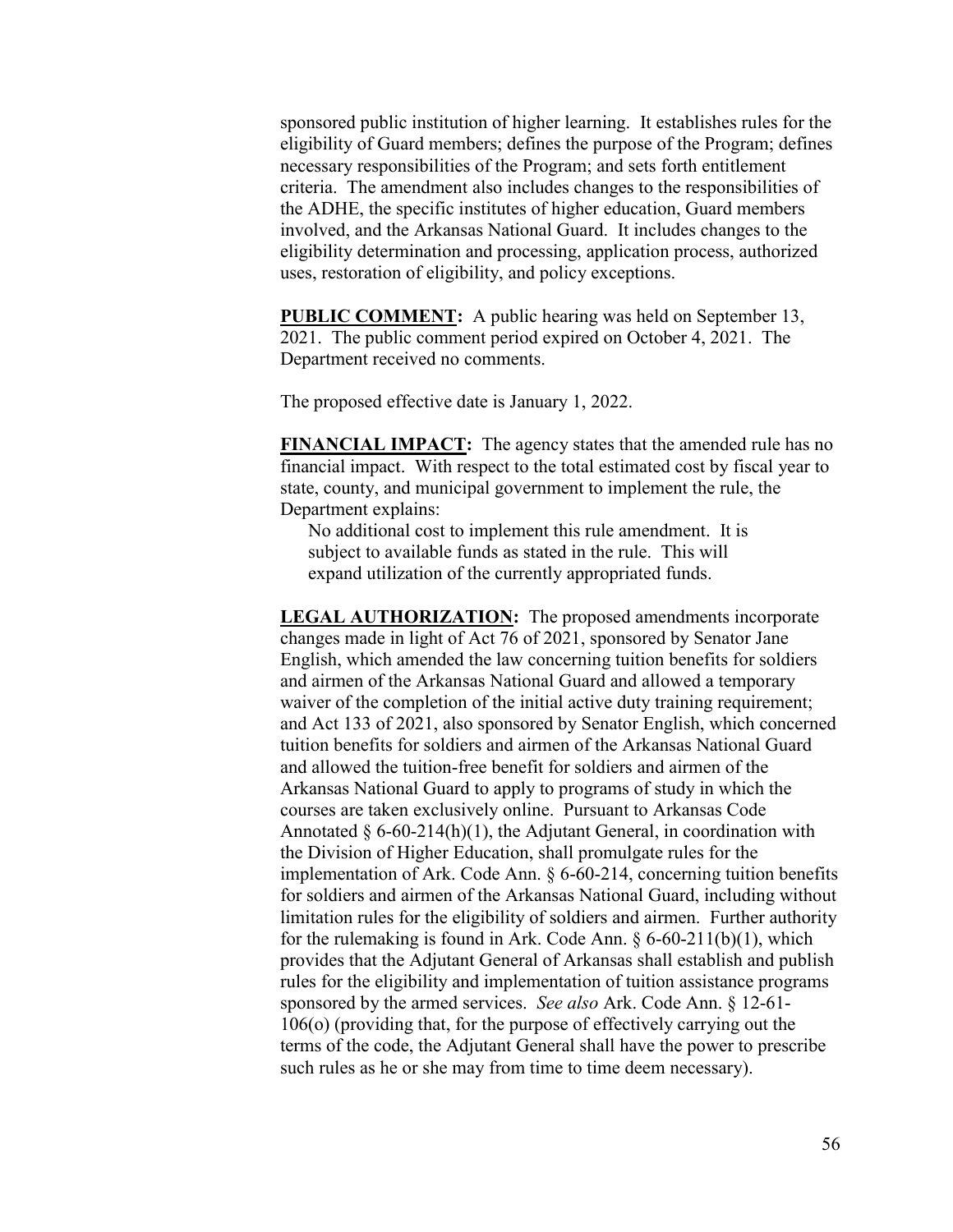sponsored public institution of higher learning. It establishes rules for the eligibility of Guard members; defines the purpose of the Program; defines necessary responsibilities of the Program; and sets forth entitlement criteria. The amendment also includes changes to the responsibilities of the ADHE, the specific institutes of higher education, Guard members involved, and the Arkansas National Guard. It includes changes to the eligibility determination and processing, application process, authorized uses, restoration of eligibility, and policy exceptions.

**PUBLIC COMMENT:** A public hearing was held on September 13, 2021. The public comment period expired on October 4, 2021. The Department received no comments.

The proposed effective date is January 1, 2022.

**FINANCIAL IMPACT:** The agency states that the amended rule has no financial impact. With respect to the total estimated cost by fiscal year to state, county, and municipal government to implement the rule, the Department explains:

No additional cost to implement this rule amendment. It is subject to available funds as stated in the rule. This will expand utilization of the currently appropriated funds.

**LEGAL AUTHORIZATION:** The proposed amendments incorporate changes made in light of Act 76 of 2021, sponsored by Senator Jane English, which amended the law concerning tuition benefits for soldiers and airmen of the Arkansas National Guard and allowed a temporary waiver of the completion of the initial active duty training requirement; and Act 133 of 2021, also sponsored by Senator English, which concerned tuition benefits for soldiers and airmen of the Arkansas National Guard and allowed the tuition-free benefit for soldiers and airmen of the Arkansas National Guard to apply to programs of study in which the courses are taken exclusively online. Pursuant to Arkansas Code Annotated  $\S 6-60-214(h)(1)$ , the Adjutant General, in coordination with the Division of Higher Education, shall promulgate rules for the implementation of Ark. Code Ann. § 6-60-214, concerning tuition benefits for soldiers and airmen of the Arkansas National Guard, including without limitation rules for the eligibility of soldiers and airmen. Further authority for the rulemaking is found in Ark. Code Ann.  $\S 6-60-211(b)(1)$ , which provides that the Adjutant General of Arkansas shall establish and publish rules for the eligibility and implementation of tuition assistance programs sponsored by the armed services. *See also* Ark. Code Ann. § 12-61- 106(o) (providing that, for the purpose of effectively carrying out the terms of the code, the Adjutant General shall have the power to prescribe such rules as he or she may from time to time deem necessary).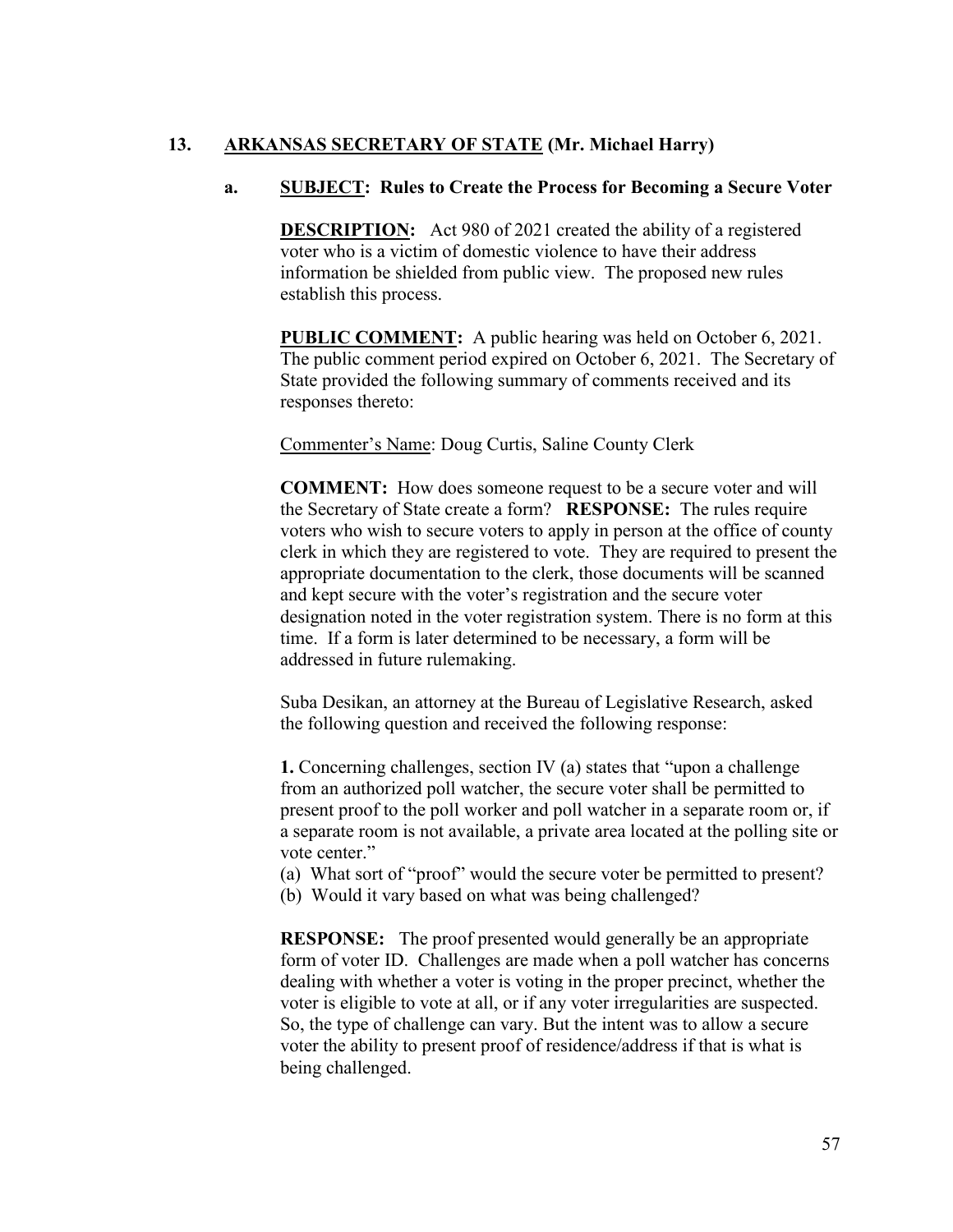# **13. ARKANSAS SECRETARY OF STATE (Mr. Michael Harry)**

# **a. SUBJECT: Rules to Create the Process for Becoming a Secure Voter**

**DESCRIPTION:** Act 980 of 2021 created the ability of a registered voter who is a victim of domestic violence to have their address information be shielded from public view. The proposed new rules establish this process.

**PUBLIC COMMENT:** A public hearing was held on October 6, 2021. The public comment period expired on October 6, 2021. The Secretary of State provided the following summary of comments received and its responses thereto:

Commenter's Name: Doug Curtis, Saline County Clerk

**COMMENT:** How does someone request to be a secure voter and will the Secretary of State create a form? **RESPONSE:** The rules require voters who wish to secure voters to apply in person at the office of county clerk in which they are registered to vote. They are required to present the appropriate documentation to the clerk, those documents will be scanned and kept secure with the voter's registration and the secure voter designation noted in the voter registration system. There is no form at this time. If a form is later determined to be necessary, a form will be addressed in future rulemaking.

Suba Desikan, an attorney at the Bureau of Legislative Research, asked the following question and received the following response:

**1.** Concerning challenges, section IV (a) states that "upon a challenge from an authorized poll watcher, the secure voter shall be permitted to present proof to the poll worker and poll watcher in a separate room or, if a separate room is not available, a private area located at the polling site or vote center."

(a) What sort of "proof" would the secure voter be permitted to present?

(b) Would it vary based on what was being challenged?

**RESPONSE:** The proof presented would generally be an appropriate form of voter ID. Challenges are made when a poll watcher has concerns dealing with whether a voter is voting in the proper precinct, whether the voter is eligible to vote at all, or if any voter irregularities are suspected. So, the type of challenge can vary. But the intent was to allow a secure voter the ability to present proof of residence/address if that is what is being challenged.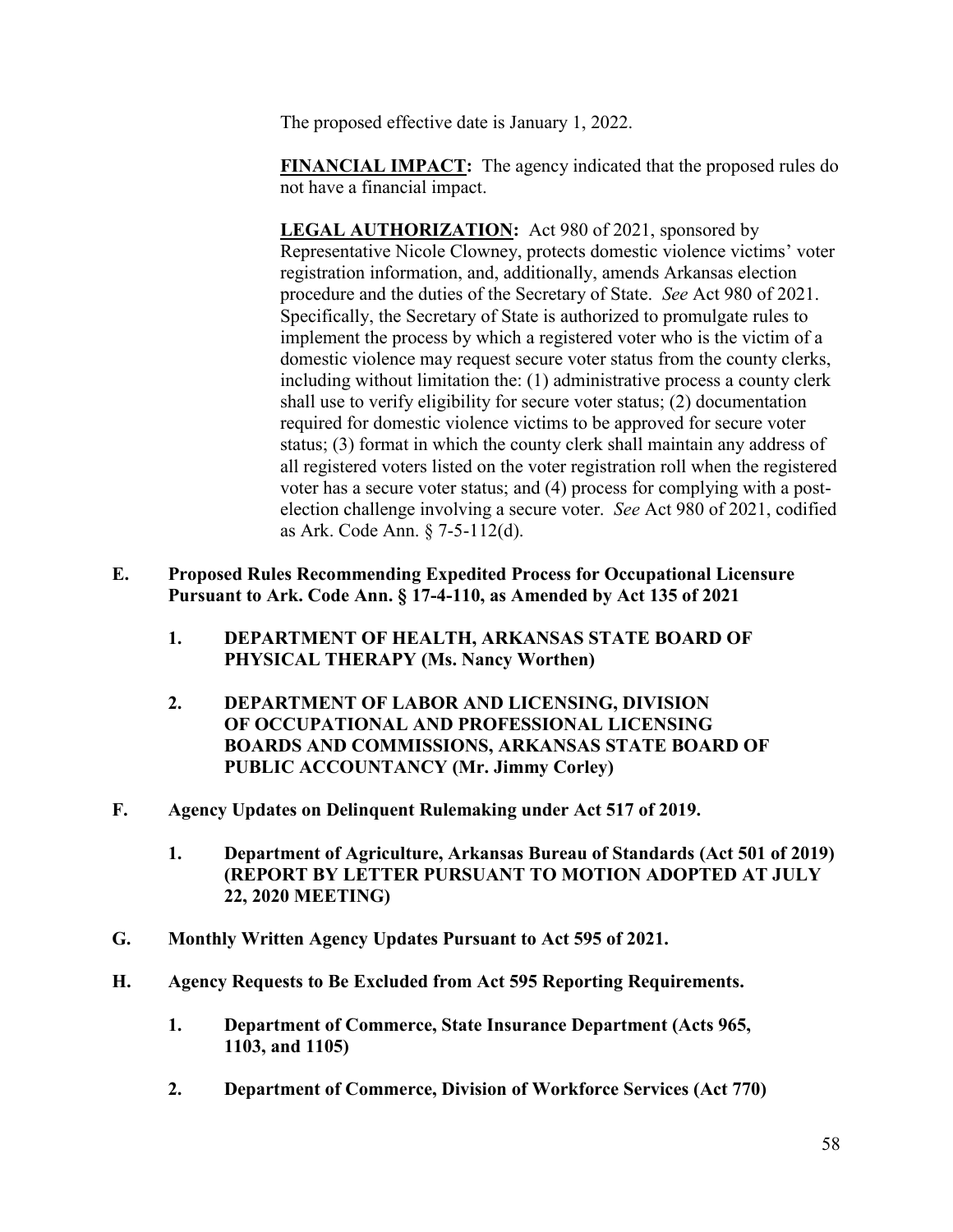The proposed effective date is January 1, 2022.

**FINANCIAL IMPACT:** The agency indicated that the proposed rules do not have a financial impact.

LEGAL AUTHORIZATION: Act 980 of 2021, sponsored by Representative Nicole Clowney, protects domestic violence victims' voter registration information, and, additionally, amends Arkansas election procedure and the duties of the Secretary of State. *See* Act 980 of 2021. Specifically, the Secretary of State is authorized to promulgate rules to implement the process by which a registered voter who is the victim of a domestic violence may request secure voter status from the county clerks, including without limitation the: (1) administrative process a county clerk shall use to verify eligibility for secure voter status; (2) documentation required for domestic violence victims to be approved for secure voter status; (3) format in which the county clerk shall maintain any address of all registered voters listed on the voter registration roll when the registered voter has a secure voter status; and (4) process for complying with a postelection challenge involving a secure voter. *See* Act 980 of 2021, codified as Ark. Code Ann. § 7-5-112(d).

- **E. Proposed Rules Recommending Expedited Process for Occupational Licensure Pursuant to Ark. Code Ann. § 17-4-110, as Amended by Act 135 of 2021**
	- **1. DEPARTMENT OF HEALTH, ARKANSAS STATE BOARD OF PHYSICAL THERAPY (Ms. Nancy Worthen)**
	- **2. DEPARTMENT OF LABOR AND LICENSING, DIVISION OF OCCUPATIONAL AND PROFESSIONAL LICENSING BOARDS AND COMMISSIONS, ARKANSAS STATE BOARD OF PUBLIC ACCOUNTANCY (Mr. Jimmy Corley)**
- **F. Agency Updates on Delinquent Rulemaking under Act 517 of 2019.**
	- **1. Department of Agriculture, Arkansas Bureau of Standards (Act 501 of 2019) (REPORT BY LETTER PURSUANT TO MOTION ADOPTED AT JULY 22, 2020 MEETING)**
- **G. Monthly Written Agency Updates Pursuant to Act 595 of 2021.**
- **H. Agency Requests to Be Excluded from Act 595 Reporting Requirements.**
	- **1. Department of Commerce, State Insurance Department (Acts 965, 1103, and 1105)**
	- **2. Department of Commerce, Division of Workforce Services (Act 770)**